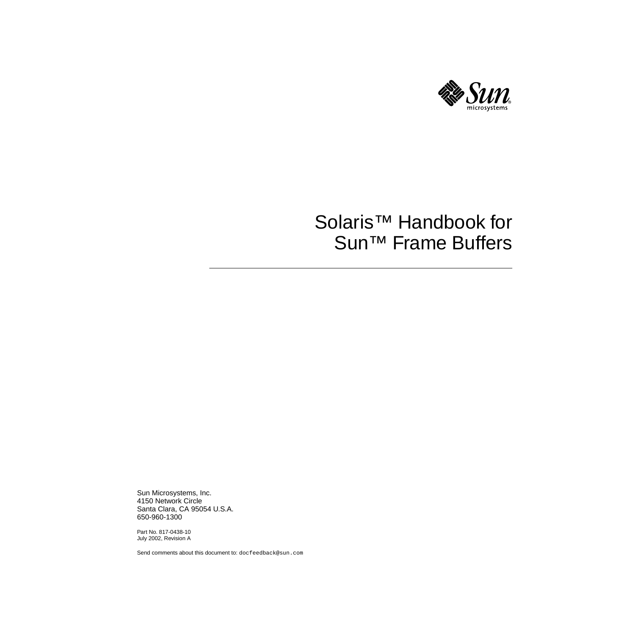

# Solaris™ Handbook for Sun™ Frame Buffers

Sun Microsystems, Inc. 4150 Network Circle Santa Clara, CA 95054 U.S.A. 650-960-1300

Part No. 817-0438-10 July 2002, Revision A

Send comments about this document to: docfeedback@sun.com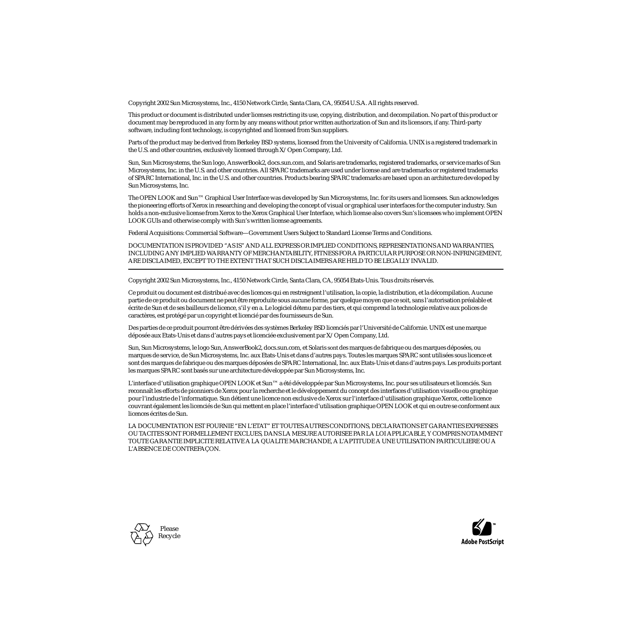Copyright 2002 Sun Microsystems, Inc., 4150 Network Circle, Santa Clara, CA, 95054 U.S.A. All rights reserved.

This product or document is distributed under licenses restricting its use, copying, distribution, and decompilation. No part of this product or document may be reproduced in any form by any means without prior written authorization of Sun and its licensors, if any. Third-party software, including font technology, is copyrighted and licensed from Sun suppliers.

Parts of the product may be derived from Berkeley BSD systems, licensed from the University of California. UNIX is a registered trademark in the U.S. and other countries, exclusively licensed through X/Open Company, Ltd.

Sun, Sun Microsystems, the Sun logo, AnswerBook2, docs.sun.com, and Solaris are trademarks, registered trademarks, or service marks of Sun Microsystems, Inc. in the U.S. and other countries. All SPARC trademarks are used under license and are trademarks or registered trademarks of SPARC International, Inc. in the U.S. and other countries. Products bearing SPARC trademarks are based upon an architecture developed by Sun Microsystems, Inc.

The OPEN LOOK and Sun™ Graphical User Interface was developed by Sun Microsystems, Inc. for its users and licensees. Sun acknowledges the pioneering efforts of Xerox in researching and developing the concept of visual or graphical user interfaces for the computer industry. Sun holds a non-exclusive license from Xerox to the Xerox Graphical User Interface, which license also covers Sun's licensees who implement OPEN LOOK GUIs and otherwise comply with Sun's written license agreements.

Federal Acquisitions: Commercial Software—Government Users Subject to Standard License Terms and Conditions.

DOCUMENTATION IS PROVIDED "AS IS" AND ALL EXPRESS OR IMPLIED CONDITIONS, REPRESENTATIONS AND WARRANTIES, INCLUDING ANY IMPLIED WARRANTY OF MERCHANTABILITY, FITNESS FOR A PARTICULAR PURPOSE OR NON-INFRINGEMENT, ARE DISCLAIMED, EXCEPT TO THE EXTENT THAT SUCH DISCLAIMERS ARE HELD TO BE LEGALLY INVALID.

Copyright 2002 Sun Microsystems, Inc., 4150 Network Circle, Santa Clara, CA, 95054 Etats-Unis. Tous droits réservés.

Ce produit ou document est distribué avec des licences qui en restreignent l'utilisation, la copie, la distribution, et la décompilation. Aucune partie de ce produit ou document ne peut être reproduite sous aucune forme, par quelque moyen que ce soit, sans l'autorisation préalable et écrite de Sun et de ses bailleurs de licence, s'il y en a. Le logiciel détenu par des tiers, et qui comprend la technologie relative aux polices de caractères, est protégé par un copyright et licencié par des fournisseurs de Sun.

Des parties de ce produit pourront être dérivées des systèmes Berkeley BSD licenciés par l'Université de Californie. UNIX est une marque déposée aux Etats-Unis et dans d'autres pays et licenciée exclusivement par X/Open Company, Ltd.

Sun, Sun Microsystems, le logo Sun, AnswerBook2, docs.sun.com, et Solaris sont des marques de fabrique ou des marques déposées, ou marques de service, de Sun Microsystems, Inc. aux Etats-Unis et dans d'autres pays. Toutes les marques SPARC sont utilisées sous licence et sont des marques de fabrique ou des marques déposées de SPARC International, Inc. aux Etats-Unis et dans d'autres pays. Les produits portant les marques SPARC sont basés sur une architecture développée par Sun Microsystems, Inc.

L'interface d'utilisation graphique OPEN LOOK et Sun™ a été développée par Sun Microsystems, Inc. pour ses utilisateurs et licenciés. Sun reconnaît les efforts de pionniers de Xerox pour la recherche et le développement du concept des interfaces d'utilisation visuelle ou graphique pour l'industrie de l'informatique. Sun détient une licence non exclusive de Xerox sur l'interface d'utilisation graphique Xerox, cette licence couvrant également les licenciés de Sun qui mettent en place l'interface d'utilisation graphique OPEN LOOK et qui en outre se conforment aux licences écrites de Sun.

LA DOCUMENTATION EST FOURNIE "EN L'ETAT" ET TOUTES AUTRES CONDITIONS, DECLARATIONS ET GARANTIES EXPRESSES OU TACITES SONT FORMELLEMENT EXCLUES, DANS LA MESURE AUTORISEE PAR LA LOI APPLICABLE, Y COMPRIS NOTAMMENT TOUTE GARANTIE IMPLICITE RELATIVE A LA QUALITE MARCHANDE, A L'APTITUDE A UNE UTILISATION PARTICULIERE OU A L'ABSENCE DE CONTREFAÇON.



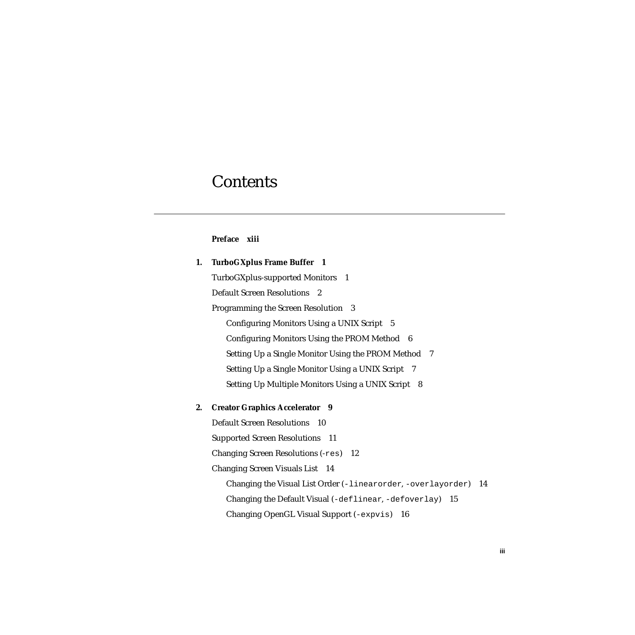# **Contents**

### **[Preface](#page-12-0) xiii**

| 1. | TurboGXplus Frame Buffer 1                                   |    |
|----|--------------------------------------------------------------|----|
|    | TurboGXplus-supported Monitors 1                             |    |
|    | <b>Default Screen Resolutions 2</b>                          |    |
|    | Programming the Screen Resolution 3                          |    |
|    | Configuring Monitors Using a UNIX Script 5                   |    |
|    | Configuring Monitors Using the PROM Method 6                 |    |
|    | Setting Up a Single Monitor Using the PROM Method 7          |    |
|    | Setting Up a Single Monitor Using a UNIX Script 7            |    |
|    | Setting Up Multiple Monitors Using a UNIX Script 8           |    |
| 2. | <b>Creator Graphics Accelerator 9</b>                        |    |
|    | <b>Default Screen Resolutions</b><br>- 10                    |    |
|    | <b>Supported Screen Resolutions</b> 11                       |    |
|    | Changing Screen Resolutions (-res) 12                        |    |
|    | Changing Screen Visuals List 14                              |    |
|    | Changing the Visual List Order (-linearorder, -overlayorder) | 14 |
|    | Changing the Default Visual (-deflinear, -defoverlay) 15     |    |
|    | Changing OpenGL Visual Support (-expvis)<br>16               |    |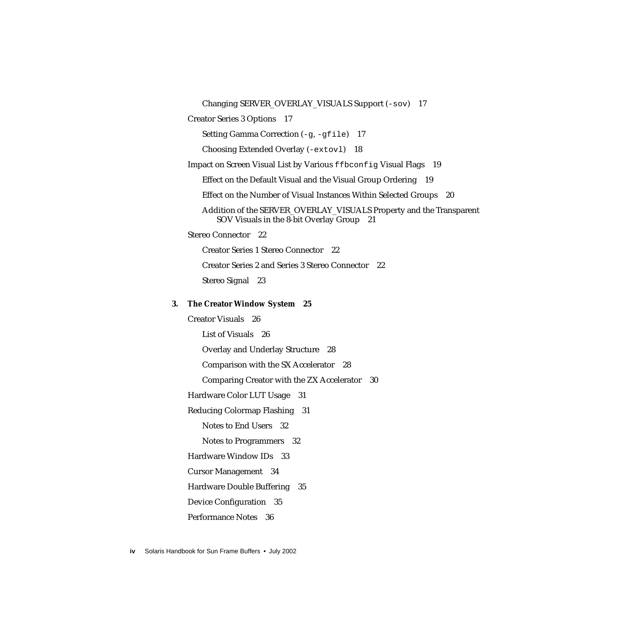### [Changing SERVER\\_OVERLAY\\_VISUALS Support \(](#page-32-0)-sov) 17 [Creator Series 3 Options 1](#page-32-1)7 [Setting Gamma Correction \(](#page-32-2)-g, -gfile) 17 [Choosing Extended Overlay \(](#page-33-0)-extovl) 18 [Impact on Screen Visual List by Various](#page-34-0) ffbconfig Visual Flags 19 [Effect on the Default Visual and the Visual Group Ordering 1](#page-34-1)9 [Effect on the Number of Visual Instances Within Selected Groups 2](#page-35-0)0 [Addition of the SERVER\\_OVERLAY\\_VISUALS Property and the Transparent](#page-36-0) [SOV Visuals in the 8-bit Overlay Group](#page-36-0) 21 [Stereo Connector 2](#page-37-0)2 [Creator Series 1 Stereo Connector](#page-37-1) 22 [Creator Series 2 and Series 3 Stereo Connector 2](#page-37-2)2 [Stereo Signal 2](#page-38-0)3

#### **3. [The Creator Window System](#page-40-0) 25**

[Creator Visuals](#page-41-0) 26 [List of Visuals 2](#page-41-1)6 [Overlay and Underlay Structure 2](#page-43-0)8 [Comparison with the SX Accelerator](#page-43-1) 28 [Comparing Creator with the ZX Accelerator 3](#page-45-0)0 [Hardware Color LUT Usage 3](#page-46-0)1 [Reducing Colormap Flashing 3](#page-46-1)1 [Notes to End Users](#page-47-0) 32 [Notes to Programmers](#page-47-1) 32 [Hardware Window IDs](#page-48-0) 33 [Cursor Management](#page-49-0) 34 [Hardware Double Buffering](#page-50-0) 35 [Device Configuration 3](#page-50-1)5 [Performance Notes 3](#page-51-0)6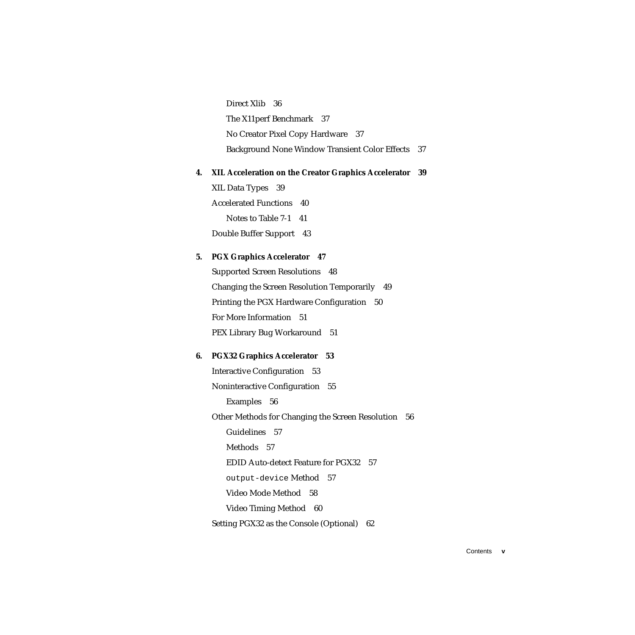[Direct Xlib 3](#page-51-1)6 [The X11perf Benchmark](#page-52-0) 37 [No Creator Pixel Copy Hardware](#page-52-1) 37 [Background None Window Transient Color Effects 3](#page-52-2)7

#### **4. [XIL Acceleration on the Creator Graphics Accelerator](#page-54-0) 39**

[XIL Data Types](#page-54-1) 39 [Accelerated Functions](#page-55-0) 40 [Notes to Table 7-1 4](#page-56-0)1 [Double Buffer Support](#page-58-0) 43

#### **5. [PGX Graphics Accelerator 4](#page-62-0)7**

[Supported Screen Resolutions 4](#page-63-0)8 [Changing the Screen Resolution Temporarily 4](#page-64-0)9 [Printing the PGX Hardware Configuration 5](#page-65-0)0 [For More Information 5](#page-66-0)1 [PEX Library Bug Workaround](#page-66-1) 51

#### **6. [PGX32 Graphics Accelerator](#page-68-0) 53**

[Interactive Configuration 5](#page-68-1)3 [Noninteractive Configuration](#page-70-0) 55 [Examples 5](#page-71-0)6 [Other Methods for Changing the Screen Resolution 5](#page-71-1)6 [Guidelines](#page-72-0) 57 [Methods 5](#page-72-1)7 [EDID Auto-detect Feature for PGX32](#page-72-2) 57 [output-device](#page-72-3) Method 57 [Video Mode Method](#page-73-0) 58 [Video Timing Method](#page-75-0) 60 [Setting PGX32 as the Console \(Optional\)](#page-77-0) 62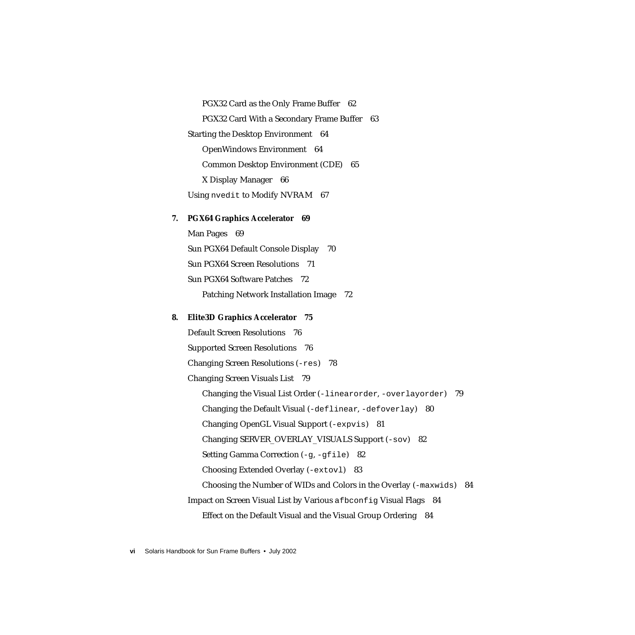[PGX32 Card as the Only Frame Buffer 6](#page-77-1)2 [PGX32 Card With a Secondary Frame Buffer 6](#page-78-0)3 [Starting the Desktop Environment](#page-79-0) 64 [OpenWindows Environment 6](#page-79-1)4 [Common Desktop Environment \(CDE\)](#page-80-0) 65 [X Display Manager](#page-81-0) 66 [Using](#page-82-0) nvedit to Modify NVRAM 67

#### **7. [PGX64 Graphics Accelerator](#page-84-0) 69**

[Man Pages](#page-84-1) 69 [Sun PGX64 Default Console Display](#page-85-0) 70 [Sun PGX64 Screen Resolutions 7](#page-86-0)1 [Sun PGX64 Software Patches 7](#page-87-0)2 [Patching Network Installation Image](#page-87-1) 72

#### **8. [Elite3D Graphics Accelerator 7](#page-90-0)5**

[Default Screen Resolutions 7](#page-91-0)6 [Supported Screen Resolutions 7](#page-91-1)6 [Changing Screen Resolutions \(](#page-93-0)-res) 78 [Changing Screen Visuals List](#page-94-0) 79 [Changing the Visual List Order \(](#page-94-1)-linearorder, -overlayorder) 79 [Changing the Default Visual \(](#page-95-0)-deflinear, -defoverlay) 80 [Changing OpenGL Visual Support \(](#page-96-0)-expvis) 81 [Changing SERVER\\_OVERLAY\\_VISUALS Support \(](#page-97-0)-sov) 82 Setting Gamma Correction  $(-q, -q$ file) 82 [Choosing Extended Overlay \(](#page-98-0)-extovl) 83 [Choosing the Number of WIDs and Colors in the Overlay \(](#page-99-0)-maxwids) 84 [Impact on Screen Visual List by Various](#page-99-1) afbconfig Visual Flags 84 [Effect on the Default Visual and the Visual Group Ordering 8](#page-99-2)4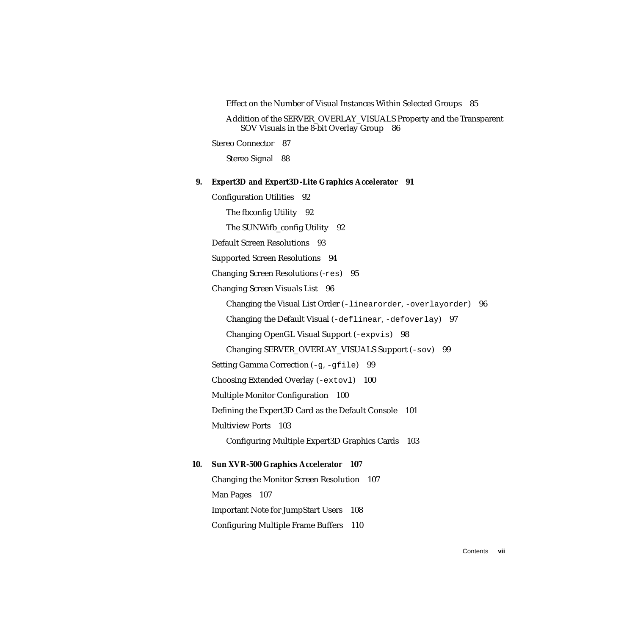[Effect on the Number of Visual Instances Within Selected Groups 8](#page-100-0)5

[Addition of the SERVER\\_OVERLAY\\_VISUALS Property and the Transparent](#page-101-0) [SOV Visuals in the 8-bit Overlay Group](#page-101-0) 86

[Stereo Connector 8](#page-102-0)7

[Stereo Signal 8](#page-103-0)8

#### **9. [Expert3D and Expert3D-Lite Graphics Accelerator 9](#page-106-0)1**

[Configuration Utilities](#page-107-0) 92

[The fbconfig Utility 9](#page-107-1)2

[The SUNWifb\\_config Utility 9](#page-107-2)2

[Default Screen Resolutions 9](#page-108-0)3

[Supported Screen Resolutions 9](#page-109-0)4

[Changing Screen Resolutions \(-](#page-110-0)res) 95

[Changing Screen Visuals List](#page-111-0) 96

[Changing the Visual List Order \(](#page-111-1)-linearorder, -overlayorder) 96

[Changing the Default Visual \(](#page-112-0)-deflinear, -defoverlay) 97

[Changing OpenGL Visual Support \(](#page-113-0)-expvis) 98

[Changing SERVER\\_OVERLAY\\_VISUALS Support \(](#page-114-0)-sov) 99

[Setting Gamma Correction \(](#page-114-1)-g, -gfile) 99

[Choosing Extended Overlay \(](#page-115-0)-extovl) 100

[Multiple Monitor Configuration](#page-115-1) 100

[Defining the Expert3D Card as the Default Console](#page-116-0) 101

[Multiview Ports](#page-118-0) 103

[Configuring Multiple Expert3D Graphics Cards](#page-118-1) 103

#### **10. [Sun XVR-500 Graphics Accelerator](#page-122-0) 107**

[Changing the Monitor Screen Resolution](#page-122-1) 107 [Man Pages](#page-122-2) 107 [Important Note for JumpStart Users 1](#page-123-0)08 [Configuring Multiple Frame Buffers 1](#page-125-0)10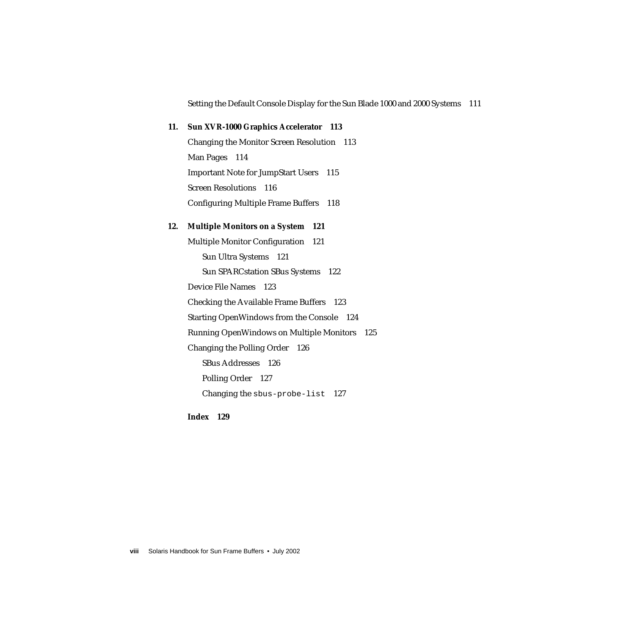[Setting the Default Console Display for the Sun Blade 1000 and 2000 Systems 1](#page-126-0)11

**11. [Sun XVR-1000 Graphics Accelerator 1](#page-128-0)13** [Changing the Monitor Screen Resolution](#page-128-1) 113 [Man Pages](#page-129-0) 114 [Important Note for JumpStart Users 1](#page-130-0)15 [Screen Resolutions](#page-131-0) 116 [Configuring Multiple Frame Buffers 1](#page-133-0)18

#### **12. [Multiple Monitors on a System 1](#page-136-0)21**

[Multiple Monitor Configuration](#page-136-1) 121 [Sun Ultra Systems 1](#page-136-2)21 [Sun SPARCstation SBus Systems](#page-137-0) 122 [Device File Names](#page-138-0) 123 [Checking the Available Frame Buffers 1](#page-138-1)23 [Starting OpenWindows from the Console](#page-139-0) 124 [Running OpenWindows on Multiple Monitors](#page-140-0) 125 [Changing the Polling Order 1](#page-141-0)26 [SBus Addresses 1](#page-141-1)26 [Polling Order 1](#page-142-0)27 [Changing the](#page-142-1) sbus-probe-list 127

**[Index 1](#page-144-0)29**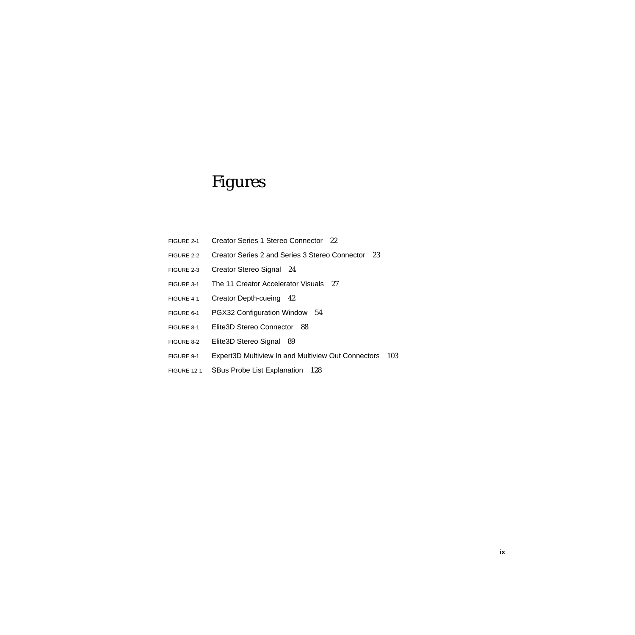## Figures

- FIGURE 2-1 Creator Series 1 Stereo Connector 22
- FIGURE 2-2 Creator Series 2 and Series 3 Stereo Connector 23
- FIGURE 2-3 Creator Stereo Signal 24
- FIGURE 3-1 The 11 Creator Accelerator Visuals 27
- FIGURE 4-1 Creator Depth-cueing 42
- FIGURE 6-1 PGX32 Configuration Window 54
- FIGURE 8-1 Elite3D Stereo Connector 88
- FIGURE 8-2 Elite3D Stereo Signal 89
- FIGURE 9-1 Expert3D Multiview In and Multiview Out Connectors 103
- FIGURE 12-1 SBus Probe List Explanation 128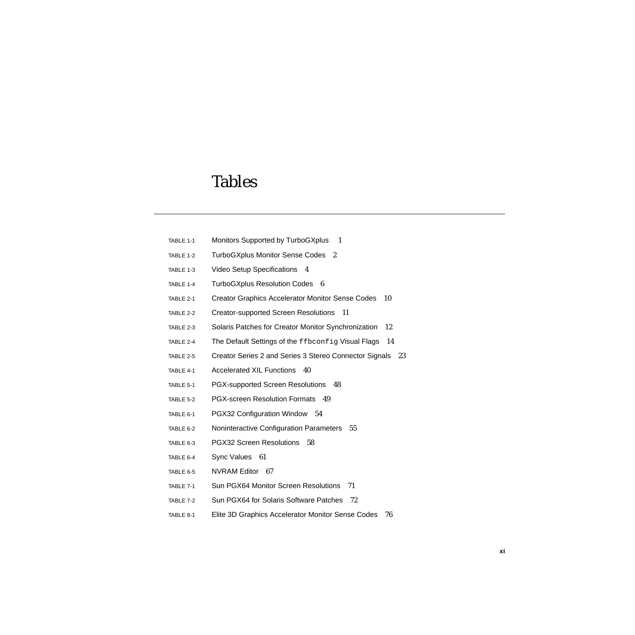## Tables

- TABLE 1-1 Monitors Supported by TurboGXplus 1
- TABLE 1-2 TurboGXplus Monitor Sense Codes 2
- TABLE 1-3 Video Setup Specifications 4
- TABLE 1-4 TurboGXplus Resolution Codes 6
- TABLE 2-1 Creator Graphics Accelerator Monitor Sense Codes 10
- TABLE 2-2 Creator-supported Screen Resolutions 11
- TABLE 2-3 Solaris Patches for Creator Monitor Synchronization 12
- TABLE 2-4 The Default Settings of the ffbconfig Visual Flags 14
- TABLE 2-5 Creator Series 2 and Series 3 Stereo Connector Signals 23
- TABLE 4-1 Accelerated XIL Functions 40
- TABLE 5-1 PGX-supported Screen Resolutions 48
- TABLE 5-2 PGX-screen Resolution Formats 49
- TABLE 6-1 PGX32 Configuration Window 54
- TABLE 6-2 Noninteractive Configuration Parameters 55
- TABLE 6-3 PGX32 Screen Resolutions 58
- TABLE 6-4 Sync Values 61
- TABLE 6-5 NVRAM Editor 67
- TABLE 7-1 Sun PGX64 Monitor Screen Resolutions 71
- TABLE 7-2 Sun PGX64 for Solaris Software Patches 72
- TABLE 8-1 Elite 3D Graphics Accelerator Monitor Sense Codes 76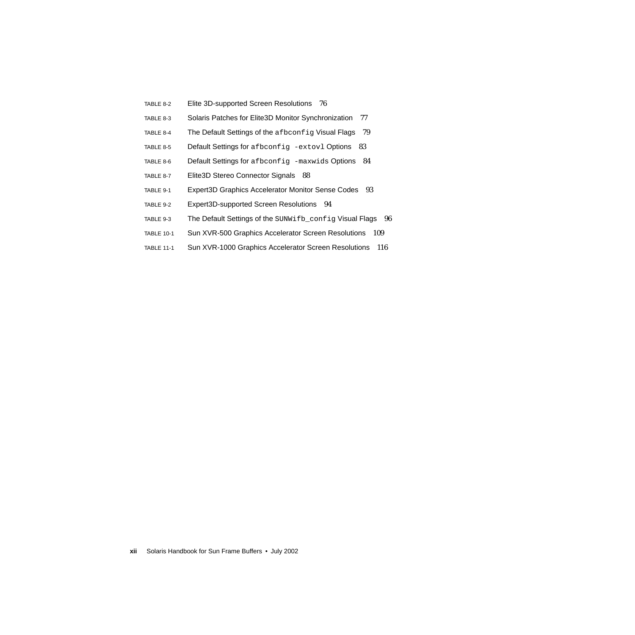- TABLE 8-2 Elite 3D-supported Screen Resolutions 76
- TABLE 8-3 Solaris Patches for Elite3D Monitor Synchronization 77
- TABLE 8-4 The Default Settings of the afbconfig Visual Flags 79
- TABLE 8-5 Default Settings for afbconfig -extovl Options 83
- TABLE 8-6 Default Settings for afbconfig -maxwids Options 84
- TABLE 8-7 Elite3D Stereo Connector Signals 88
- TABLE 9-1 Expert3D Graphics Accelerator Monitor Sense Codes 93
- TABLE 9-2 Expert3D-supported Screen Resolutions 94
- TABLE 9-3 The Default Settings of the SUNWifb\_config Visual Flags 96
- TABLE 10-1 Sun XVR-500 Graphics Accelerator Screen Resolutions 109
- TABLE 11-1 Sun XVR-1000 Graphics Accelerator Screen Resolutions 116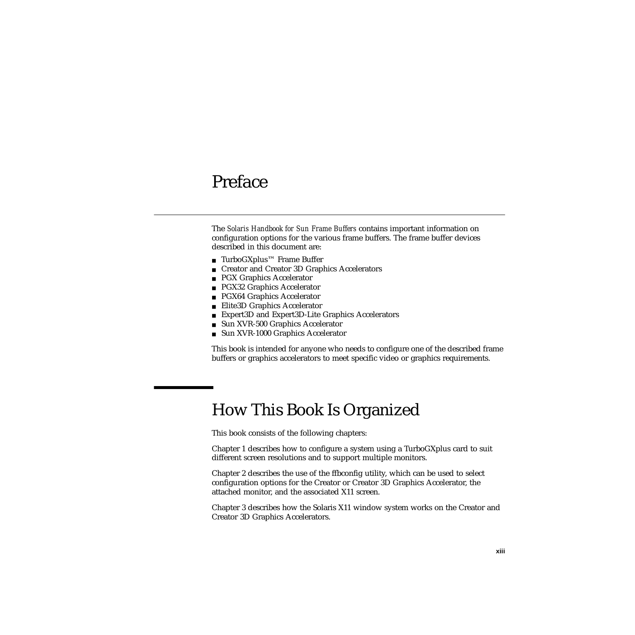## <span id="page-12-0"></span>Preface

The *Solaris Handbook for Sun Frame Buffers* contains important information on configuration options for the various frame buffers. The frame buffer devices described in this document are:

- TurboGXplus<sup>™</sup> Frame Buffer
- Creator and Creator 3D Graphics Accelerators
- PGX Graphics Accelerator
- PGX32 Graphics Accelerator
- PGX64 Graphics Accelerator
- Elite3D Graphics Accelerator
- Expert3D and Expert3D-Lite Graphics Accelerators
- Sun XVR-500 Graphics Accelerator
- Sun XVR-1000 Graphics Accelerator

This book is intended for anyone who needs to configure one of the described frame buffers or graphics accelerators to meet specific video or graphics requirements.

## How This Book Is Organized

This book consists of the following chapters:

[Chapter 1](#page-16-2) describes how to configure a system using a TurboGXplus card to suit different screen resolutions and to support multiple monitors.

[Chapter 2](#page-24-1) describes the use of the ffbconfig utility, which can be used to select configuration options for the Creator or Creator 3D Graphics Accelerator, the attached monitor, and the associated X11 screen.

[Chapter 3](#page-40-1) describes how the Solaris X11 window system works on the Creator and Creator 3D Graphics Accelerators.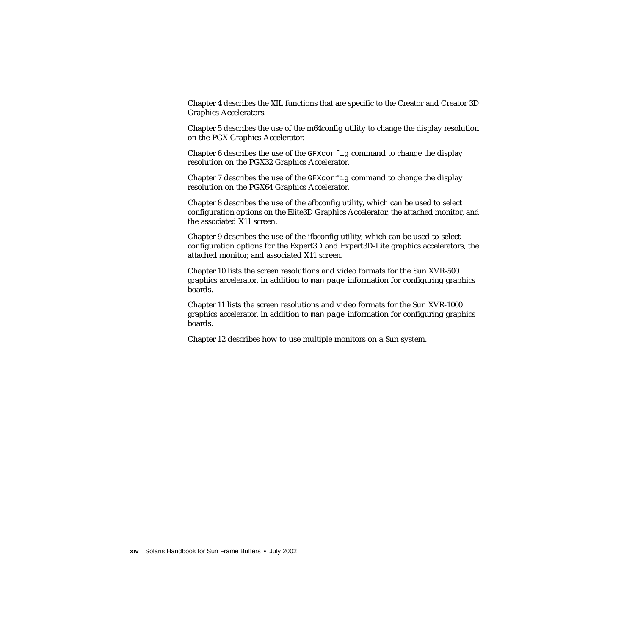[Chapter 4](#page-54-2) describes the XIL functions that are specific to the Creator and Creator 3D Graphics Accelerators.

[Chapter 5](#page-62-1) describes the use of the m64config utility to change the display resolution on the PGX Graphics Accelerator.

[Chapter 6](#page-68-2) describes the use of the GFXconfig command to change the display resolution on the PGX32 Graphics Accelerator.

[Chapter 7](#page-84-2) describes the use of the  $GFXconfiq$  command to change the display resolution on the PGX64 Graphics Accelerator.

[Chapter 8](#page-90-1) describes the use of the afbconfig utility, which can be used to select configuration options on the Elite3D Graphics Accelerator, the attached monitor, and the associated X11 screen.

[Chapter 9](#page-106-1) describes the use of the ifbconfig utility, which can be used to select configuration options for the Expert3D and Expert3D-Lite graphics accelerators, the attached monitor, and associated X11 screen.

[Chapter 10](#page-122-3) lists the screen resolutions and video formats for the Sun XVR-500 graphics accelerator, in addition to man page information for configuring graphics boards.

[Chapter 11](#page-128-2) lists the screen resolutions and video formats for the Sun XVR-1000 graphics accelerator, in addition to man page information for configuring graphics boards.

[Chapter 12](#page-136-3) describes how to use multiple monitors on a Sun system.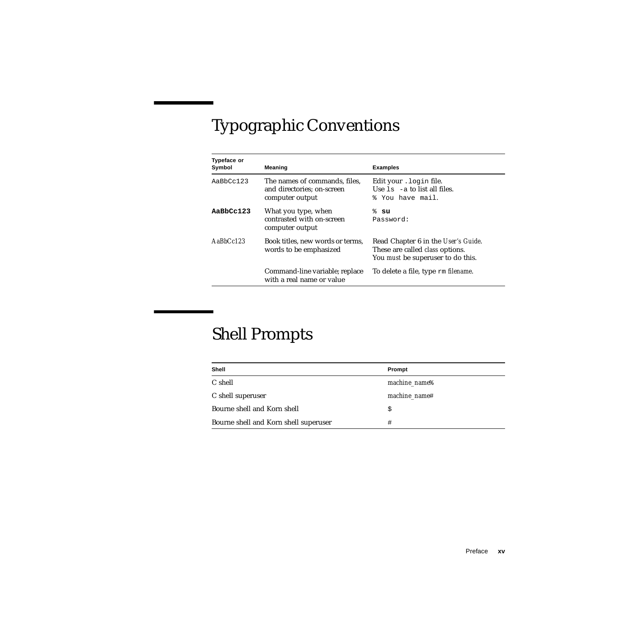# Typographic Conventions

| <b>Typeface or</b><br>Symbol | Meaning                                                                        | <b>Examples</b>                                                                                                           |
|------------------------------|--------------------------------------------------------------------------------|---------------------------------------------------------------------------------------------------------------------------|
| AaBbCc123                    | The names of commands, files,<br>and directories; on-screen<br>computer output | Edit your . login file.<br>Use $1s$ -a to list all files.<br>% You have mail.                                             |
| AaBbCc123                    | What you type, when<br>contrasted with on-screen<br>computer output            | ៖ su<br>Password:                                                                                                         |
| $A$ a $BbCc123$              | Book titles, new words or terms.<br>words to be emphasized                     | Read Chapter 6 in the User's Guide.<br>These are called <i>class</i> options.<br>You <i>must</i> be superuser to do this. |
|                              | Command-line variable; replace<br>with a real name or value                    | To delete a file, type rm filename.                                                                                       |

# Shell Prompts

| Shell                                 | Prompt                    |
|---------------------------------------|---------------------------|
| C shell                               | machine name <sup>§</sup> |
| C shell superuser                     | machine name#             |
| Bourne shell and Korn shell           | \$                        |
| Bourne shell and Korn shell superuser | #                         |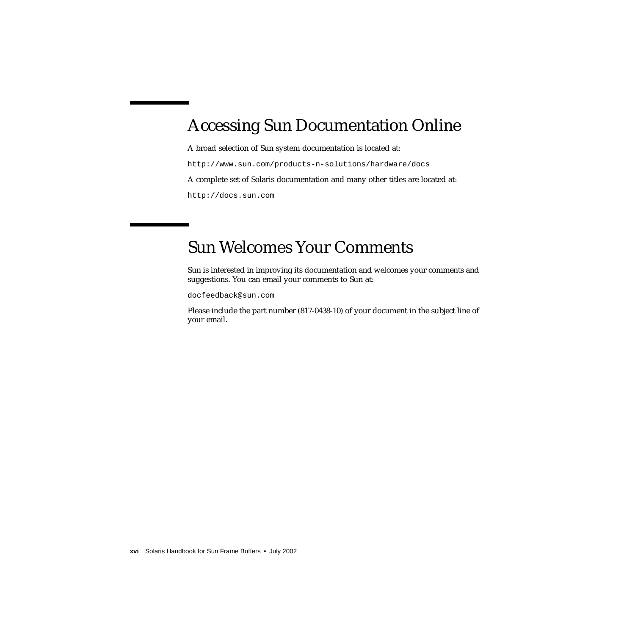# Accessing Sun Documentation Online

A broad selection of Sun system documentation is located at:

http://www.sun.com/products-n-solutions/hardware/docs

A complete set of Solaris documentation and many other titles are located at:

http://docs.sun.com

# Sun Welcomes Your Comments

Sun is interested in improving its documentation and welcomes your comments and suggestions. You can email your comments to Sun at:

docfeedback@sun.com

Please include the part number (817-0438-10) of your document in the subject line of your email.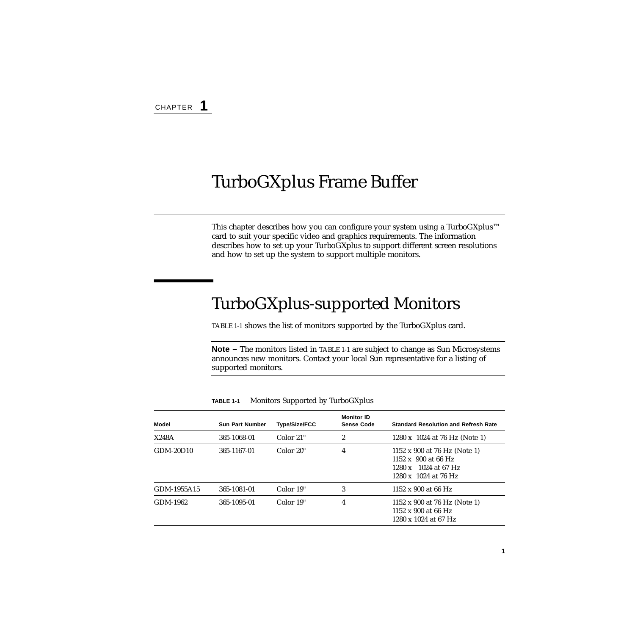# <span id="page-16-2"></span><span id="page-16-0"></span>TurboGXplus Frame Buffer

This chapter describes how you can configure your system using a TurboGXplus™ card to suit your specific video and graphics requirements. The information describes how to set up your TurboGXplus to support different screen resolutions and how to set up the system to support multiple monitors.

# <span id="page-16-1"></span>TurboGXplus-supported Monitors

[TABLE 1-1](#page-16-3) shows the list of monitors supported by the TurboGXplus card.

**Note –** The monitors listed in [TABLE 1-1](#page-16-3) are subject to change as Sun Microsystems announces new monitors. Contact your local Sun representative for a listing of supported monitors.

<span id="page-16-3"></span>

| Model       | <b>Sun Part Number</b> | <b>Type/Size/FCC</b> | <b>Monitor ID</b><br><b>Sense Code</b> | <b>Standard Resolution and Refresh Rate</b>                                                                              |
|-------------|------------------------|----------------------|----------------------------------------|--------------------------------------------------------------------------------------------------------------------------|
| X248A       | 365-1068-01            | Color 21"            | 2                                      | 1280 x 1024 at 76 Hz (Note 1)                                                                                            |
| $GDM-20D10$ | 365-1167-01            | Color 20"            | 4                                      | 1152 x 900 at 76 Hz (Note 1)<br>$1152 \times 900$ at 66 Hz<br>$1280 \times 1024$ at 67 Hz<br>$1280 \times 1024$ at 76 Hz |
| GDM-1955A15 | 365-1081-01            | Color 19"            | 3                                      | 1152 x 900 at 66 Hz                                                                                                      |
| GDM-1962    | 365-1095-01            | Color 19"            | 4                                      | 1152 x 900 at 76 Hz (Note 1)<br>1152 x 900 at 66 Hz<br>$1280 \times 1024$ at 67 Hz                                       |

**TABLE 1-1** Monitors Supported by TurboGXplus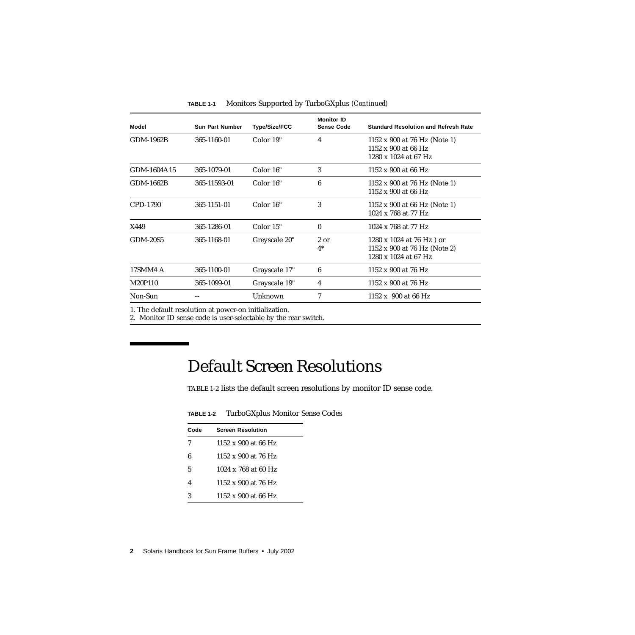| Model       | <b>Sun Part Number</b> | <b>Type/Size/FCC</b> | <b>Monitor ID</b><br><b>Sense Code</b> | <b>Standard Resolution and Refresh Rate</b>                                        |
|-------------|------------------------|----------------------|----------------------------------------|------------------------------------------------------------------------------------|
| $GDM-1962B$ | 365-1160-01            | Color 19"            | 4                                      | 1152 x 900 at 76 Hz (Note 1)<br>$1152 \times 900$ at 66 Hz<br>1280 x 1024 at 67 Hz |
| GDM-1604A15 | 365-1079-01            | Color 16"            | 3                                      | $1152 \times 900$ at 66 Hz                                                         |
| $GDM-1662B$ | 365-11593-01           | Color 16"            | 6                                      | 1152 x 900 at 76 Hz (Note 1)<br>$1152 \times 900$ at 66 Hz                         |
| CPD-1790    | 365-1151-01            | Color 16"            | 3                                      | 1152 x 900 at 66 Hz (Note 1)<br>1024 x 768 at 77 Hz                                |
| X449        | 365-1286-01            | Color 15"            | $\bf{0}$                               | 1024 x 768 at 77 Hz                                                                |
| GDM-20S5    | 365-1168-01            | Greyscale 20"        | 2 or<br>$4*$                           | 1280 x 1024 at 76 Hz ) or<br>1152 x 900 at 76 Hz (Note 2)<br>1280 x 1024 at 67 Hz  |
| 17SMM4 A    | 365-1100-01            | Grayscale 17"        | 6                                      | 1152 x 900 at 76 Hz                                                                |
| M20P110     | 365-1099-01            | Grayscale 19"        | 4                                      | 1152 x 900 at 76 Hz                                                                |
| Non-Sun     |                        | Unknown              | 7                                      | $1152 \times 900$ at 66 Hz                                                         |
|             |                        |                      |                                        |                                                                                    |

**TABLE 1-1** Monitors Supported by TurboGXplus *(Continued)*

1. The default resolution at power-on initialization.

<span id="page-17-0"></span>2. Monitor ID sense code is user-selectable by the rear switch.

# Default Screen Resolutions

[TABLE 1-2](#page-17-1) lists the default screen resolutions by monitor ID sense code.

<span id="page-17-1"></span>**TABLE 1-2** TurboGXplus Monitor Sense Codes

| Code | <b>Screen Resolution</b>   |
|------|----------------------------|
| 7    | $1152 \times 900$ at 66 Hz |
| 6    | 1152 x 900 at 76 Hz        |
| 5    | 1024 x 768 at 60 Hz        |
| 4    | 1152 x 900 at 76 Hz        |
| 3    | $1152 \times 900$ at 66 Hz |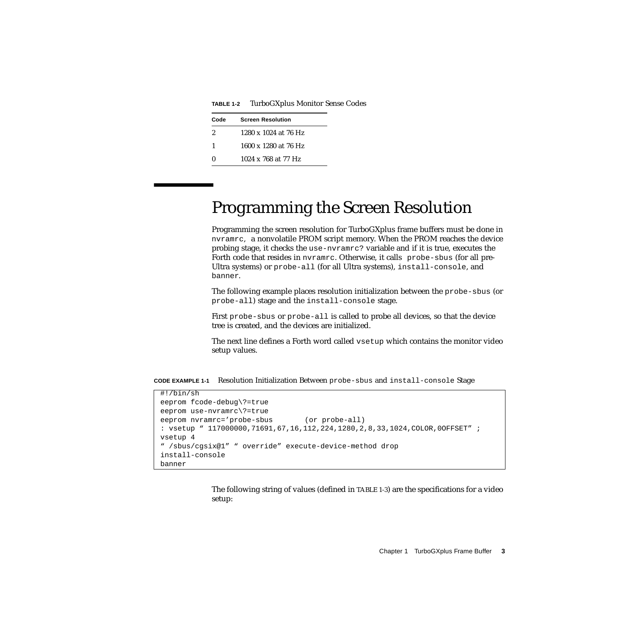**TABLE 1-2** TurboGXplus Monitor Sense Codes

| Code | <b>Screen Resolution</b>    |  |
|------|-----------------------------|--|
| 2    | $1280 \times 1024$ at 76 Hz |  |
| 1    | 1600 x 1280 at 76 Hz        |  |
|      | 1024 x 768 at 77 Hz         |  |

## <span id="page-18-0"></span>Programming the Screen Resolution

Programming the screen resolution for TurboGXplus frame buffers must be done in nvramrc, a nonvolatile PROM script memory. When the PROM reaches the device probing stage, it checks the use-nvramrc? variable and if it is true, executes the Forth code that resides in nvramrc. Otherwise, it calls probe-sbus (for all pre-Ultra systems) or probe-all (for all Ultra systems), install-console, and banner.

The following example places resolution initialization between the probe-sbus (or probe-all) stage and the install-console stage.

First probe-sbus or probe-all is called to probe all devices, so that the device tree is created, and the devices are initialized.

The next line defines a Forth word called vsetup which contains the monitor video setup values.

**CODE EXAMPLE 1-1** Resolution Initialization Between probe-sbus and install-console Stage

```
#!/bin/sh
eeprom fcode-debug\?=true
eeprom use-nvramrc\?=true
eeprom nvramrc='probe-sbus (or probe-all)
: vsetup " 117000000,71691,67,16,112,224,1280,2,8,33,1024,COLOR,0OFFSET" ;
vsetup 4
" /sbus/cgsix@1" " override" execute-device-method drop
install-console
banner
```
The following string of values (defined in [TABLE 1-3](#page-19-0)) are the specifications for a video setup: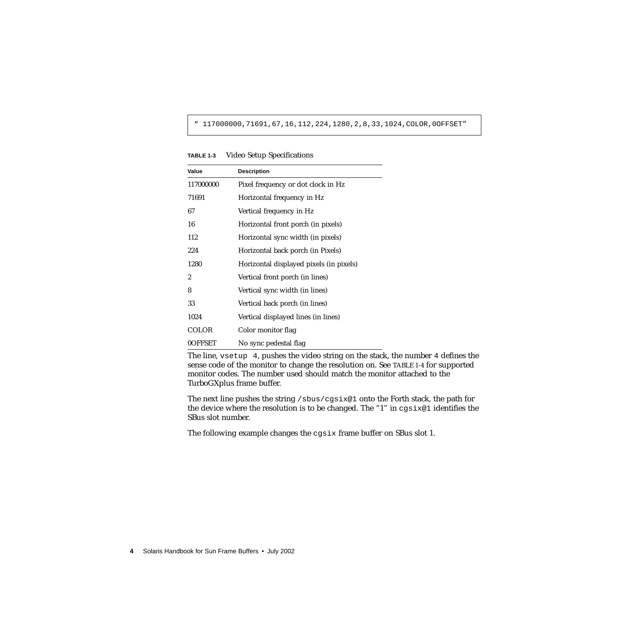" 117000000,71691,67,16,112,224,1280,2,8,33,1024,COLOR,0OFFSET"

<span id="page-19-0"></span>

| TABLE 1-3 |  |  | Video Setup Specifications |  |
|-----------|--|--|----------------------------|--|
|-----------|--|--|----------------------------|--|

| Value        | <b>Description</b>                      |
|--------------|-----------------------------------------|
| 117000000    | Pixel frequency or dot clock in Hz      |
| 71691        | Horizontal frequency in Hz              |
| 67           | Vertical frequency in Hz                |
| 16           | Horizontal front porch (in pixels)      |
| 112          | Horizontal sync width (in pixels)       |
| 224          | Horizontal back porch (in Pixels)       |
| 1280         | Horizontal displayed pixels (in pixels) |
| 2            | Vertical front porch (in lines)         |
| 8            | Vertical sync width (in lines)          |
| 33           | Vertical back porch (in lines)          |
| 1024         | Vertical displayed lines (in lines)     |
| <b>COLOR</b> | Color monitor flag                      |
| 0OFFSET      | No sync pedestal flag                   |

The line, vsetup 4, pushes the video string on the stack, the number 4 defines the sense code of the monitor to change the resolution on. See [TABLE 1-4](#page-21-1) for supported monitor codes. The number used should match the monitor attached to the TurboGXplus frame buffer.

The next line pushes the string /sbus/cgsix@1 onto the Forth stack, the path for the device where the resolution is to be changed. The "1" in  $\text{cgsi} \times \text{d}$  identifies the SBus slot number.

The following example changes the cgsix frame buffer on SBus slot 1.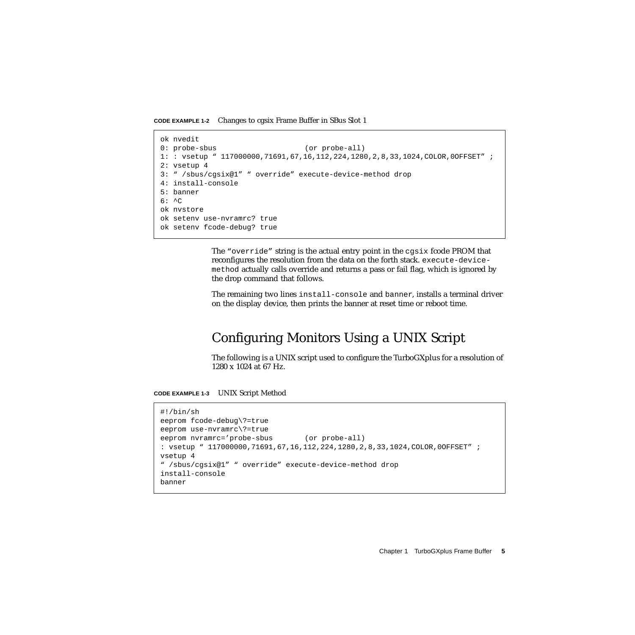**CODE EXAMPLE 1-2** Changes to cgsix Frame Buffer in SBus Slot 1

```
ok nvedit
0: probe-sbus (or probe-all)
1: : vsetup " 117000000,71691,67,16,112,224,1280,2,8,33,1024,COLOR,0OFFSET" ;
2: vsetup 4
3: " /sbus/cgsix@1" " override" execute-device-method drop
4: install-console
5: banner
6: \triangle Cok nvstore
ok setenv use-nvramrc? true
ok setenv fcode-debug? true
```
The "override" string is the actual entry point in the cgsix fcode PROM that reconfigures the resolution from the data on the forth stack. execute-devicemethod actually calls override and returns a pass or fail flag, which is ignored by the drop command that follows.

The remaining two lines install-console and banner, installs a terminal driver on the display device, then prints the banner at reset time or reboot time.

### Configuring Monitors Using a UNIX Script

The following is a UNIX script used to configure the TurboGXplus for a resolution of 1280 x 1024 at 67 Hz.

<span id="page-20-0"></span>**CODE EXAMPLE 1-3** UNIX Script Method

```
#!/bin/sh
eeprom fcode-debug\?=true
eeprom use-nvramrc\?=true
eeprom nvramrc='probe-sbus (or probe-all)
: vsetup " 117000000,71691,67,16,112,224,1280,2,8,33,1024,COLOR,0OFFSET" ;
vsetup 4
" /sbus/cgsix@1" " override" execute-device-method drop
install-console
banner
```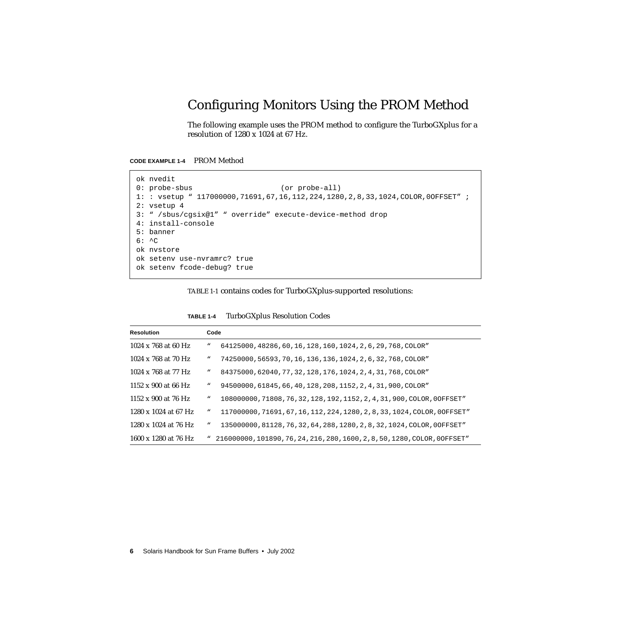### Configuring Monitors Using the PROM Method

The following example uses the PROM method to configure the TurboGXplus for a resolution of 1280 x 1024 at 67 Hz.

<span id="page-21-0"></span>**CODE EXAMPLE 1-4** PROM Method

```
ok nvedit
0: probe-sbus (or probe-all)
1: : vsetup " 117000000,71691,67,16,112,224,1280,2,8,33,1024,COLOR,0OFFSET" ;
2: vsetup 4
3: " /sbus/cgsix@1" " override" execute-device-method drop
4: install-console
5: banner
6: \triangle Cok nvstore
ok setenv use-nvramrc? true
ok setenv fcode-debug? true
```
[TABLE 1-1](#page-16-3) contains codes for TurboGXplus-supported resolutions:

<span id="page-21-1"></span>

| <b>Resolution</b>           | Code                                                            |  |  |  |
|-----------------------------|-----------------------------------------------------------------|--|--|--|
| 1024 x 768 at 60 Hz         | 64125000,48286,60,16,128,160,1024,2,6,29,768,COLOR"             |  |  |  |
| 1024 x 768 at 70 Hz         | 74250000,56593,70,16,136,136,1024,2,6,32,768,COLOR"             |  |  |  |
| 1024 x 768 at 77 Hz         | 84375000,62040,77,32,128,176,1024,2,4,31,768,COLOR"             |  |  |  |
| 1152 x 900 at 66 Hz         | 94500000,61845,66,40,128,208,1152,2,4,31,900,COLOR"             |  |  |  |
| 1152 x 900 at 76 Hz         | 108000000,71808,76,32,128,192,1152,2,4,31,900,COLOR,0OFFSET"    |  |  |  |
| 1280 x 1024 at 67 Hz        | 117000000,71691,67,16,112,224,1280,2,8,33,1024,COLOR,0OFFSET"   |  |  |  |
| $1280 \times 1024$ at 76 Hz | 135000000,81128,76,32,64,288,1280,2,8,32,1024,COLOR,0OFFSET"    |  |  |  |
| 1600 x 1280 at 76 Hz        | "216000000,101890,76,24,216,280,1600,2,8,50,1280,COLOR,0OFFSET" |  |  |  |

| TABLE 1-4 | TurboGXplus Resolution Codes |  |  |
|-----------|------------------------------|--|--|
|-----------|------------------------------|--|--|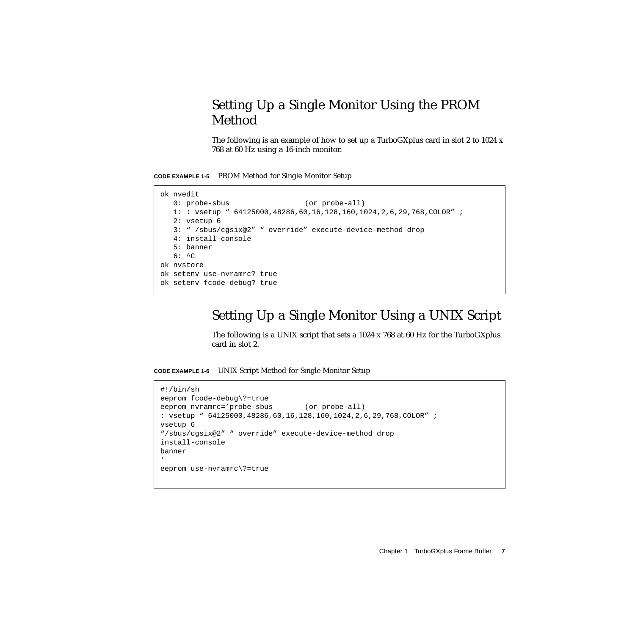### <span id="page-22-0"></span>Setting Up a Single Monitor Using the PROM Method

The following is an example of how to set up a TurboGXplus card in slot 2 to 1024 x 768 at 60 Hz using a 16-inch monitor.

**CODE EXAMPLE 1-5** PROM Method for Single Monitor Setup

```
ok nvedit
   0: probe-sbus (or probe-all)
   1: : vsetup " 64125000,48286,60,16,128,160,1024,2,6,29,768,COLOR" ;
   2: vsetup 6
   3: " /sbus/cgsix@2" " override" execute-device-method drop
   4: install-console
   5: banner
  6: \triangle Cok nvstore
ok setenv use-nvramrc? true
ok setenv fcode-debug? true
```
### Setting Up a Single Monitor Using a UNIX Script

The following is a UNIX script that sets a 1024 x 768 at 60 Hz for the TurboGXplus card in slot 2.

<span id="page-22-1"></span>**CODE EXAMPLE 1-6** UNIX Script Method for Single Monitor Setup

```
#!/bin/sh
eeprom fcode-debug\?=true
eeprom nvramrc='probe-sbus (or probe-all)
: vsetup " 64125000,48286,60,16,128,160,1024,2,6,29,768,COLOR" ;
vsetup 6
"/sbus/cgsix@2" " override" execute-device-method drop
install-console
banner
'
eeprom use-nvramrc\?=true
```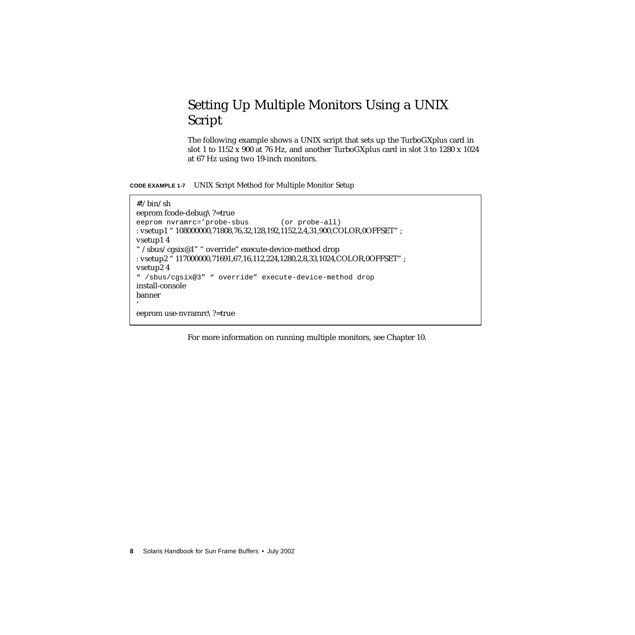### <span id="page-23-0"></span>Setting Up Multiple Monitors Using a UNIX Script

The following example shows a UNIX script that sets up the TurboGXplus card in slot 1 to 1152 x 900 at 76 Hz, and another TurboGXplus card in slot 3 to 1280 x 1024 at 67 Hz using two 19-inch monitors.

**CODE EXAMPLE 1-7** UNIX Script Method for Multiple Monitor Setup

```
#!/bin/sh
eeprom fcode-debug\?=true
eeprom nvramrc='probe-sbus (or probe-all)
: vsetup1 " 108000000,71808,76,32,128,192,1152,2,4,31,900,COLOR,0OFFSET" ;
vsetup1 4
" /sbus/cgsix@1" " override" execute-device-method drop
: vsetup2 " 117000000,71691,67,16,112,224,1280,2,8,33,1024,COLOR,0OFFSET" ;
vsetup2 4
" /sbus/cgsix@3" " override" execute-device-method drop
install-console
banner
\ddot{\phantom{0}}eeprom use-nvramrc\?=true
```
For more information on running multiple monitors, see Chapter 10.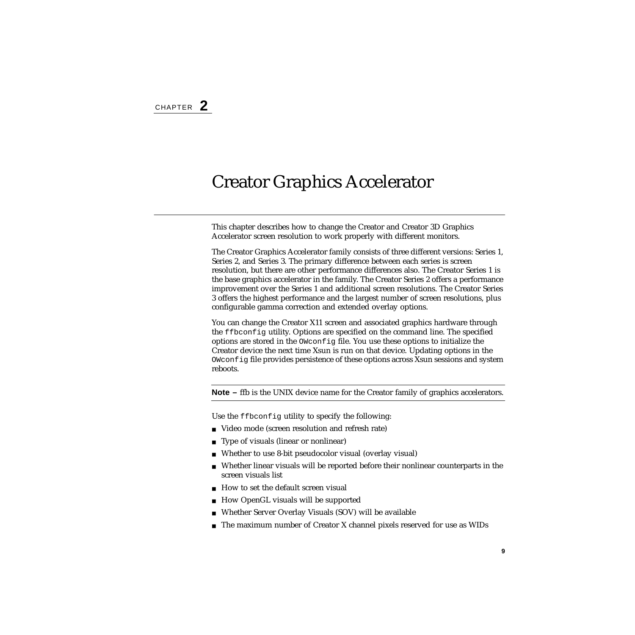## <span id="page-24-1"></span><span id="page-24-0"></span>Creator Graphics Accelerator

This chapter describes how to change the Creator and Creator 3D Graphics Accelerator screen resolution to work properly with different monitors.

The Creator Graphics Accelerator family consists of three different versions: Series 1, Series 2, and Series 3. The primary difference between each series is screen resolution, but there are other performance differences also. The Creator Series 1 is the base graphics accelerator in the family. The Creator Series 2 offers a performance improvement over the Series 1 and additional screen resolutions. The Creator Series 3 offers the highest performance and the largest number of screen resolutions, plus configurable gamma correction and extended overlay options.

You can change the Creator X11 screen and associated graphics hardware through the ffbconfig utility. Options are specified on the command line. The specified options are stored in the OWconfig file. You use these options to initialize the Creator device the next time Xsun is run on that device. Updating options in the OWconfig file provides persistence of these options across Xsun sessions and system reboots.

**Note –** ffb is the UNIX device name for the Creator family of graphics accelerators.

Use the ffbconfig utility to specify the following:

- Video mode (screen resolution and refresh rate)
- Type of visuals (linear or nonlinear)
- Whether to use 8-bit pseudocolor visual (overlay visual)
- Whether linear visuals will be reported before their nonlinear counterparts in the screen visuals list
- How to set the default screen visual
- How OpenGL visuals will be supported
- Whether Server Overlay Visuals (SOV) will be available
- The maximum number of Creator X channel pixels reserved for use as WIDs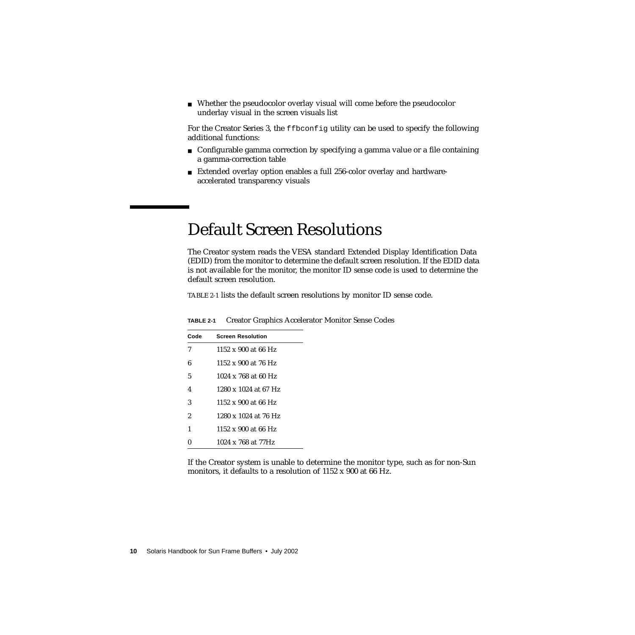■ Whether the pseudocolor overlay visual will come before the pseudocolor underlay visual in the screen visuals list

For the Creator Series 3, the ffbconfig utility can be used to specify the following additional functions:

- Configurable gamma correction by specifying a gamma value or a file containing a gamma-correction table
- Extended overlay option enables a full 256-color overlay and hardwareaccelerated transparency visuals

# <span id="page-25-0"></span>Default Screen Resolutions

The Creator system reads the VESA standard Extended Display Identification Data (EDID) from the monitor to determine the default screen resolution. If the EDID data is not available for the monitor, the monitor ID sense code is used to determine the default screen resolution.

[TABLE 2-1](#page-25-1) lists the default screen resolutions by monitor ID sense code.

<span id="page-25-1"></span>**TABLE 2-1** Creator Graphics Accelerator Monitor Sense Codes

| Code           | <b>Screen Resolution</b>    |
|----------------|-----------------------------|
| 7              | $1152 \times 900$ at 66 Hz  |
| 6              | 1152 x 900 at 76 Hz         |
| 5              | $1024 \times 768$ at 60 Hz  |
| 4              | $1280 \times 1024$ at 67 Hz |
| 3              | $1152 \times 900$ at 66 Hz  |
| $\overline{2}$ | 1280 x 1024 at 76 Hz        |
| 1              | $1152 \times 900$ at 66 Hz  |
|                | 1024 x 768 at 77Hz          |

If the Creator system is unable to determine the monitor type, such as for non-Sun monitors, it defaults to a resolution of 1152 x 900 at 66 Hz.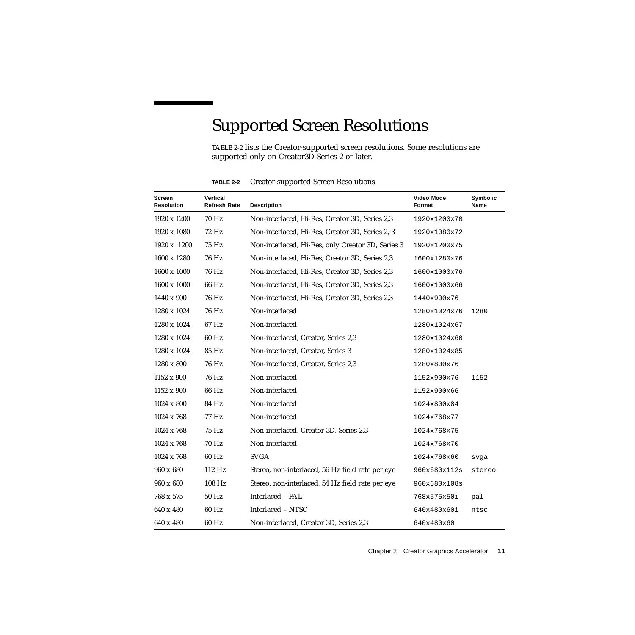# <span id="page-26-0"></span>Supported Screen Resolutions

[TABLE 2-2](#page-26-1) lists the Creator-supported screen resolutions. Some resolutions are supported only on Creator3D Series 2 or later.

<span id="page-26-1"></span>

| Screen<br><b>Resolution</b> | <b>Vertical</b><br><b>Refresh Rate</b> | <b>Description</b>                                | Video Mode<br>Format | Symbolic<br><b>Name</b> |
|-----------------------------|----------------------------------------|---------------------------------------------------|----------------------|-------------------------|
| 1920 x 1200                 | 70 Hz                                  | Non-interlaced, Hi-Res, Creator 3D, Series 2,3    | 1920x1200x70         |                         |
| 1920 x 1080                 | 72 Hz                                  | Non-interlaced, Hi-Res, Creator 3D, Series 2, 3   | 1920x1080x72         |                         |
| 1920 x 1200                 | 75 Hz                                  | Non-interlaced, Hi-Res, only Creator 3D, Series 3 | 1920x1200x75         |                         |
| 1600 x 1280                 | 76 Hz                                  | Non-interlaced, Hi-Res, Creator 3D, Series 2,3    | 1600x1280x76         |                         |
| 1600 x 1000                 | 76 Hz                                  | Non-interlaced, Hi-Res, Creator 3D, Series 2,3    | 1600x1000x76         |                         |
| $1600 \times 1000$          | 66 Hz                                  | Non-interlaced, Hi-Res, Creator 3D, Series 2.3    | 1600x1000x66         |                         |
| 1440 x 900                  | 76 Hz                                  | Non-interlaced, Hi-Res, Creator 3D, Series 2,3    | 1440x900x76          |                         |
| 1280 x 1024                 | 76 Hz                                  | Non-interlaced                                    | 1280x1024x76         | 1280                    |
| 1280 x 1024                 | 67 Hz                                  | Non-interlaced                                    | 1280x1024x67         |                         |
| 1280 x 1024                 | 60 Hz                                  | Non-interlaced, Creator, Series 2,3               | 1280x1024x60         |                         |
| 1280 x 1024                 | 85 Hz                                  | Non-interlaced, Creator, Series 3                 | 1280x1024x85         |                         |
| 1280 x 800                  | 76 Hz                                  | Non-interlaced, Creator, Series 2,3               | 1280x800x76          |                         |
| 1152 x 900                  | 76 Hz                                  | Non-interlaced                                    | 1152x900x76          | 1152                    |
| 1152 x 900                  | 66 Hz                                  | Non-interlaced                                    | 1152x900x66          |                         |
| 1024 x 800                  | 84 Hz                                  | Non-interlaced                                    | 1024x800x84          |                         |
| 1024 x 768                  | 77 Hz                                  | Non-interlaced                                    | 1024x768x77          |                         |
| 1024 x 768                  | 75 Hz                                  | Non-interlaced, Creator 3D, Series 2,3            | 1024x768x75          |                         |
| 1024 x 768                  | 70 Hz                                  | Non-interlaced                                    | 1024x768x70          |                         |
| 1024 x 768                  | $60$ Hz                                | <b>SVGA</b>                                       | 1024x768x60          | svga                    |
| $960 \times 680$            | $112$ Hz                               | Stereo, non-interlaced, 56 Hz field rate per eye  | 960x680x112s         | stereo                  |
| 960 x 680                   | 108 Hz                                 | Stereo, non-interlaced, 54 Hz field rate per eye  | 960x680x108s         |                         |
| 768 x 575                   | 50 Hz                                  | Interlaced - PAL                                  | 768x575x50i          | pal                     |
| 640 x 480                   | $60$ Hz                                | Interlaced - NTSC                                 | 640x480x60i          | ntsc                    |
| 640 x 480                   | 60 Hz                                  | Non-interlaced, Creator 3D, Series 2,3            | 640x480x60           |                         |

**TABLE 2-2** Creator-supported Screen Resolutions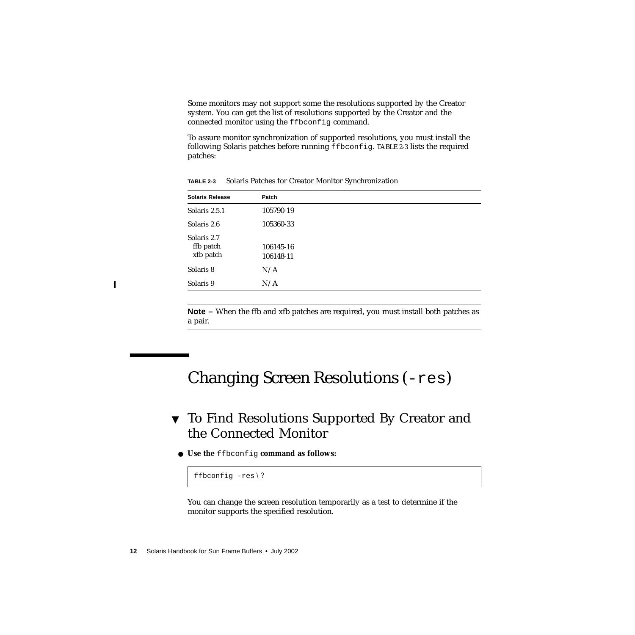Some monitors may not support some the resolutions supported by the Creator system. You can get the list of resolutions supported by the Creator and the connected monitor using the ffbconfig command.

To assure monitor synchronization of supported resolutions, you must install the following Solaris patches before running ffbconfig. [TABLE 2-3](#page-27-1) lists the required patches:

| <b>Solaris Release</b>                | Patch                  |  |
|---------------------------------------|------------------------|--|
| Solaris 2.5.1                         | 105790-19              |  |
| Solaris 2.6                           | 105360-33              |  |
| Solaris 2.7<br>ffb patch<br>xfb patch | 106145-16<br>106148-11 |  |
| Solaris 8                             | N/A                    |  |
| Solaris 9                             | N/A                    |  |

<span id="page-27-1"></span>**TABLE 2-3** Solaris Patches for Creator Monitor Synchronization

**Note –** When the ffb and xfb patches are required, you must install both patches as a pair.

## <span id="page-27-0"></span>Changing Screen Resolutions (-res)

- ▼ To Find Resolutions Supported By Creator and the Connected Monitor
	- **Use the** ffbconfig **command as follows:**

ffbconfig -res *\?*

You can change the screen resolution temporarily as a test to determine if the monitor supports the specified resolution.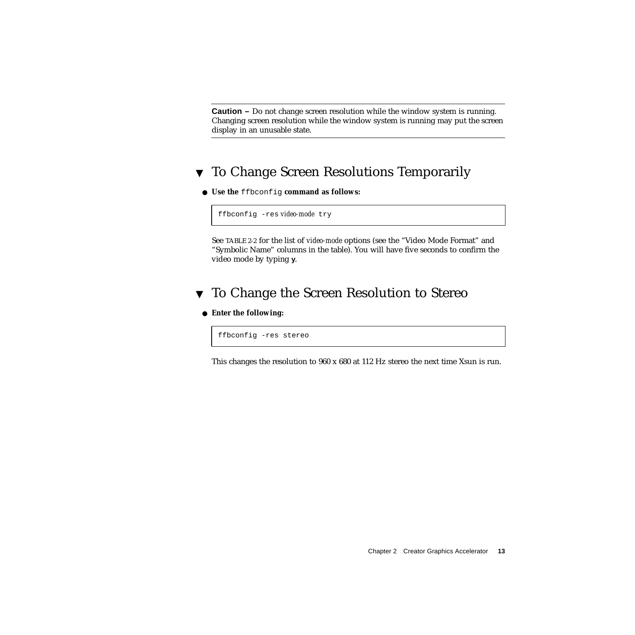**Caution –** Do not change screen resolution while the window system is running. Changing screen resolution while the window system is running may put the screen display in an unusable state.

- ▼ To Change Screen Resolutions Temporarily
	- **Use the** ffbconfig **command as follows:**

ffbconfig -res *video-mode* try

See [TABLE 2-2](#page-26-1) for the list of *video-mode* options (see the "Video Mode Format" and "Symbolic Name" columns in the table). You will have five seconds to confirm the video mode by typing **y**.

### ▼ To Change the Screen Resolution to Stereo

● **Enter the following:**

ffbconfig -res stereo

This changes the resolution to 960 x 680 at 112 Hz stereo the next time Xsun is run.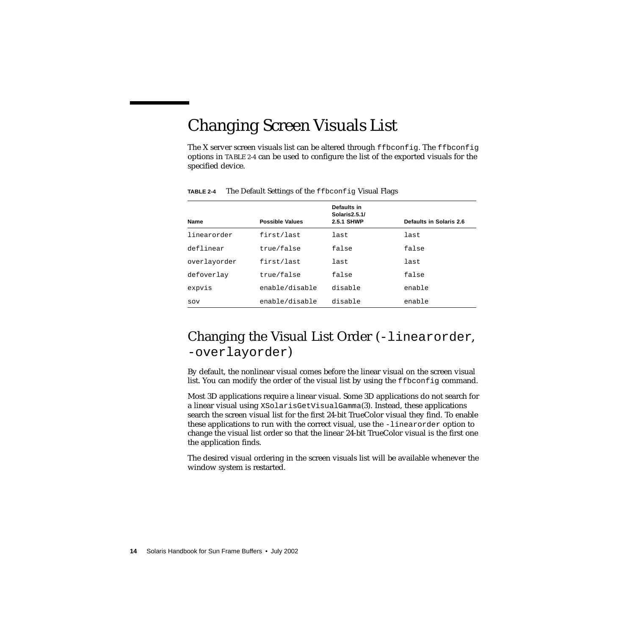# <span id="page-29-0"></span>Changing Screen Visuals List

The X server screen visuals list can be altered through  $ffbconfiq$ . The  $ffbconfiq$ options in [TABLE 2-4](#page-29-2) can be used to configure the list of the exported visuals for the specified device.

|              |                        | Defaults in<br>Solaris 2.5.1/ |                         |
|--------------|------------------------|-------------------------------|-------------------------|
| Name         | <b>Possible Values</b> | <b>2.5.1 SHWP</b>             | Defaults in Solaris 2.6 |
| linearorder  | first/last             | last                          | last                    |
| deflinear    | true/false             | false                         | false                   |
| overlayorder | first/last             | last                          | last                    |
| defoverlay   | true/false             | false                         | false                   |
| expvis       | enable/disable         | disable                       | enable                  |
| SOV          | enable/disable         | disable                       | enable                  |

<span id="page-29-2"></span>**TABLE 2-4** The Default Settings of the ffbconfig Visual Flags

### <span id="page-29-1"></span>Changing the Visual List Order (-linearorder, -overlayorder)

By default, the nonlinear visual comes before the linear visual on the screen visual list. You can modify the order of the visual list by using the ffbconfig command.

Most 3D applications require a linear visual. Some 3D applications do not search for a linear visual using XSolarisGetVisualGamma(3). Instead, these applications search the screen visual list for the first 24-bit TrueColor visual they find. To enable these applications to run with the correct visual, use the -linearorder option to change the visual list order so that the linear 24-bit TrueColor visual is the first one the application finds.

The desired visual ordering in the screen visuals list will be available whenever the window system is restarted.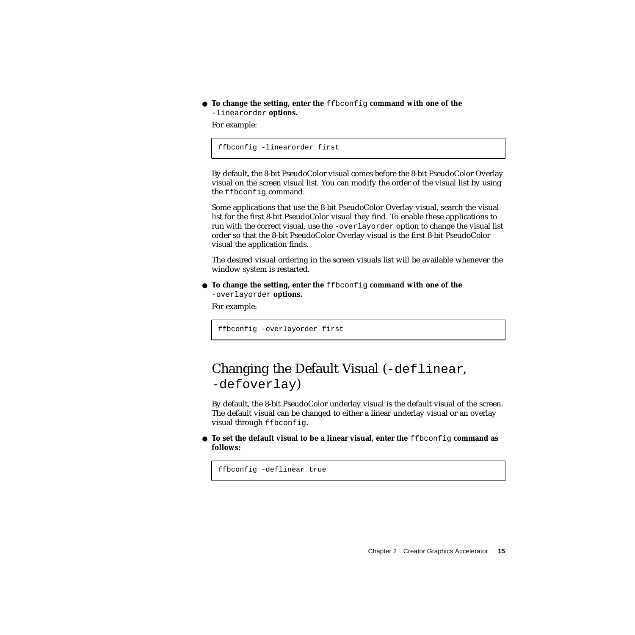● **To change the setting, enter the** ffbconfig **command with one of the** -linearorder **options.**

For example:

```
ffbconfig -linearorder first
```
By default, the 8-bit PseudoColor visual comes before the 8-bit PseudoColor Overlay visual on the screen visual list. You can modify the order of the visual list by using the ffbconfig command.

Some applications that use the 8-bit PseudoColor Overlay visual, search the visual list for the first 8-bit PseudoColor visual they find. To enable these applications to run with the correct visual, use the -overlayorder option to change the visual list order so that the 8-bit PseudoColor Overlay visual is the first 8-bit PseudoColor visual the application finds.

The desired visual ordering in the screen visuals list will be available whenever the window system is restarted.

● **To change the setting, enter the** ffbconfig **command with one of the** -overlayorder **options.**

For example:

ffbconfig -overlayorder first

## <span id="page-30-0"></span>Changing the Default Visual (-deflinear, -defoverlay)

By default, the 8-bit PseudoColor underlay visual is the default visual of the screen. The default visual can be changed to either a linear underlay visual or an overlay visual through ffbconfig.

● **To set the default visual to be a linear visual, enter the** ffbconfig **command as follows:**

ffbconfig -deflinear true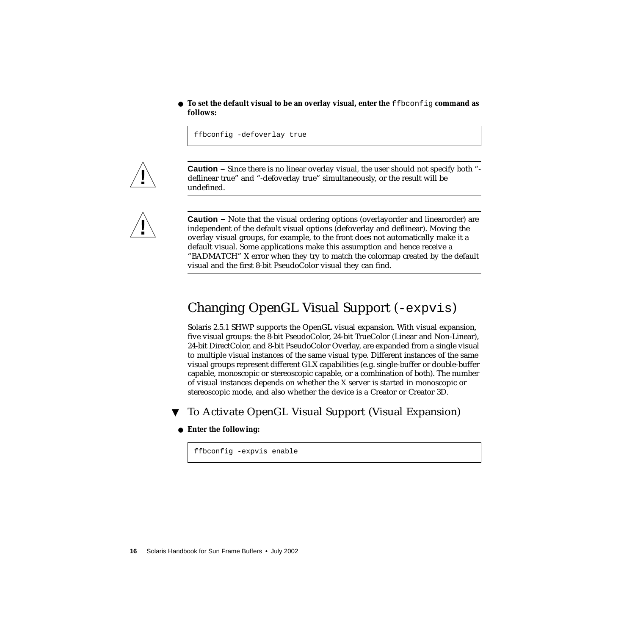● **To set the default visual to be an overlay visual, enter the** ffbconfig **command as follows:**

ffbconfig -defoverlay true



**Caution** – Since there is no linear overlay visual, the user should not specify both "deflinear true" and "-defoverlay true" simultaneously, or the result will be undefined.



**Caution –** Note that the visual ordering options (overlayorder and linearorder) are independent of the default visual options (defoverlay and deflinear). Moving the overlay visual groups, for example, to the front does not automatically make it a default visual. Some applications make this assumption and hence receive a "BADMATCH" X error when they try to match the colormap created by the default visual and the first 8-bit PseudoColor visual they can find.

## <span id="page-31-0"></span>Changing OpenGL Visual Support (-expvis)

Solaris 2.5.1 SHWP supports the OpenGL visual expansion. With visual expansion, five visual groups: the 8-bit PseudoColor, 24-bit TrueColor (Linear and Non-Linear), 24-bit DirectColor, and 8-bit PseudoColor Overlay, are expanded from a single visual to multiple visual instances of the same visual type. Different instances of the same visual groups represent different GLX capabilities (e.g. single-buffer or double-buffer capable, monoscopic or stereoscopic capable, or a combination of both). The number of visual instances depends on whether the X server is started in monoscopic or stereoscopic mode, and also whether the device is a Creator or Creator 3D.

### ▼ To Activate OpenGL Visual Support (Visual Expansion)

#### ● **Enter the following:**

ffbconfig -expvis enable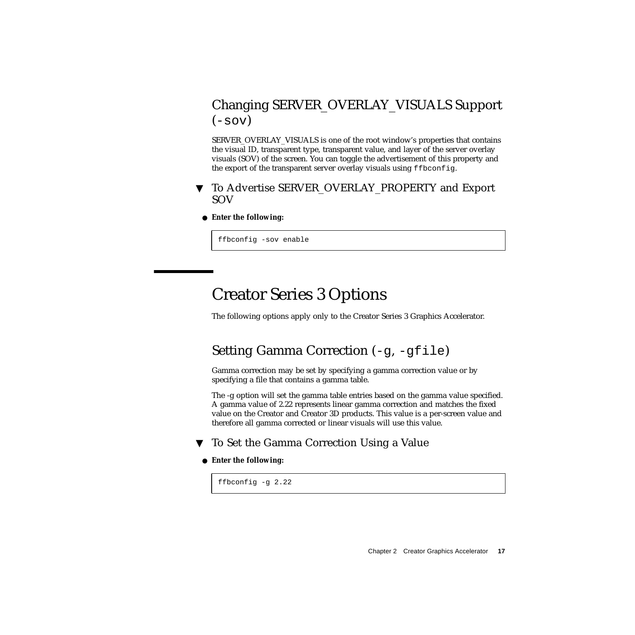## <span id="page-32-0"></span>Changing SERVER\_OVERLAY\_VISUALS Support  $(-\text{sov})$

SERVER\_OVERLAY\_VISUALS is one of the root window's properties that contains the visual ID, transparent type, transparent value, and layer of the server overlay visuals (SOV) of the screen. You can toggle the advertisement of this property and the export of the transparent server overlay visuals using ffbconfig.

- ▼ To Advertise SERVER\_OVERLAY\_PROPERTY and Export SOV
	- **Enter the following:**

ffbconfig -sov enable

## <span id="page-32-1"></span>Creator Series 3 Options

The following options apply only to the Creator Series 3 Graphics Accelerator.

### <span id="page-32-2"></span>Setting Gamma Correction (-g, -gfile)

Gamma correction may be set by specifying a gamma correction value or by specifying a file that contains a gamma table.

The -g option will set the gamma table entries based on the gamma value specified. A gamma value of 2.22 represents linear gamma correction and matches the fixed value on the Creator and Creator 3D products. This value is a per-screen value and therefore all gamma corrected or linear visuals will use this value.

### To Set the Gamma Correction Using a Value

● **Enter the following:**

ffbconfig -g 2.22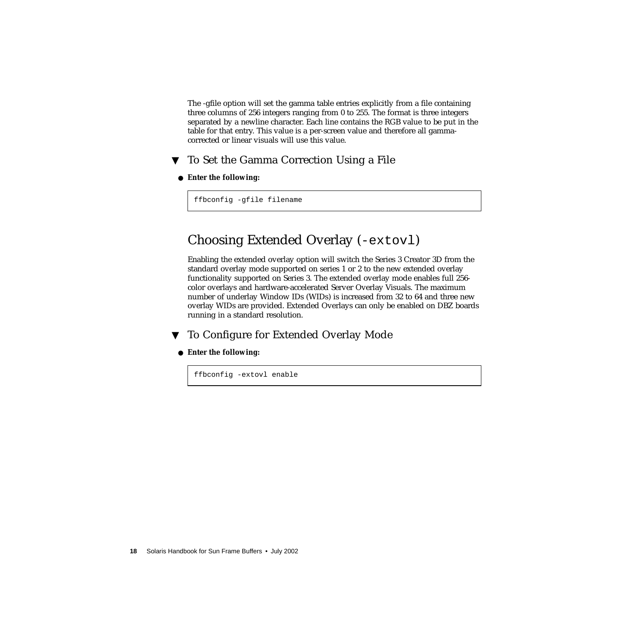The -gfile option will set the gamma table entries explicitly from a file containing three columns of 256 integers ranging from 0 to 255. The format is three integers separated by a newline character. Each line contains the RGB value to be put in the table for that entry. This value is a per-screen value and therefore all gammacorrected or linear visuals will use this value.

### ▼ To Set the Gamma Correction Using a File

● **Enter the following:**

ffbconfig -gfile filename

### <span id="page-33-0"></span>Choosing Extended Overlay (-extovl)

Enabling the extended overlay option will switch the Series 3 Creator 3D from the standard overlay mode supported on series 1 or 2 to the new extended overlay functionality supported on Series 3. The extended overlay mode enables full 256 color overlays and hardware-accelerated Server Overlay Visuals. The maximum number of underlay Window IDs (WIDs) is increased from 32 to 64 and three new overlay WIDs are provided. Extended Overlays can only be enabled on DBZ boards running in a standard resolution.

▼ To Configure for Extended Overlay Mode

● **Enter the following:**

ffbconfig -extovl enable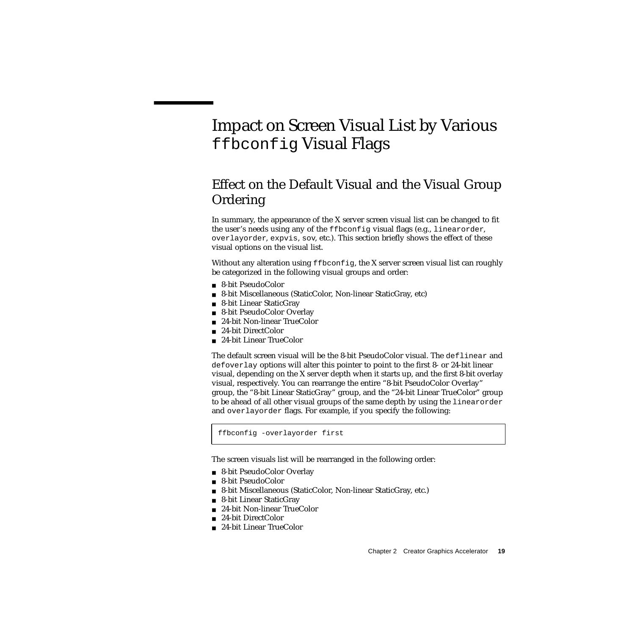# <span id="page-34-0"></span>Impact on Screen Visual List by Various ffbconfig Visual Flags

## <span id="page-34-1"></span>Effect on the Default Visual and the Visual Group Ordering

In summary, the appearance of the X server screen visual list can be changed to fit the user's needs using any of the ffbconfig visual flags (e.g., linearorder, overlayorder, expvis, sov, etc.). This section briefly shows the effect of these visual options on the visual list.

Without any alteration using ffbconfig, the X server screen visual list can roughly be categorized in the following visual groups and order:

- 8-bit PseudoColor
- 8-bit Miscellaneous (StaticColor, Non-linear StaticGray, etc)
- 8-bit Linear StaticGray
- 8-bit PseudoColor Overlay
- 24-bit Non-linear TrueColor
- 24-bit DirectColor
- 24-bit Linear TrueColor

The default screen visual will be the 8-bit PseudoColor visual. The deflinear and defoverlay options will alter this pointer to point to the first 8- or 24-bit linear visual, depending on the X server depth when it starts up, and the first 8-bit overlay visual, respectively. You can rearrange the entire "8-bit PseudoColor Overlay" group, the "8-bit Linear StaticGray" group, and the "24-bit Linear TrueColor" group to be ahead of all other visual groups of the same depth by using the linearorder and overlayorder flags. For example, if you specify the following:

ffbconfig -overlayorder first

The screen visuals list will be rearranged in the following order:

- 8-bit PseudoColor Overlay
- 8-bit PseudoColor
- 8-bit Miscellaneous (StaticColor, Non-linear StaticGray, etc.)
- 8-bit Linear StaticGray
- 24-bit Non-linear TrueColor
- 24-bit DirectColor
- 24-bit Linear TrueColor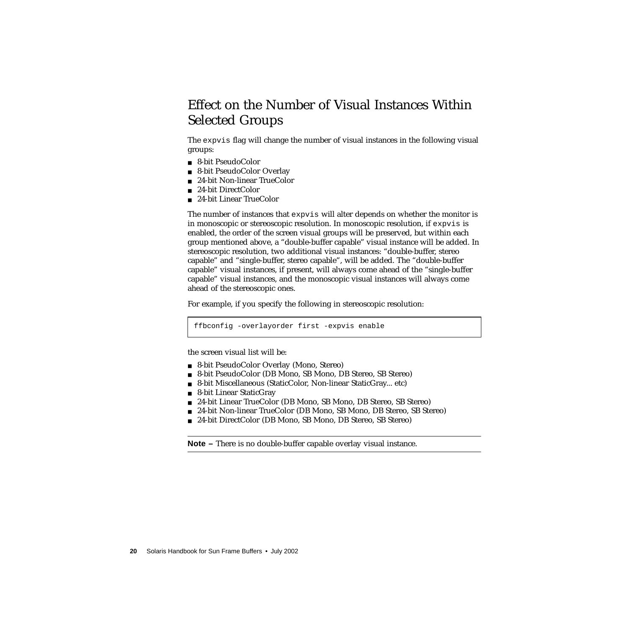## <span id="page-35-0"></span>Effect on the Number of Visual Instances Within Selected Groups

The expvis flag will change the number of visual instances in the following visual groups:

- 8-bit PseudoColor
- 8-bit PseudoColor Overlay
- 24-bit Non-linear TrueColor
- 24-bit DirectColor
- 24-bit Linear TrueColor

The number of instances that expvis will alter depends on whether the monitor is in monoscopic or stereoscopic resolution. In monoscopic resolution, if expvis is enabled, the order of the screen visual groups will be preserved, but within each group mentioned above, a "double-buffer capable" visual instance will be added. In stereoscopic resolution, two additional visual instances: "double-buffer, stereo capable" and "single-buffer, stereo capable", will be added. The "double-buffer capable" visual instances, if present, will always come ahead of the "single-buffer capable" visual instances, and the monoscopic visual instances will always come ahead of the stereoscopic ones.

For example, if you specify the following in stereoscopic resolution:

ffbconfig -overlayorder first -expvis enable

the screen visual list will be:

- 8-bit PseudoColor Overlay (Mono, Stereo)
- 8-bit PseudoColor (DB Mono, SB Mono, DB Stereo, SB Stereo)
- 8-bit Miscellaneous (StaticColor, Non-linear StaticGray... etc)
- 8-bit Linear StaticGray
- 24-bit Linear TrueColor (DB Mono, SB Mono, DB Stereo, SB Stereo)
- 24-bit Non-linear TrueColor (DB Mono, SB Mono, DB Stereo, SB Stereo)
- 24-bit DirectColor (DB Mono, SB Mono, DB Stereo, SB Stereo)

**Note –** There is no double-buffer capable overlay visual instance.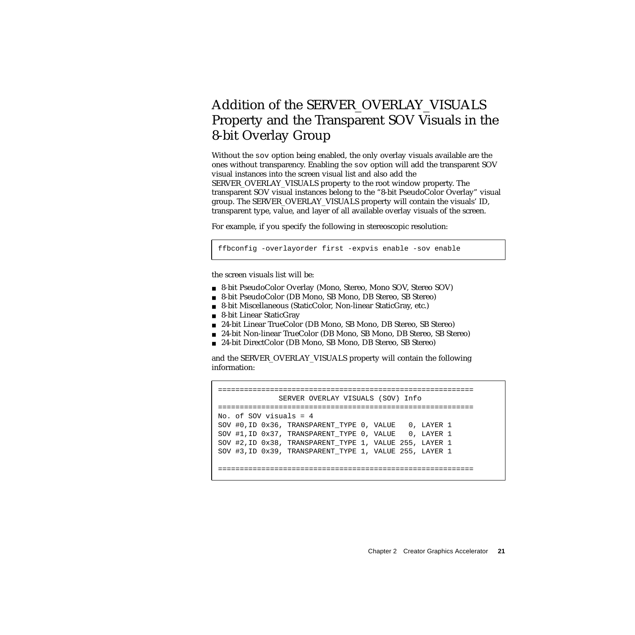### Addition of the SERVER\_OVERLAY\_VISUALS Property and the Transparent SOV Visuals in the 8-bit Overlay Group

Without the sov option being enabled, the only overlay visuals available are the ones without transparency. Enabling the sov option will add the transparent SOV visual instances into the screen visual list and also add the SERVER\_OVERLAY\_VISUALS property to the root window property. The transparent SOV visual instances belong to the "8-bit PseudoColor Overlay" visual group. The SERVER\_OVERLAY\_VISUALS property will contain the visuals' ID, transparent type, value, and layer of all available overlay visuals of the screen.

For example, if you specify the following in stereoscopic resolution:

ffbconfig -overlayorder first -expvis enable -sov enable

the screen visuals list will be:

- 8-bit PseudoColor Overlay (Mono, Stereo, Mono SOV, Stereo SOV)
- 8-bit PseudoColor (DB Mono, SB Mono, DB Stereo, SB Stereo)
- 8-bit Miscellaneous (StaticColor, Non-linear StaticGray, etc.)
- 8-bit Linear StaticGray
- 24-bit Linear TrueColor (DB Mono, SB Mono, DB Stereo, SB Stereo)
- 24-bit Non-linear TrueColor (DB Mono, SB Mono, DB Stereo, SB Stereo)
- 24-bit DirectColor (DB Mono, SB Mono, DB Stereo, SB Stereo)

and the SERVER\_OVERLAY\_VISUALS property will contain the following information:

```
===========================================================
               SERVER OVERLAY VISUALS (SOV) Info
===========================================================
No. of SOV visuals = 4
SOV #0,ID 0x36, TRANSPARENT_TYPE 0, VALUE 0, LAYER 1
SOV #1, ID 0x37, TRANSPARENT TYPE 0, VALUE 0, LAYER 1
SOV #2,ID 0x38, TRANSPARENT_TYPE 1, VALUE 255, LAYER 1
SOV #3,ID 0x39, TRANSPARENT_TYPE 1, VALUE 255, LAYER 1
===========================================================
```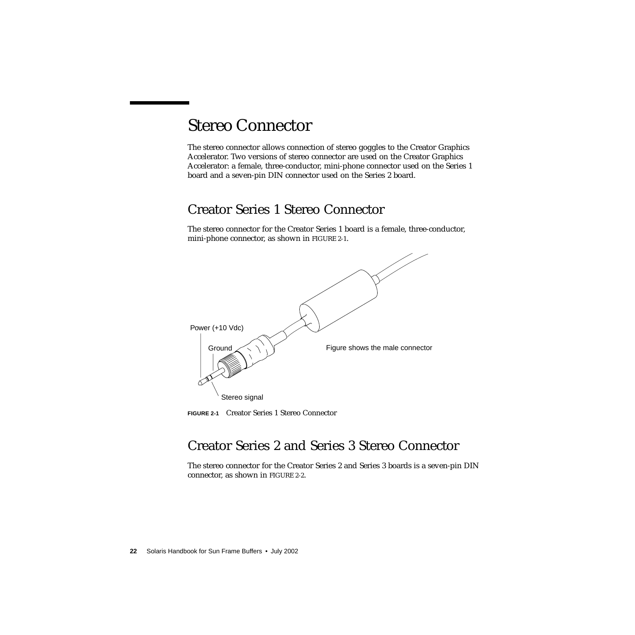## Stereo Connector

The stereo connector allows connection of stereo goggles to the Creator Graphics Accelerator. Two versions of stereo connector are used on the Creator Graphics Accelerator: a female, three-conductor, mini-phone connector used on the Series 1 board and a seven-pin DIN connector used on the Series 2 board.

#### Creator Series 1 Stereo Connector

The stereo connector for the Creator Series 1 board is a female, three-conductor, mini-phone connector, as shown in [FIGURE 2-1](#page-37-0).



<span id="page-37-0"></span>**FIGURE 2-1** Creator Series 1 Stereo Connector

#### Creator Series 2 and Series 3 Stereo Connector

The stereo connector for the Creator Series 2 and Series 3 boards is a seven-pin DIN connector, as shown in [FIGURE 2-2](#page-38-0).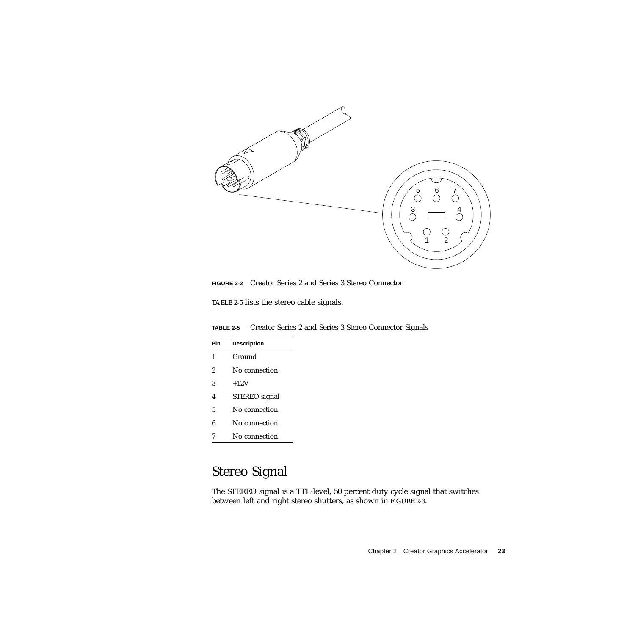

<span id="page-38-0"></span>**FIGURE 2-2** Creator Series 2 and Series 3 Stereo Connector

[TABLE 2-5](#page-38-1) lists the stereo cable signals.

<span id="page-38-1"></span>**TABLE 2-5** Creator Series 2 and Series 3 Stereo Connector Signals

| Pin | <b>Description</b> |
|-----|--------------------|
| 1   | Ground             |
| 2   | No connection      |
| 3   | $+12V$             |
| 4   | STEREO signal      |
| 5   | No connection      |
| ĥ   | No connection      |
|     | No connection      |

## Stereo Signal

The STEREO signal is a TTL-level, 50 percent duty cycle signal that switches between left and right stereo shutters, as shown in [FIGURE 2-3.](#page-39-0)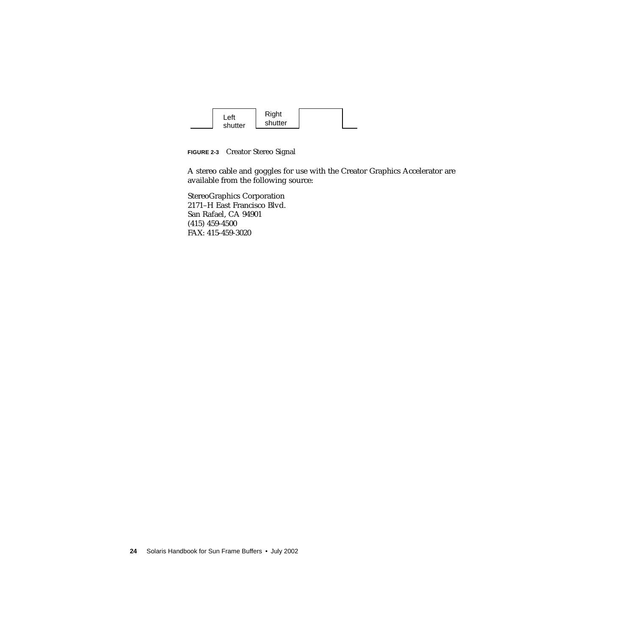

<span id="page-39-0"></span>**FIGURE 2-3** Creator Stereo Signal

A stereo cable and goggles for use with the Creator Graphics Accelerator are available from the following source:

StereoGraphics Corporation 2171–H East Francisco Blvd. San Rafael, CA 94901 (415) 459-4500 FAX: 415-459-3020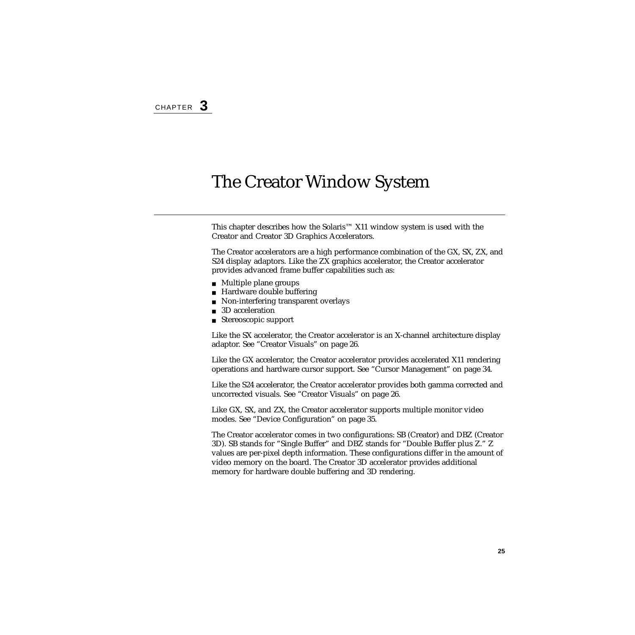## The Creator Window System

This chapter describes how the Solaris™ X11 window system is used with the Creator and Creator 3D Graphics Accelerators.

The Creator accelerators are a high performance combination of the GX, SX, ZX, and S24 display adaptors. Like the ZX graphics accelerator, the Creator accelerator provides advanced frame buffer capabilities such as:

- Multiple plane groups
- Hardware double buffering
- Non-interfering transparent overlays
- 3D acceleration
- Stereoscopic support

Like the SX accelerator, the Creator accelerator is an X-channel architecture display adaptor. See ["Creator Visuals" on page 26](#page-41-0).

Like the GX accelerator, the Creator accelerator provides accelerated X11 rendering operations and hardware cursor support. See ["Cursor Management" on page 34](#page-49-0).

Like the S24 accelerator, the Creator accelerator provides both gamma corrected and uncorrected visuals. See ["Creator Visuals" on page 26.](#page-41-0)

Like GX, SX, and ZX, the Creator accelerator supports multiple monitor video modes. See ["Device Configuration" on page 35](#page-50-0).

The Creator accelerator comes in two configurations: SB (Creator) and DBZ (Creator 3D). SB stands for "Single Buffer" and DBZ stands for "Double Buffer plus Z." Z values are per-pixel depth information. These configurations differ in the amount of video memory on the board. The Creator 3D accelerator provides additional memory for hardware double buffering and 3D rendering.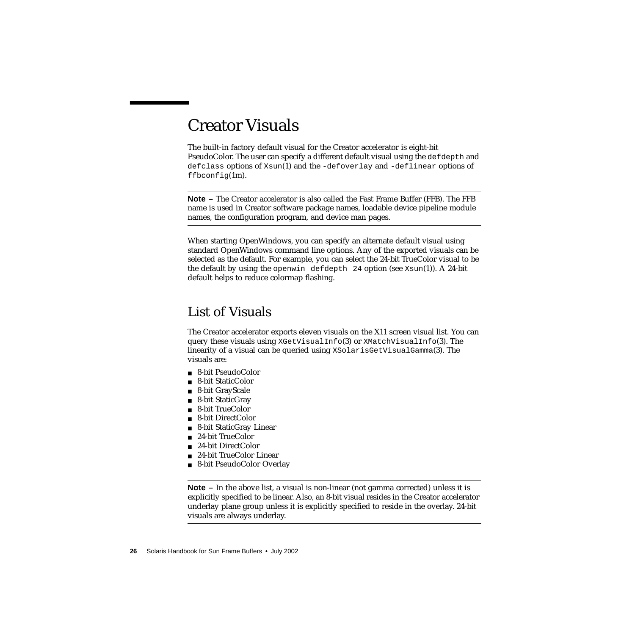## <span id="page-41-0"></span>Creator Visuals

The built-in factory default visual for the Creator accelerator is eight-bit PseudoColor. The user can specify a different default visual using the defdepth and defclass options of Xsun(1) and the -defoverlay and -deflinear options of ffbconfig(1m).

**Note –** The Creator accelerator is also called the Fast Frame Buffer (FFB). The FFB name is used in Creator software package names, loadable device pipeline module names, the configuration program, and device man pages.

When starting OpenWindows, you can specify an alternate default visual using standard OpenWindows command line options. Any of the exported visuals can be selected as the default. For example, you can select the 24-bit TrueColor visual to be the default by using the openwin defdepth 24 option (see  $Xsum(1)$ ). A 24-bit default helps to reduce colormap flashing.

#### List of Visuals

The Creator accelerator exports eleven visuals on the X11 screen visual list. You can query these visuals using XGetVisualInfo(3) or XMatchVisualInfo(3). The linearity of a visual can be queried using XSolarisGetVisualGamma(3). The visuals are:

- 8-bit PseudoColor
- 8-bit StaticColor
- 8-bit GrayScale
- 8-bit StaticGrav
- 8-bit TrueColor
- 8-bit DirectColor
- 8-bit StaticGray Linear
- 24-bit TrueColor
- 24-bit DirectColor
- 24-bit TrueColor Linear
- 8-bit PseudoColor Overlay

**Note –** In the above list, a visual is non-linear (not gamma corrected) unless it is explicitly specified to be linear. Also, an 8-bit visual resides in the Creator accelerator underlay plane group unless it is explicitly specified to reside in the overlay. 24-bit visuals are always underlay.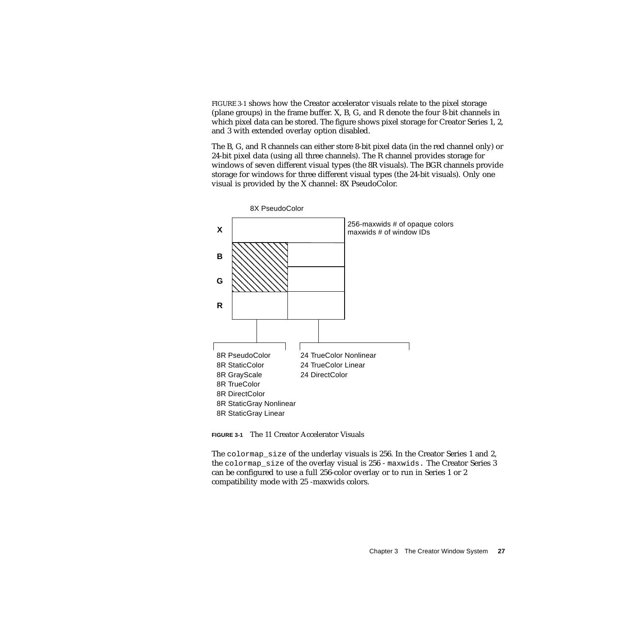[FIGURE 3-1](#page-42-0) shows how the Creator accelerator visuals relate to the pixel storage (plane groups) in the frame buffer. X, B, G, and R denote the four 8-bit channels in which pixel data can be stored. The figure shows pixel storage for Creator Series 1, 2, and 3 with extended overlay option disabled.

The B, G, and R channels can either store 8-bit pixel data (in the red channel only) or 24-bit pixel data (using all three channels). The R channel provides storage for windows of seven different visual types (the 8R visuals). The BGR channels provide storage for windows for three different visual types (the 24-bit visuals). Only one visual is provided by the X channel: 8X PseudoColor.



<span id="page-42-0"></span>**FIGURE 3-1** The 11 Creator Accelerator Visuals

The colormap\_size of the underlay visuals is 256. In the Creator Series 1 and 2, the colormap\_size of the overlay visual is 256 - maxwids. The Creator Series 3 can be configured to use a full 256-color overlay or to run in Series 1 or 2 compatibility mode with 25 -maxwids colors.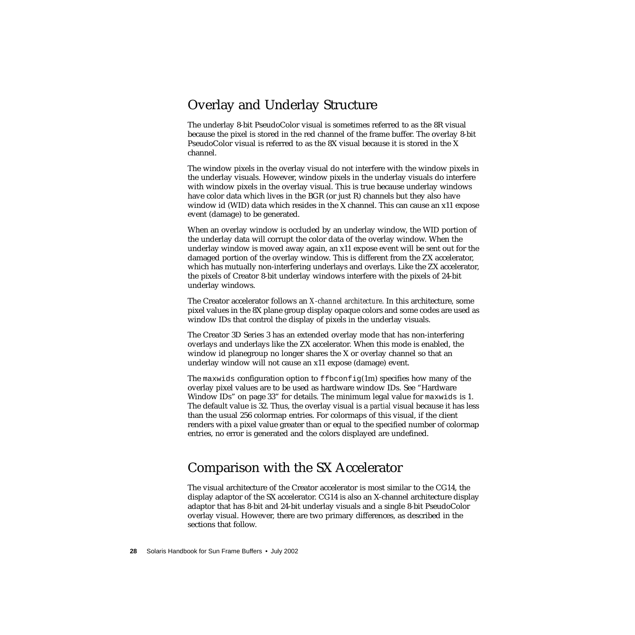### Overlay and Underlay Structure

The underlay 8-bit PseudoColor visual is sometimes referred to as the 8R visual because the pixel is stored in the red channel of the frame buffer. The overlay 8-bit PseudoColor visual is referred to as the 8X visual because it is stored in the X channel.

The window pixels in the overlay visual do not interfere with the window pixels in the underlay visuals. However, window pixels in the underlay visuals do interfere with window pixels in the overlay visual. This is true because underlay windows have color data which lives in the BGR (or just R) channels but they also have window id (WID) data which resides in the X channel. This can cause an x11 expose event (damage) to be generated.

When an overlay window is occluded by an underlay window, the WID portion of the underlay data will corrupt the color data of the overlay window. When the underlay window is moved away again, an x11 expose event will be sent out for the damaged portion of the overlay window. This is different from the ZX accelerator, which has mutually non-interfering underlays and overlays. Like the ZX accelerator, the pixels of Creator 8-bit underlay windows interfere with the pixels of 24-bit underlay windows.

The Creator accelerator follows an *X-channel architecture*. In this architecture, some pixel values in the 8X plane group display opaque colors and some codes are used as window IDs that control the display of pixels in the underlay visuals.

The Creator 3D Series 3 has an extended overlay mode that has non-interfering overlays and underlays like the ZX accelerator. When this mode is enabled, the window id planegroup no longer shares the X or overlay channel so that an underlay window will not cause an x11 expose (damage) event.

The maxwids configuration option to  $ffbconfiq(1m)$  specifies how many of the overlay pixel values are to be used as hardware window IDs. See ["Hardware](#page-48-0) [Window IDs" on page 33](#page-48-0)" for details. The minimum legal value for maxwids is 1. The default value is 32. Thus, the overlay visual is a *partial* visual because it has less than the usual 256 colormap entries. For colormaps of this visual, if the client renders with a pixel value greater than or equal to the specified number of colormap entries, no error is generated and the colors displayed are undefined.

### Comparison with the SX Accelerator

The visual architecture of the Creator accelerator is most similar to the CG14, the display adaptor of the SX accelerator. CG14 is also an X-channel architecture display adaptor that has 8-bit and 24-bit underlay visuals and a single 8-bit PseudoColor overlay visual. However, there are two primary differences, as described in the sections that follow.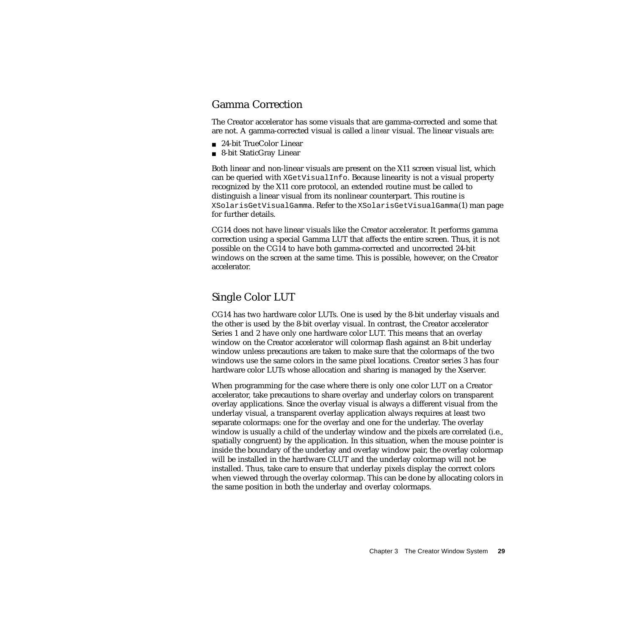#### Gamma Correction

The Creator accelerator has some visuals that are gamma-corrected and some that are not. A gamma-corrected visual is called a *linear* visual. The linear visuals are:

- 24-bit TrueColor Linear
- 8-bit StaticGray Linear

Both linear and non-linear visuals are present on the X11 screen visual list, which can be queried with XGetVisualInfo. Because linearity is not a visual property recognized by the X11 core protocol, an extended routine must be called to distinguish a linear visual from its nonlinear counterpart. This routine is XSolarisGetVisualGamma. Refer to the XSolarisGetVisualGamma(1) man page for further details.

CG14 does not have linear visuals like the Creator accelerator. It performs gamma correction using a special Gamma LUT that affects the entire screen. Thus, it is not possible on the CG14 to have both gamma-corrected and uncorrected 24-bit windows on the screen at the same time. This is possible, however, on the Creator accelerator.

#### Single Color LUT

CG14 has two hardware color LUTs. One is used by the 8-bit underlay visuals and the other is used by the 8-bit overlay visual. In contrast, the Creator accelerator Series 1 and 2 have only one hardware color LUT. This means that an overlay window on the Creator accelerator will colormap flash against an 8-bit underlay window unless precautions are taken to make sure that the colormaps of the two windows use the same colors in the same pixel locations. Creator series 3 has four hardware color LUTs whose allocation and sharing is managed by the Xserver.

When programming for the case where there is only one color LUT on a Creator accelerator, take precautions to share overlay and underlay colors on transparent overlay applications. Since the overlay visual is always a different visual from the underlay visual, a transparent overlay application always requires at least two separate colormaps: one for the overlay and one for the underlay. The overlay window is usually a child of the underlay window and the pixels are correlated (i.e., spatially congruent) by the application. In this situation, when the mouse pointer is inside the boundary of the underlay and overlay window pair, the overlay colormap will be installed in the hardware CLUT and the underlay colormap will not be installed. Thus, take care to ensure that underlay pixels display the correct colors when viewed through the overlay colormap. This can be done by allocating colors in the same position in both the underlay and overlay colormaps.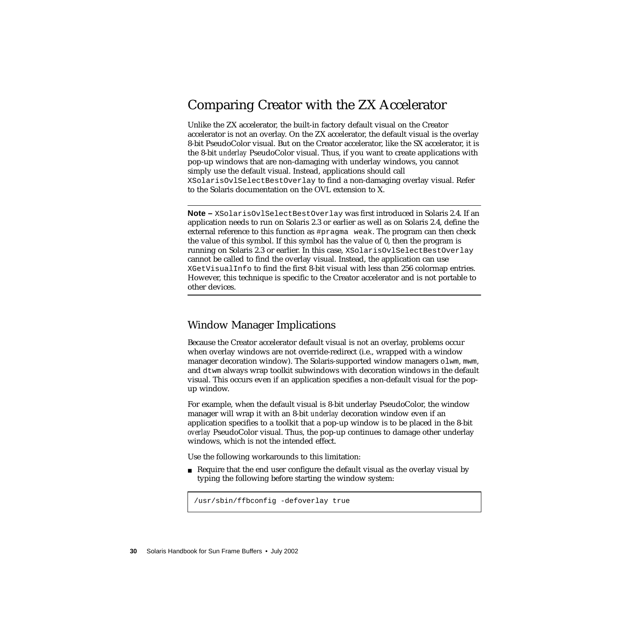### Comparing Creator with the ZX Accelerator

Unlike the ZX accelerator, the built-in factory default visual on the Creator accelerator is not an overlay. On the ZX accelerator, the default visual is the overlay 8-bit PseudoColor visual. But on the Creator accelerator, like the SX accelerator, it is the 8-bit *underlay* PseudoColor visual. Thus, if you want to create applications with pop-up windows that are non-damaging with underlay windows, you cannot simply use the default visual. Instead, applications should call XSolarisOvlSelectBestOverlay to find a non-damaging overlay visual. Refer to the Solaris documentation on the OVL extension to X.

**Note –** XSolarisOvlSelectBestOverlay was first introduced in Solaris 2.4. If an application needs to run on Solaris 2.3 or earlier as well as on Solaris 2.4, define the external reference to this function as #pragma weak. The program can then check the value of this symbol. If this symbol has the value of 0, then the program is running on Solaris 2.3 or earlier. In this case, XSolarisOvlSelectBestOverlay cannot be called to find the overlay visual. Instead, the application can use XGetVisualInfo to find the first 8-bit visual with less than 256 colormap entries. However, this technique is specific to the Creator accelerator and is not portable to other devices.

#### Window Manager Implications

Because the Creator accelerator default visual is not an overlay, problems occur when overlay windows are not override-redirect (i.e., wrapped with a window manager decoration window). The Solaris-supported window managers olwm, mwm, and dtwm always wrap toolkit subwindows with decoration windows in the default visual. This occurs even if an application specifies a non-default visual for the popup window.

For example, when the default visual is 8-bit underlay PseudoColor, the window manager will wrap it with an 8-bit *underlay* decoration window even if an application specifies to a toolkit that a pop-up window is to be placed in the 8-bit *overlay* PseudoColor visual. Thus, the pop-up continues to damage other underlay windows, which is not the intended effect.

Use the following workarounds to this limitation:

■ Require that the end user configure the default visual as the overlay visual by typing the following before starting the window system:

```
/usr/sbin/ffbconfig -defoverlay true
```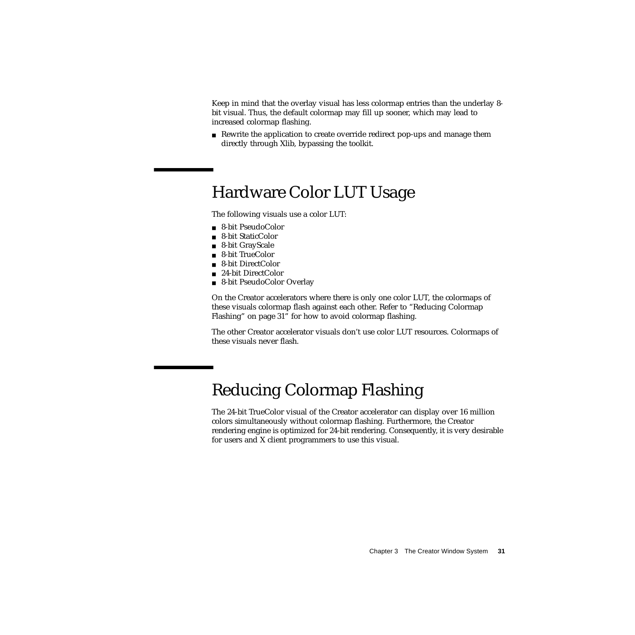Keep in mind that the overlay visual has less colormap entries than the underlay 8 bit visual. Thus, the default colormap may fill up sooner, which may lead to increased colormap flashing.

■ Rewrite the application to create override redirect pop-ups and manage them directly through Xlib, bypassing the toolkit.

## Hardware Color LUT Usage

The following visuals use a color LUT:

- 8-bit PseudoColor
- 8-bit StaticColor
- 8-bit GrayScale
- 8-bit TrueColor
- 8-bit DirectColor
- 24-bit DirectColor
- 8-bit PseudoColor Overlay

On the Creator accelerators where there is only one color LUT, the colormaps of these visuals colormap flash against each other. Refer to ["Reducing Colormap](#page-46-0) [Flashing" on page 31](#page-46-0)" for how to avoid colormap flashing.

The other Creator accelerator visuals don't use color LUT resources. Colormaps of these visuals never flash.

## <span id="page-46-0"></span>Reducing Colormap Flashing

The 24-bit TrueColor visual of the Creator accelerator can display over 16 million colors simultaneously without colormap flashing. Furthermore, the Creator rendering engine is optimized for 24-bit rendering. Consequently, it is very desirable for users and X client programmers to use this visual.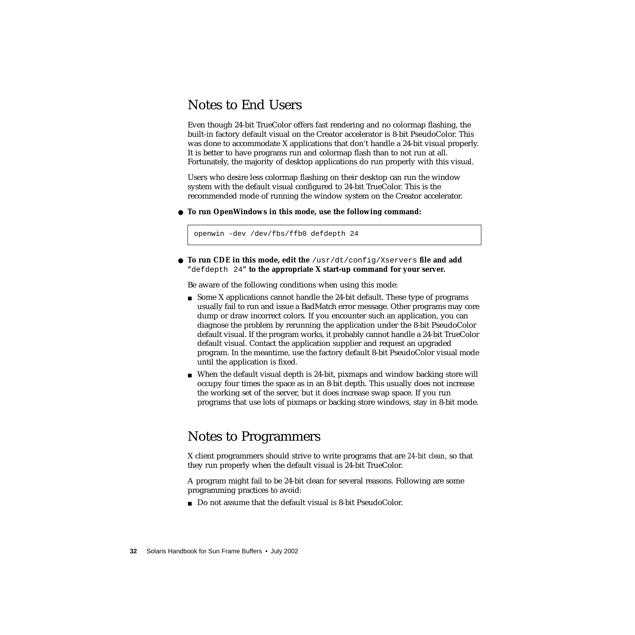### Notes to End Users

Even though 24-bit TrueColor offers fast rendering and no colormap flashing, the built-in factory default visual on the Creator accelerator is 8-bit PseudoColor. This was done to accommodate X applications that don't handle a 24-bit visual properly. It is better to have programs run and colormap flash than to not run at all. Fortunately, the majority of desktop applications do run properly with this visual.

Users who desire less colormap flashing on their desktop can run the window system with the default visual configured to 24-bit TrueColor. This is the recommended mode of running the window system on the Creator accelerator.

● **To run OpenWindows in this mode, use the following command:**

openwin -dev /dev/fbs/ffb0 defdepth 24

● **To run CDE in this mode, edit the** /usr/dt/config/Xservers **file and add "**defdepth 24**" to the appropriate X start-up command for your server.**

Be aware of the following conditions when using this mode:

- Some X applications cannot handle the 24-bit default. These type of programs usually fail to run and issue a BadMatch error message. Other programs may core dump or draw incorrect colors. If you encounter such an application, you can diagnose the problem by rerunning the application under the 8-bit PseudoColor default visual. If the program works, it probably cannot handle a 24-bit TrueColor default visual. Contact the application supplier and request an upgraded program. In the meantime, use the factory default 8-bit PseudoColor visual mode until the application is fixed.
- When the default visual depth is 24-bit, pixmaps and window backing store will occupy four times the space as in an 8-bit depth. This usually does not increase the working set of the server, but it does increase swap space. If you run programs that use lots of pixmaps or backing store windows, stay in 8-bit mode.

#### Notes to Programmers

X client programmers should strive to write programs that are *24-bit clean*, so that they run properly when the default visual is 24-bit TrueColor.

A program might fail to be 24-bit clean for several reasons. Following are some programming practices to avoid:

■ Do not assume that the default visual is 8-bit PseudoColor.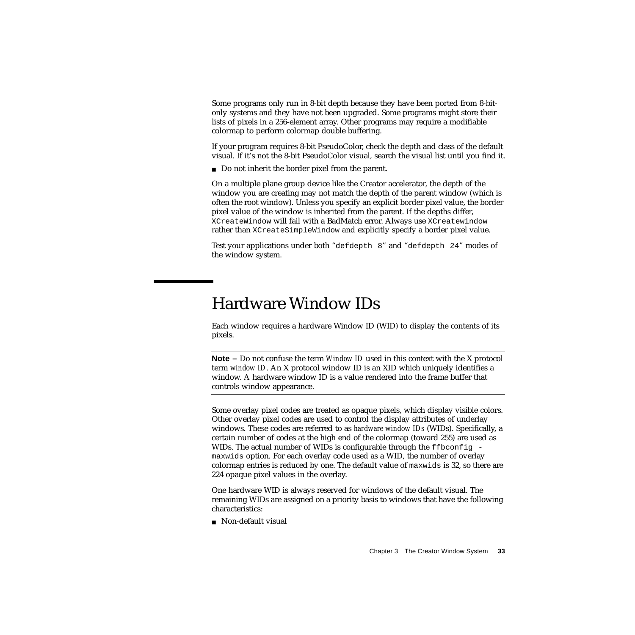Some programs only run in 8-bit depth because they have been ported from 8-bitonly systems and they have not been upgraded. Some programs might store their lists of pixels in a 256-element array. Other programs may require a modifiable colormap to perform colormap double buffering.

If your program requires 8-bit PseudoColor, check the depth and class of the default visual. If it's not the 8-bit PseudoColor visual, search the visual list until you find it.

■ Do not inherit the border pixel from the parent.

On a multiple plane group device like the Creator accelerator, the depth of the window you are creating may not match the depth of the parent window (which is often the root window). Unless you specify an explicit border pixel value, the border pixel value of the window is inherited from the parent. If the depths differ, XCreateWindow will fail with a BadMatch error. Always use XCreatewindow rather than XCreateSimpleWindow and explicitly specify a border pixel value.

Test your applications under both "defdepth 8" and "defdepth 24" modes of the window system.

## <span id="page-48-0"></span>Hardware Window IDs

Each window requires a hardware Window ID (WID) to display the contents of its pixels.

**Note –** Do not confuse the term *Window ID* used in this context with the X protocol term *window ID*. An X protocol window ID is an XID which uniquely identifies a window. A hardware window ID is a value rendered into the frame buffer that controls window appearance.

Some overlay pixel codes are treated as opaque pixels, which display visible colors. Other overlay pixel codes are used to control the display attributes of underlay windows. These codes are referred to as *hardware window IDs* (WIDs). Specifically, a certain number of codes at the high end of the colormap (toward 255) are used as WIDs. The actual number of WIDs is configurable through the  $ffbconfiq$ maxwids option. For each overlay code used as a WID, the number of overlay colormap entries is reduced by one. The default value of maxwids is 32, so there are 224 opaque pixel values in the overlay.

One hardware WID is always reserved for windows of the default visual. The remaining WIDs are assigned on a priority basis to windows that have the following characteristics:

■ Non-default visual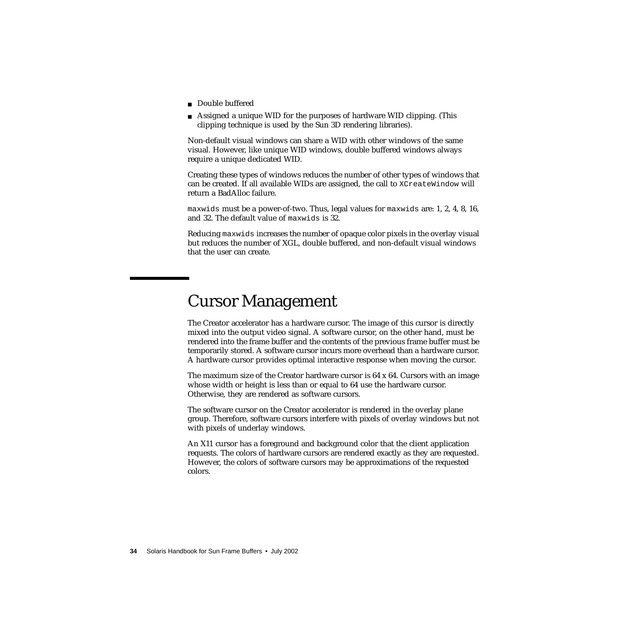- Double buffered
- Assigned a unique WID for the purposes of hardware WID clipping. (This clipping technique is used by the Sun 3D rendering libraries).

Non-default visual windows can share a WID with other windows of the same visual. However, like unique WID windows, double buffered windows always require a unique dedicated WID.

Creating these types of windows reduces the number of other types of windows that can be created. If all available WIDs are assigned, the call to XCreateWindow will return a BadAlloc failure.

maxwids must be a power-of-two. Thus, legal values for maxwids are: 1, 2, 4, 8, 16, and 32. The default value of maxwids is 32.

Reducing maxwids increases the number of opaque color pixels in the overlay visual but reduces the number of XGL, double buffered, and non-default visual windows that the user can create.

## <span id="page-49-0"></span>Cursor Management

The Creator accelerator has a hardware cursor. The image of this cursor is directly mixed into the output video signal. A software cursor, on the other hand, must be rendered into the frame buffer and the contents of the previous frame buffer must be temporarily stored. A software cursor incurs more overhead than a hardware cursor. A hardware cursor provides optimal interactive response when moving the cursor.

The maximum size of the Creator hardware cursor is  $64 \times 64$ . Cursors with an image whose width or height is less than or equal to 64 use the hardware cursor. Otherwise, they are rendered as software cursors.

The software cursor on the Creator accelerator is rendered in the overlay plane group. Therefore, software cursors interfere with pixels of overlay windows but not with pixels of underlay windows.

An X11 cursor has a foreground and background color that the client application requests. The colors of hardware cursors are rendered exactly as they are requested. However, the colors of software cursors may be approximations of the requested colors.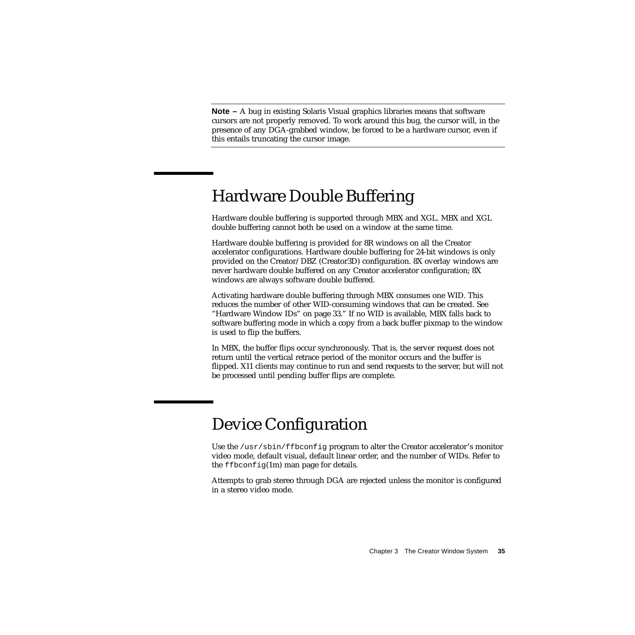**Note –** A bug in existing Solaris Visual graphics libraries means that software cursors are not properly removed. To work around this bug, the cursor will, in the presence of any DGA-grabbed window, be forced to be a hardware cursor, even if this entails truncating the cursor image.

## Hardware Double Buffering

Hardware double buffering is supported through MBX and XGL. MBX and XGL double buffering cannot both be used on a window at the same time.

Hardware double buffering is provided for 8R windows on all the Creator accelerator configurations. Hardware double buffering for 24-bit windows is only provided on the Creator/DBZ (Creator3D) configuration. 8X overlay windows are never hardware double buffered on any Creator accelerator configuration; 8X windows are always software double buffered.

Activating hardware double buffering through MBX consumes one WID. This reduces the number of other WID-consuming windows that can be created. See ["Hardware Window IDs" on page 33.](#page-48-0)" If no WID is available, MBX falls back to software buffering mode in which a copy from a back buffer pixmap to the window is used to flip the buffers.

In MBX, the buffer flips occur synchronously. That is, the server request does not return until the vertical retrace period of the monitor occurs and the buffer is flipped. X11 clients may continue to run and send requests to the server, but will not be processed until pending buffer flips are complete.

## <span id="page-50-0"></span>Device Configuration

Use the /usr/sbin/ffbconfig program to alter the Creator accelerator's monitor video mode, default visual, default linear order, and the number of WIDs. Refer to the ffbconfig(1m) man page for details.

Attempts to grab stereo through DGA are rejected unless the monitor is configured in a stereo video mode.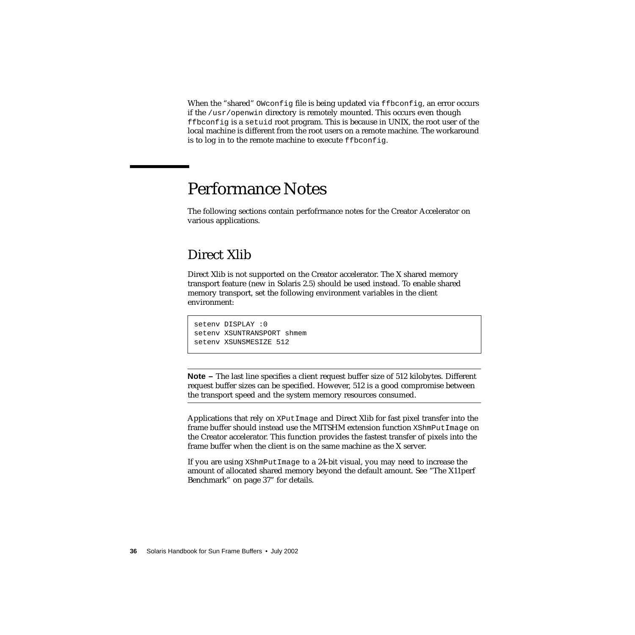When the "shared" OWconfig file is being updated via ffbconfig, an error occurs if the /usr/openwin directory is remotely mounted. This occurs even though ffbconfig is a setuid root program. This is because in UNIX, the root user of the local machine is different from the root users on a remote machine. The workaround is to log in to the remote machine to execute ffbconfig.

## Performance Notes

The following sections contain perfofrmance notes for the Creator Accelerator on various applications.

#### Direct Xlib

Direct Xlib is not supported on the Creator accelerator. The X shared memory transport feature (new in Solaris 2.5) should be used instead. To enable shared memory transport, set the following environment variables in the client environment:

setenv DISPLAY :0 setenv XSUNTRANSPORT shmem setenv XSUNSMESIZE 512

**Note –** The last line specifies a client request buffer size of 512 kilobytes. Different request buffer sizes can be specified. However, 512 is a good compromise between the transport speed and the system memory resources consumed.

Applications that rely on XPutImage and Direct Xlib for fast pixel transfer into the frame buffer should instead use the MITSHM extension function XShmPutImage on the Creator accelerator. This function provides the fastest transfer of pixels into the frame buffer when the client is on the same machine as the X server.

If you are using XShmPutImage to a 24-bit visual, you may need to increase the amount of allocated shared memory beyond the default amount. See ["The X11perf](#page-52-0) [Benchmark" on page 37](#page-52-0)" for details.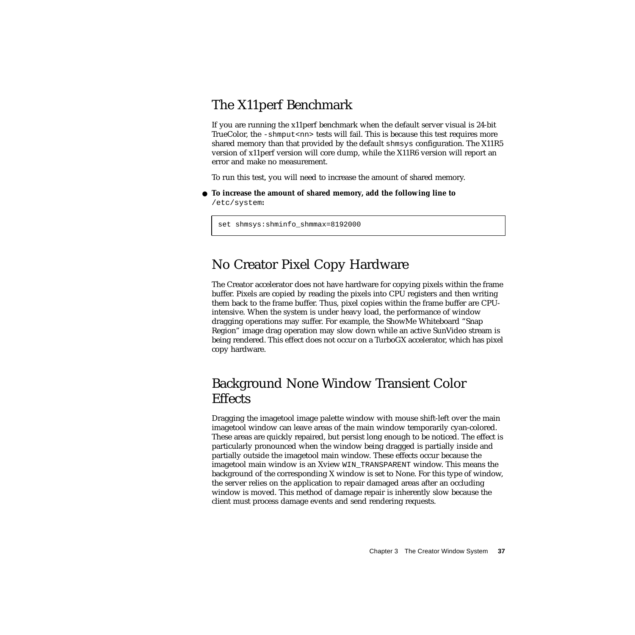### <span id="page-52-0"></span>The X11perf Benchmark

If you are running the x11perf benchmark when the default server visual is 24-bit TrueColor, the  $-\text{shmput}\leq n$  tests will fail. This is because this test requires more shared memory than that provided by the default shmsys configuration. The X11R5 version of x11perf version will core dump, while the X11R6 version will report an error and make no measurement.

To run this test, you will need to increase the amount of shared memory.

● **To increase the amount of shared memory, add the following line to** /etc/system**:**

```
set shmsys: shminfo shmmax=8192000
```
### No Creator Pixel Copy Hardware

The Creator accelerator does not have hardware for copying pixels within the frame buffer. Pixels are copied by reading the pixels into CPU registers and then writing them back to the frame buffer. Thus, pixel copies within the frame buffer are CPUintensive. When the system is under heavy load, the performance of window dragging operations may suffer. For example, the ShowMe Whiteboard "Snap Region" image drag operation may slow down while an active SunVideo stream is being rendered. This effect does not occur on a TurboGX accelerator, which has pixel copy hardware.

#### Background None Window Transient Color **Effects**

Dragging the imagetool image palette window with mouse shift-left over the main imagetool window can leave areas of the main window temporarily cyan-colored. These areas are quickly repaired, but persist long enough to be noticed. The effect is particularly pronounced when the window being dragged is partially inside and partially outside the imagetool main window. These effects occur because the imagetool main window is an Xview WIN\_TRANSPARENT window. This means the background of the corresponding X window is set to None. For this type of window, the server relies on the application to repair damaged areas after an occluding window is moved. This method of damage repair is inherently slow because the client must process damage events and send rendering requests.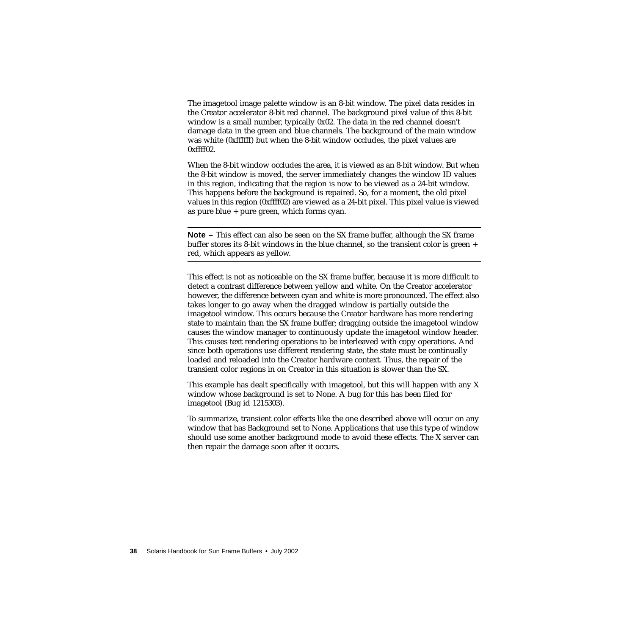The imagetool image palette window is an 8-bit window. The pixel data resides in the Creator accelerator 8-bit red channel. The background pixel value of this 8-bit window is a small number, typically 0x02. The data in the red channel doesn't damage data in the green and blue channels. The background of the main window was white (0xffffff) but when the 8-bit window occludes, the pixel values are 0xffff02.

When the 8-bit window occludes the area, it is viewed as an 8-bit window. But when the 8-bit window is moved, the server immediately changes the window ID values in this region, indicating that the region is now to be viewed as a 24-bit window. This happens before the background is repaired. So, for a moment, the old pixel values in this region (0xffff02) are viewed as a 24-bit pixel. This pixel value is viewed as pure blue + pure green, which forms cyan.

**Note –** This effect can also be seen on the SX frame buffer, although the SX frame buffer stores its 8-bit windows in the blue channel, so the transient color is green + red, which appears as yellow.

This effect is not as noticeable on the SX frame buffer, because it is more difficult to detect a contrast difference between yellow and white. On the Creator accelerator however, the difference between cyan and white is more pronounced. The effect also takes longer to go away when the dragged window is partially outside the imagetool window. This occurs because the Creator hardware has more rendering state to maintain than the SX frame buffer; dragging outside the imagetool window causes the window manager to continuously update the imagetool window header. This causes text rendering operations to be interleaved with copy operations. And since both operations use different rendering state, the state must be continually loaded and reloaded into the Creator hardware context. Thus, the repair of the transient color regions in on Creator in this situation is slower than the SX.

This example has dealt specifically with imagetool, but this will happen with any X window whose background is set to None. A bug for this has been filed for imagetool (Bug id 1215303).

To summarize, transient color effects like the one described above will occur on any window that has Background set to None. Applications that use this type of window should use some another background mode to avoid these effects. The X server can then repair the damage soon after it occurs.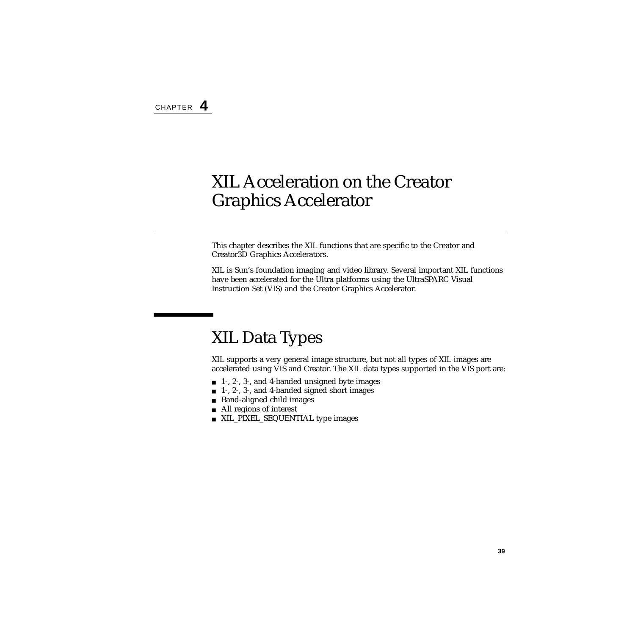CHAPTER **4**

## XIL Acceleration on the Creator Graphics Accelerator

This chapter describes the XIL functions that are specific to the Creator and Creator3D Graphics Accelerators.

XIL is Sun's foundation imaging and video library. Several important XIL functions have been accelerated for the Ultra platforms using the UltraSPARC Visual Instruction Set (VIS) and the Creator Graphics Accelerator.

## XIL Data Types

XIL supports a very general image structure, but not all types of XIL images are accelerated using VIS and Creator. The XIL data types supported in the VIS port are:

- 1-, 2-, 3-, and 4-banded unsigned byte images
- 1-, 2-, 3-, and 4-banded signed short images
- Band-aligned child images
- All regions of interest
- XIL\_PIXEL\_SEQUENTIAL type images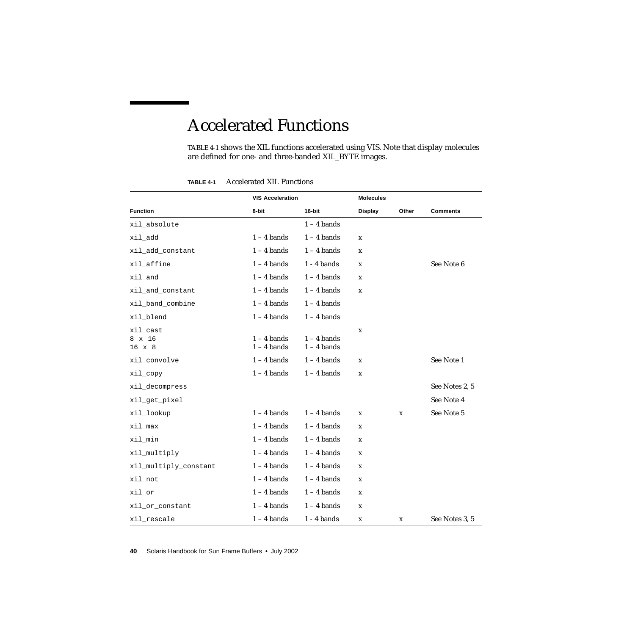## Accelerated Functions

[TABLE 4-1](#page-55-0) shows the XIL functions accelerated using VIS. Note that display molecules are defined for one- and three-banded XIL\_BYTE images.

<span id="page-55-0"></span>

|                                     | <b>VIS Acceleration</b>        |                                | <b>Molecules</b> |       |                 |
|-------------------------------------|--------------------------------|--------------------------------|------------------|-------|-----------------|
| <b>Function</b>                     | 8-bit                          | 16-bit                         | <b>Display</b>   | Other | <b>Comments</b> |
| xil_absolute                        |                                | $1 - 4$ bands                  |                  |       |                 |
| xil_add                             | $1 - 4$ bands                  | $1 - 4$ bands                  | X                |       |                 |
| xil_add_constant                    | $1 - 4$ bands                  | $1 - 4$ bands                  | X                |       |                 |
| xil_affine                          | $1 - 4$ bands                  | $1 - 4$ bands                  | X                |       | See Note 6      |
| xil_and                             | $1 - 4$ bands                  | $1 - 4$ bands                  | X                |       |                 |
| xil_and_constant                    | $1 - 4$ bands                  | $1 - 4$ bands                  | X                |       |                 |
| xil_band_combine                    | $1 - 4$ bands                  | $1 - 4$ bands                  |                  |       |                 |
| xil_blend                           | $1 - 4$ bands                  | $1 - 4$ bands                  |                  |       |                 |
| xil_cast<br>8 x 16<br>$16 \times 8$ | $1 - 4$ bands<br>$1 - 4$ bands | $1 - 4$ bands<br>$1 - 4$ bands | X                |       |                 |
| xil_convolve                        | $1 - 4$ bands                  | $1 - 4$ bands                  | $\mathbf x$      |       | See Note 1      |
| xil_copy                            | $1 - 4$ bands                  | $1 - 4$ bands                  | X                |       |                 |
| xil_decompress                      |                                |                                |                  |       | See Notes 2, 5  |
| xil_get_pixel                       |                                |                                |                  |       | See Note 4      |
| xil_lookup                          | $1 - 4$ bands                  | $1 - 4$ bands                  | X                | X     | See Note 5      |
| xil_max                             | $1 - 4$ bands                  | $1 - 4$ bands                  | X                |       |                 |
| xil_min                             | $1 - 4$ bands                  | $1 - 4$ bands                  | X                |       |                 |
| xil_multiply                        | $1 - 4$ bands                  | $1 - 4$ bands                  | X                |       |                 |
| xil_multiply_constant               | $1 - 4$ bands                  | $1 - 4$ bands                  | X                |       |                 |
| xil_not                             | $1 - 4$ bands                  | $1 - 4$ bands                  | X                |       |                 |
| xil_or                              | $1 - 4$ bands                  | $1 - 4$ bands                  | X                |       |                 |
| xil_or_constant                     | $1 - 4$ bands                  | $1 - 4$ bands                  | X                |       |                 |
| xil_rescale                         | $1 - 4$ bands                  | $1 - 4$ bands                  | X                | X     | See Notes 3, 5  |

#### **TABLE 4-1** Accelerated XIL Functions

▅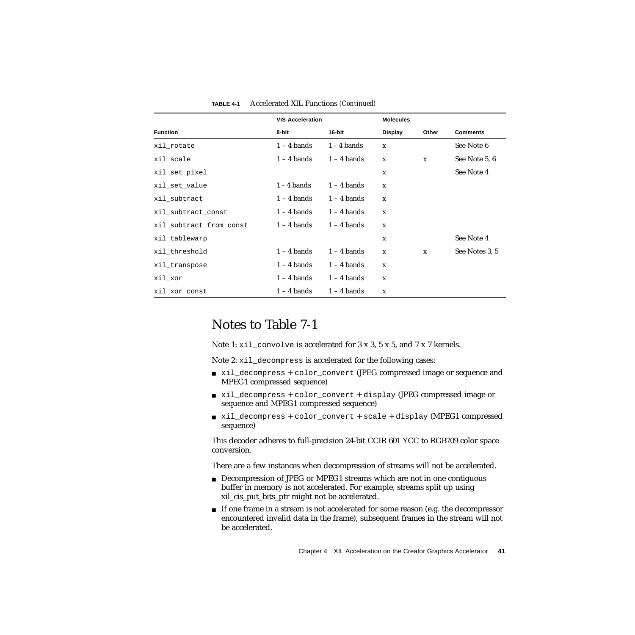|                         | <b>VIS Acceleration</b> |               | <b>Molecules</b> |              |                 |
|-------------------------|-------------------------|---------------|------------------|--------------|-----------------|
| <b>Function</b>         | 8-bit                   | 16-bit        | <b>Display</b>   | Other        | <b>Comments</b> |
| xil_rotate              | $1 - 4$ bands           | $1 - 4$ bands | $\mathbf x$      |              | See Note 6      |
| xil scale               | $1 - 4$ bands           | $1 - 4$ bands | X                | X            | See Note 5, 6   |
| xil_set_pixel           |                         |               | $\mathbf x$      |              | See Note 4      |
| xil set value           | $1 - 4$ bands           | $1 - 4$ bands | X                |              |                 |
| xil subtract            | $1 - 4$ bands           | $1 - 4$ bands | X                |              |                 |
| xil_subtract_const      | $1 - 4$ bands           | $1 - 4$ bands | X                |              |                 |
| xil_subtract_from_const | $1 - 4$ bands           | $1 - 4$ bands | X                |              |                 |
| xil_tablewarp           |                         |               | X                |              | See Note 4      |
| xil threshold           | $1 - 4$ bands           | $1 - 4$ bands | $\mathbf x$      | $\mathbf{x}$ | See Notes 3, 5  |
| xil_transpose           | $1 - 4$ bands           | $1 - 4$ bands | $\mathbf x$      |              |                 |
| xil_xor                 | $1 - 4$ bands           | $1 - 4$ bands | $\mathbf x$      |              |                 |
| xil_xor_const           | $1 - 4$ bands           | $1 - 4$ bands | $\mathbf x$      |              |                 |

**TABLE 4-1** Accelerated XIL Functions *(Continued)*

#### Notes to Table 7-1

Note 1:  $xil$  convolve is accelerated for 3 x 3, 5 x 5, and 7 x 7 kernels.

Note 2: xil\_decompress is accelerated for the following cases:

- xil decompress + color convert (JPEG compressed image or sequence and MPEG1 compressed sequence)
- xil decompress + color convert + display (JPEG compressed image or sequence and MPEG1 compressed sequence)
- xil decompress + color convert + scale + display (MPEG1 compressed sequence)

This decoder adheres to full-precision 24-bit CCIR 601 YCC to RGB709 color space conversion.

There are a few instances when decompression of streams will not be accelerated.

- Decompression of JPEG or MPEG1 streams which are not in one contiguous buffer in memory is not accelerated. For example, streams split up using xil\_cis\_put\_bits\_ptr might not be accelerated.
- If one frame in a stream is not accelerated for some reason (e.g. the decompressor encountered invalid data in the frame), subsequent frames in the stream will not be accelerated.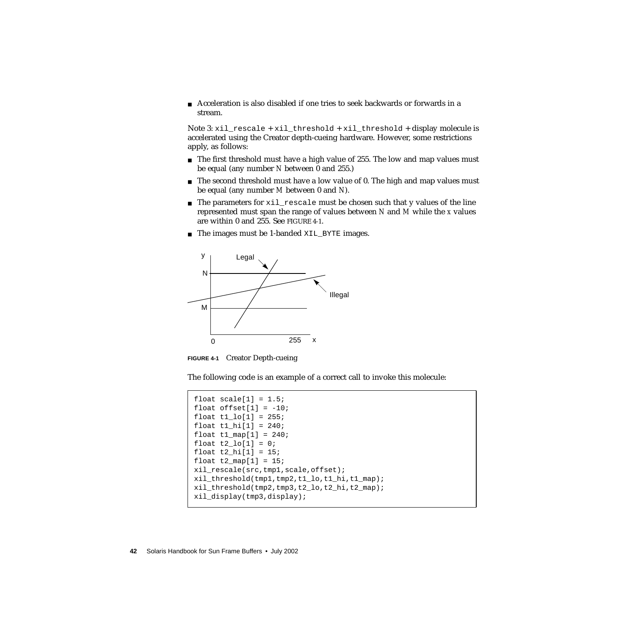■ Acceleration is also disabled if one tries to seek backwards or forwards in a stream.

Note 3:  $xil$  rescale +  $xil$  threshold +  $xil$  threshold + display molecule is accelerated using the Creator depth-cueing hardware. However, some restrictions apply, as follows:

- The first threshold must have a high value of 255. The low and map values must be equal (any number *N* between 0 and 255.)
- The second threshold must have a low value of 0. The high and map values must be equal (any number *M* between 0 and *N*).
- **The parameters for**  $x$ **il** rescale must be chosen such that y values of the line represented must span the range of values between *N* and *M* while the *x* values are within 0 and 255. See [FIGURE 4-1.](#page-57-0)
- The images must be 1-banded XIL\_BYTE images.



<span id="page-57-0"></span>**FIGURE 4-1** Creator Depth-cueing

The following code is an example of a correct call to invoke this molecule:

```
float scale[1] = 1.5;
float offset[1] = -10;
float t1 lo[1] = 255;
float t1 hi[1] = 240;
float t1_map[1] = 240;
float t2 lo[1] = 0;
float t2 hi[1] = 15;
float t2_map[1] = 15;
xil_rescale(src,tmp1,scale,offset);
xil_threshold(tmp1,tmp2,t1_lo,t1_hi,t1_map);
xil_threshold(tmp2,tmp3,t2_lo,t2_hi,t2_map);
xil_display(tmp3,display);
```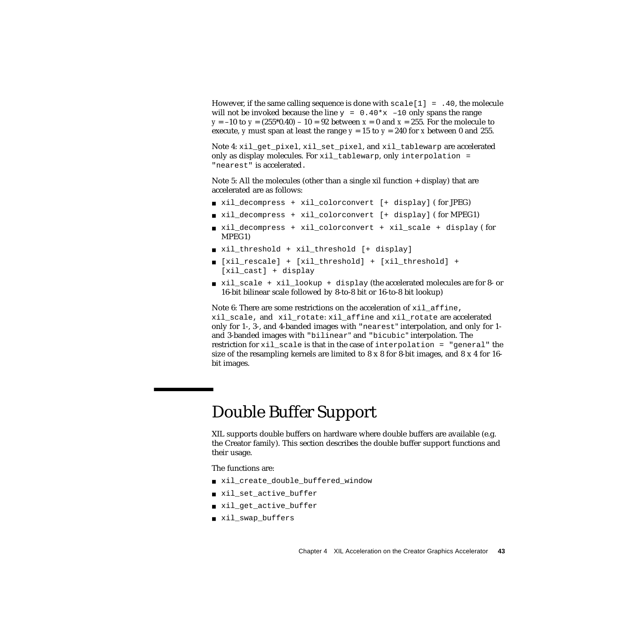However, if the same calling sequence is done with  $\text{scale}[1] = .40$ , the molecule will not be invoked because the line  $y = 0.40 \times x -10$  only spans the range *y* =  $-10$  to *y* = (255\*0.40) – 10 = 92 between *x* = 0 and *x* = 255. For the molecule to execute, *y* must span at least the range  $y = 15$  to  $y = 240$  for *x* between 0 and 255.

Note 4: xil\_get\_pixel, xil\_set\_pixel, and xil\_tablewarp are accelerated only as display molecules. For  $x$ il tablewarp, only interpolation = "nearest" is accelerated.

Note 5: All the molecules (other than a single xil function  $+$  display) that are accelerated are as follows:

- xil\_decompress + xil\_colorconvert [+ display] (for JPEG)
- xil\_decompress + xil\_colorconvert [+ display] ( for MPEG1)
- xil\_decompress + xil\_colorconvert + xil\_scale + display (for MPEG1)
- xil\_threshold + xil\_threshold [+ display]
- [xil\_rescale] + [xil\_threshold] + [xil\_threshold] +  $[xil cast] + display$
- $\bullet$  xil\_scale + xil\_lookup + display (the accelerated molecules are for 8- or 16-bit bilinear scale followed by 8-to-8 bit or 16-to-8 bit lookup)

Note 6: There are some restrictions on the acceleration of  $xil$  affine, xil scale, and xil rotate: xil affine and xil rotate are accelerated only for 1-, 3-, and 4-banded images with "nearest" interpolation, and only for 1 and 3-banded images with "bilinear" and "bicubic" interpolation. The restriction for  $x$ il scale is that in the case of interpolation = "general" the size of the resampling kernels are limited to 8 x 8 for 8-bit images, and 8 x 4 for 16 bit images.

## Double Buffer Support

XIL supports double buffers on hardware where double buffers are available (e.g. the Creator family). This section describes the double buffer support functions and their usage.

The functions are:

- xil\_create\_double\_buffered\_window
- xil\_set\_active\_buffer
- xil\_qet\_active\_buffer
- xil\_swap\_buffers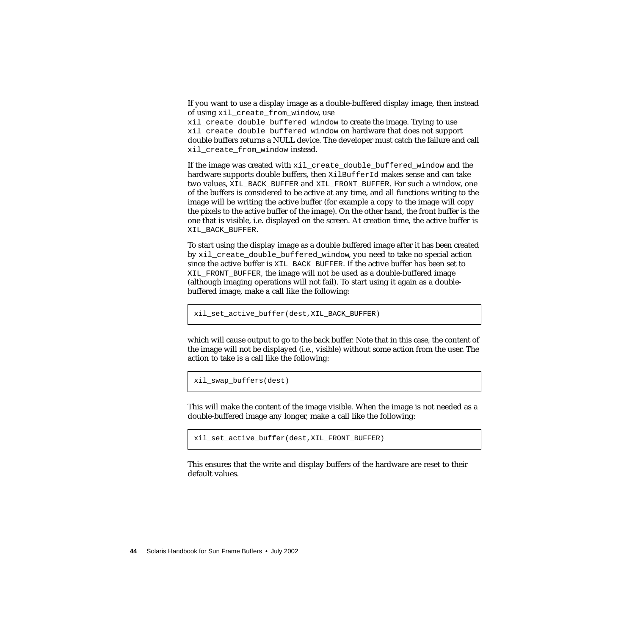If you want to use a display image as a double-buffered display image, then instead of using xil\_create\_from\_window, use

xil\_create\_double\_buffered\_window to create the image. Trying to use xil\_create\_double\_buffered\_window on hardware that does not support double buffers returns a NULL device. The developer must catch the failure and call xil\_create\_from\_window instead.

If the image was created with xil\_create\_double\_buffered\_window and the hardware supports double buffers, then XilBufferId makes sense and can take two values, XIL\_BACK\_BUFFER and XIL\_FRONT\_BUFFER. For such a window, one of the buffers is considered to be active at any time, and all functions writing to the image will be writing the active buffer (for example a copy to the image will copy the pixels to the active buffer of the image). On the other hand, the front buffer is the one that is visible, i.e. displayed on the screen. At creation time, the active buffer is XIL\_BACK\_BUFFER.

To start using the display image as a double buffered image after it has been created by xil\_create\_double\_buffered\_window, you need to take no special action since the active buffer is XIL\_BACK\_BUFFER. If the active buffer has been set to XIL\_FRONT\_BUFFER, the image will not be used as a double-buffered image (although imaging operations will not fail). To start using it again as a doublebuffered image, make a call like the following:

xil\_set\_active\_buffer(dest,XIL\_BACK\_BUFFER)

which will cause output to go to the back buffer. Note that in this case, the content of the image will not be displayed (i.e., visible) without some action from the user. The action to take is a call like the following:

xil\_swap\_buffers(dest)

This will make the content of the image visible. When the image is not needed as a double-buffered image any longer, make a call like the following:

xil\_set\_active\_buffer(dest,XIL\_FRONT\_BUFFER)

This ensures that the write and display buffers of the hardware are reset to their default values.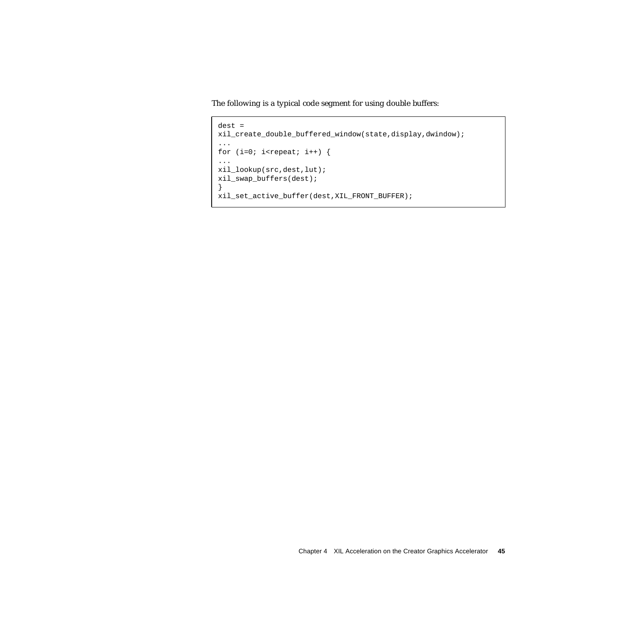The following is a typical code segment for using double buffers:

```
dest =
xil_create_double_buffered_window(state,display,dwindow);
...
for (i=0; i<sub>re</sub> = 1; i<sub>tr</sub> = 1)...
xil_lookup(src,dest,lut);
xil_swap_buffers(dest);
}
xil_set_active_buffer(dest,XIL_FRONT_BUFFER);
```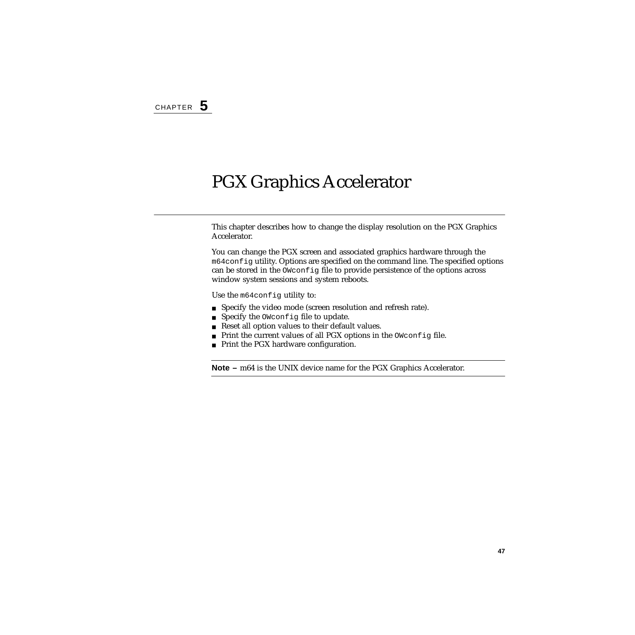## PGX Graphics Accelerator

This chapter describes how to change the display resolution on the PGX Graphics Accelerator.

You can change the PGX screen and associated graphics hardware through the m64config utility. Options are specified on the command line. The specified options can be stored in the OWconfig file to provide persistence of the options across window system sessions and system reboots.

Use the m64config utility to:

- Specify the video mode (screen resolution and refresh rate).
- Specify the OWconfig file to update.
- Reset all option values to their default values.
- Print the current values of all PGX options in the OWconfig file.
- Print the PGX hardware configuration.

**Note –** m64 is the UNIX device name for the PGX Graphics Accelerator.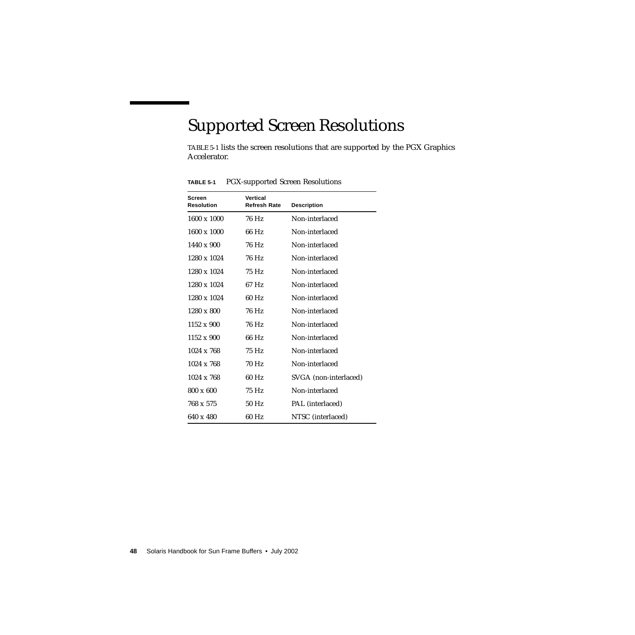# Supported Screen Resolutions

[TABLE 5-1](#page-63-0) lists the screen resolutions that are supported by the PGX Graphics Accelerator.

| Screen            | <b>Vertical</b>     |                       |
|-------------------|---------------------|-----------------------|
| <b>Resolution</b> | <b>Refresh Rate</b> | <b>Description</b>    |
| 1600 x 1000       | 76 Hz               | Non-interlaced        |
| 1600 x 1000       | 66 Hz               | Non-interlaced        |
| $1440 \times 900$ | 76 Hz               | Non-interlaced        |
| 1280 x 1024       | 76 Hz               | Non-interlaced        |
| 1280 x 1024       | 75 Hz               | Non-interlaced        |
| 1280 x 1024       | $67$ Hz             | Non-interlaced        |
| 1280 x 1024       | 60 Hz               | Non-interlaced        |
| $1280 \times 800$ | 76 Hz               | Non-interlaced        |
| $1152 \times 900$ | 76 Hz               | Non-interlaced        |
| $1152 \times 900$ | 66 Hz               | Non-interlaced        |
| 1024 x 768        | 75 Hz               | Non-interlaced        |
| 1024 x 768        | 70 Hz               | Non-interlaced        |
| 1024 x 768        | $60$ Hz             | SVGA (non-interlaced) |
| $800 \times 600$  | 75 Hz               | Non-interlaced        |
| 768 x 575         | 50 Hz               | PAL (interlaced)      |
| 640 x 480         | 60 Hz               | NTSC (interlaced)     |

<span id="page-63-0"></span>**TABLE 5-1** PGX-supported Screen Resolutions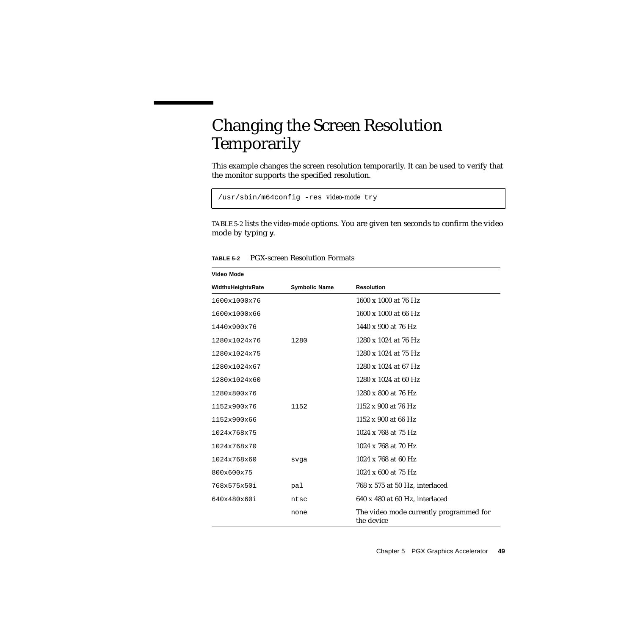## Changing the Screen Resolution **Temporarily**

This example changes the screen resolution temporarily. It can be used to verify that the monitor supports the specified resolution.

```
/usr/sbin/m64config -res video-mode try
```
[TABLE 5-2](#page-64-0) lists the *video-mode* options. You are given ten seconds to confirm the video mode by typing **y**.

| <b>Video Mode</b> |                      |                                                       |
|-------------------|----------------------|-------------------------------------------------------|
| WidthxHeightxRate | <b>Symbolic Name</b> | <b>Resolution</b>                                     |
| 1600x1000x76      |                      | 1600 x 1000 at 76 Hz                                  |
| 1600x1000x66      |                      | 1600 x 1000 at 66 Hz                                  |
| 1440x900x76       |                      | 1440 x 900 at 76 Hz                                   |
| 1280x1024x76      | 1280                 | 1280 x 1024 at 76 Hz                                  |
| 1280x1024x75      |                      | 1280 x 1024 at 75 Hz                                  |
| 1280x1024x67      |                      | 1280 x 1024 at 67 Hz                                  |
| 1280x1024x60      |                      | 1280 x 1024 at 60 Hz                                  |
| 1280x800x76       |                      | 1280 x 800 at 76 Hz                                   |
| 1152x900x76       | 1152                 | 1152 x 900 at 76 Hz                                   |
| 1152x900x66       |                      | 1152 x 900 at 66 Hz                                   |
| 1024x768x75       |                      | 1024 x 768 at 75 Hz                                   |
| 1024x768x70       |                      | 1024 x 768 at 70 Hz                                   |
| 1024x768x60       | svqa                 | 1024 x 768 at 60 Hz                                   |
| 800x600x75        |                      | 1024 x 600 at 75 Hz                                   |
| 768x575x50i       | pal                  | 768 x 575 at 50 Hz, interlaced                        |
| 640x480x60i       | ntsc                 | 640 x 480 at 60 Hz, interlaced                        |
|                   | none                 | The video mode currently programmed for<br>the device |

<span id="page-64-0"></span>**TABLE 5-2** PGX-screen Resolution Formats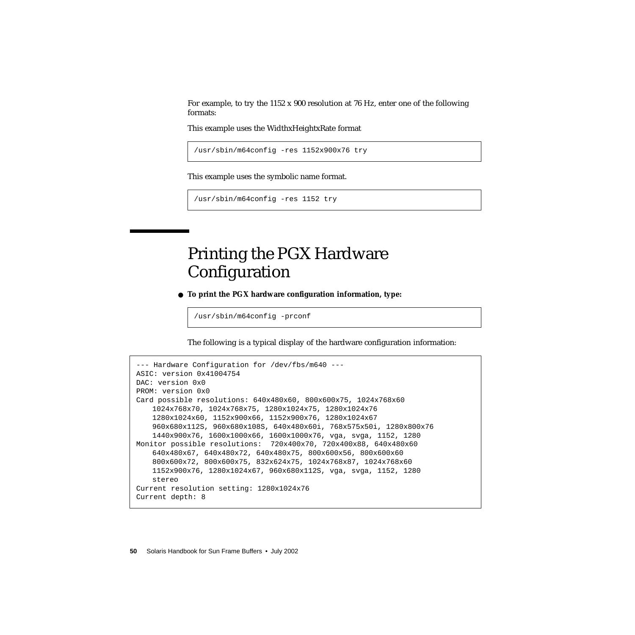For example, to try the 1152 x 900 resolution at 76 Hz, enter one of the following formats:

This example uses the WidthxHeightxRate format

/usr/sbin/m64config -res 1152x900x76 try

This example uses the symbolic name format.

/usr/sbin/m64config -res 1152 try

## Printing the PGX Hardware Configuration

● **To print the PGX hardware configuration information, type:**

/usr/sbin/m64config -prconf

The following is a typical display of the hardware configuration information:

```
--- Hardware Configuration for /dev/fbs/m640 ---
ASIC: version 0x41004754
DAC: version 0x0
PROM: version 0x0
Card possible resolutions: 640x480x60, 800x600x75, 1024x768x60
   1024x768x70, 1024x768x75, 1280x1024x75, 1280x1024x76
   1280x1024x60, 1152x900x66, 1152x900x76, 1280x1024x67
   960x680x112S, 960x680x108S, 640x480x60i, 768x575x50i, 1280x800x76
   1440x900x76, 1600x1000x66, 1600x1000x76, vga, svga, 1152, 1280
Monitor possible resolutions: 720x400x70, 720x400x88, 640x480x60
   640x480x67, 640x480x72, 640x480x75, 800x600x56, 800x600x60
   800x600x72, 800x600x75, 832x624x75, 1024x768x87, 1024x768x60
   1152x900x76, 1280x1024x67, 960x680x112S, vga, svga, 1152, 1280
   stereo
Current resolution setting: 1280x1024x76
Current depth: 8
```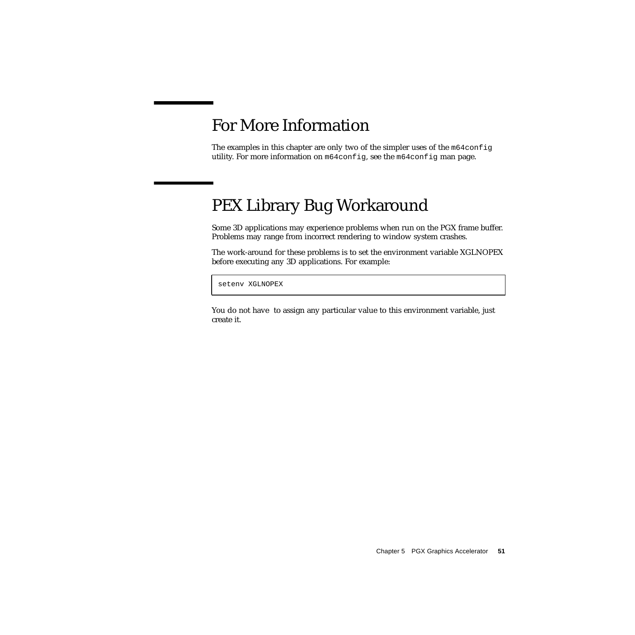## For More Information

The examples in this chapter are only two of the simpler uses of the m64config utility. For more information on m64config, see the m64config man page.

## PEX Library Bug Workaround

Some 3D applications may experience problems when run on the PGX frame buffer. Problems may range from incorrect rendering to window system crashes.

The work-around for these problems is to set the environment variable XGLNOPEX before executing any 3D applications. For example:

```
setenv XGLNOPEX
```
You do not have to assign any particular value to this environment variable, just create it.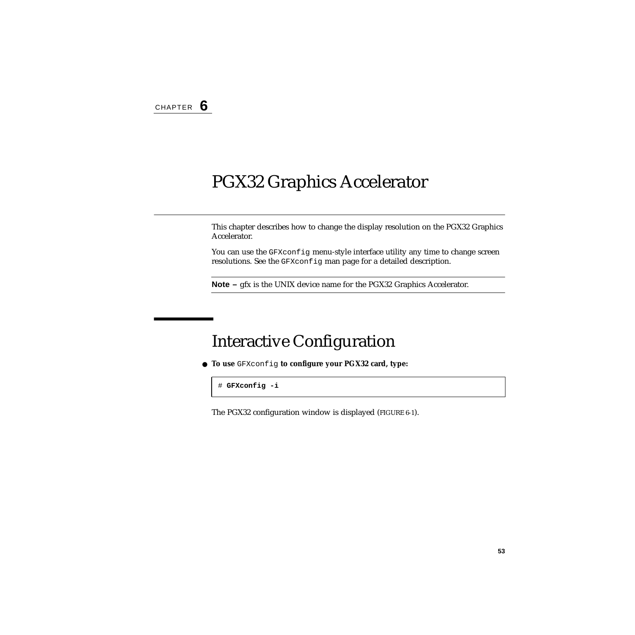## PGX32 Graphics Accelerator

This chapter describes how to change the display resolution on the PGX32 Graphics Accelerator.

You can use the GFXconfig menu-style interface utility any time to change screen resolutions. See the GFXconfig man page for a detailed description.

**Note –** gfx is the UNIX device name for the PGX32 Graphics Accelerator.

## Interactive Configuration

● **To use** GFXconfig **to configure your PGX32 card, type:**

# **GFXconfig -i**

The PGX32 configuration window is displayed ([FIGURE 6-1\)](#page-69-0).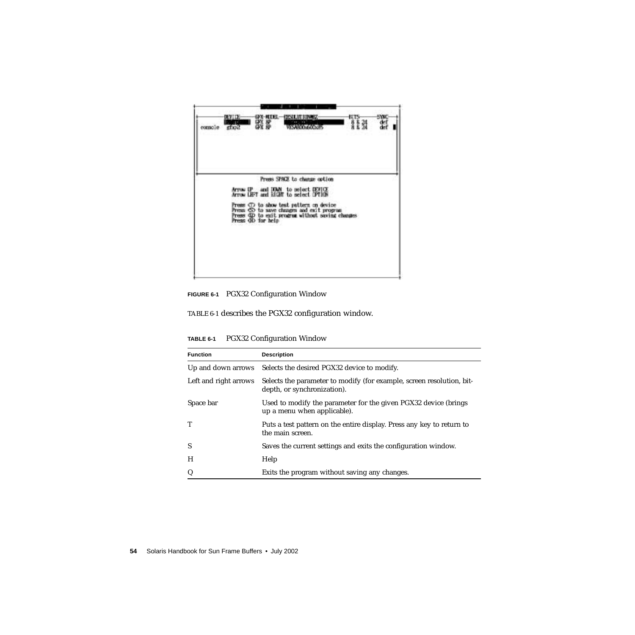| comole ghu2 |  | <b>sevicinosis</b>                                                                                                                                               | BUT5-<br>喜烈<br>虔 | 50K |
|-------------|--|------------------------------------------------------------------------------------------------------------------------------------------------------------------|------------------|-----|
|             |  | Press SPACE to change ortion<br>Arrow UP and DDAN to select DDVDS<br>Arrow UET and RIGHT to select DDVDS                                                         |                  |     |
|             |  | Frees (7) to show test pattern on device<br>Fress (3) to save changes and exit program<br>Frees (3) to exit program without saving changes<br>Frees (3) for help |                  |     |

<span id="page-69-0"></span>**FIGURE 6-1** PGX32 Configuration Window

[TABLE 6-1](#page-69-1) describes the PGX32 configuration window.

<span id="page-69-1"></span>**TABLE 6-1** PGX32 Configuration Window

| <b>Function</b>       | <b>Description</b>                                                                                   |
|-----------------------|------------------------------------------------------------------------------------------------------|
| Up and down arrows    | Selects the desired PGX32 device to modify.                                                          |
| Left and right arrows | Selects the parameter to modify (for example, screen resolution, bit-<br>depth, or synchronization). |
| Space bar             | Used to modify the parameter for the given PGX32 device (brings<br>up a menu when applicable).       |
| Т                     | Puts a test pattern on the entire display. Press any key to return to<br>the main screen.            |
| S                     | Saves the current settings and exits the configuration window.                                       |
| H                     | Help                                                                                                 |
| Q                     | Exits the program without saving any changes.                                                        |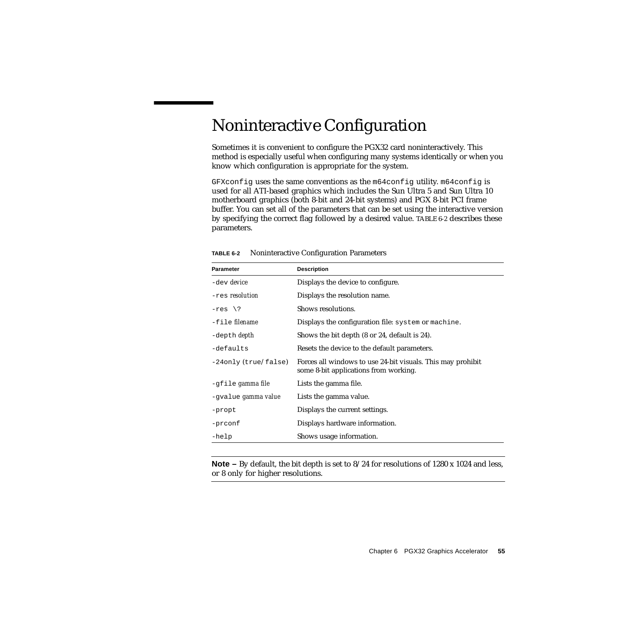## Noninteractive Configuration

Sometimes it is convenient to configure the PGX32 card noninteractively. This method is especially useful when configuring many systems identically or when you know which configuration is appropriate for the system.

GFXconfig uses the same conventions as the m64config utility. m64config is used for all ATI-based graphics which includes the Sun Ultra 5 and Sun Ultra 10 motherboard graphics (both 8-bit and 24-bit systems) and PGX 8-bit PCI frame buffer. You can set all of the parameters that can be set using the interactive version by specifying the correct flag followed by a desired value. [TABLE 6-2](#page-70-0) describes these parameters.

| <b>Parameter</b>         | <b>Description</b>                                                                                   |
|--------------------------|------------------------------------------------------------------------------------------------------|
| $-dev$ device            | Displays the device to configure.                                                                    |
| $-r$ es resolution       | Displays the resolution name.                                                                        |
| $-res$ $\backslash$ ?    | Shows resolutions.                                                                                   |
| -file filename           | Displays the configuration file: system or machine.                                                  |
| -depth <i>depth</i>      | Shows the bit depth (8 or 24, default is 24).                                                        |
| -defaults                | Resets the device to the default parameters.                                                         |
| -24only (true/false)     | Forces all windows to use 24-bit visuals. This may prohibit<br>some 8-bit applications from working. |
| -gfile <i>gamma file</i> | Lists the gamma file.                                                                                |
| -gvalue gamma value      | Lists the gamma value.                                                                               |
| -propt                   | Displays the current settings.                                                                       |
| -prconf                  | Displays hardware information.                                                                       |
| -help                    | Shows usage information.                                                                             |

<span id="page-70-0"></span>**TABLE 6-2** Noninteractive Configuration Parameters

**Note –** By default, the bit depth is set to 8/24 for resolutions of 1280 x 1024 and less, or 8 only for higher resolutions.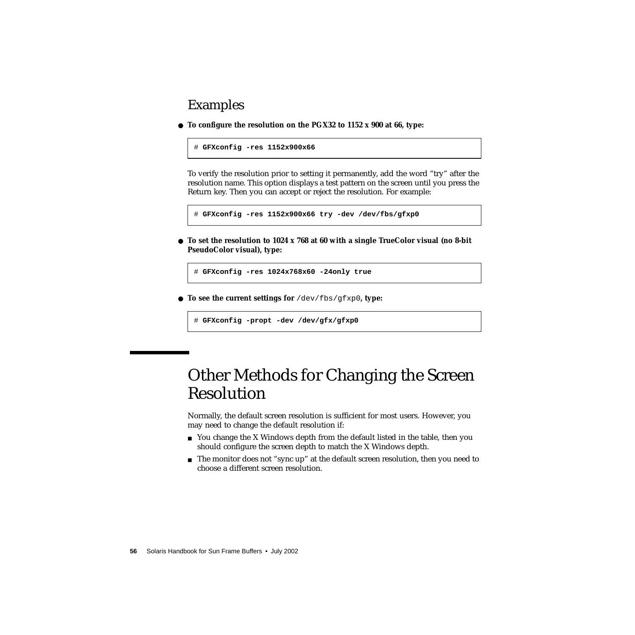#### Examples

● **To configure the resolution on the PGX32 to 1152 x 900 at 66, type:**

```
# GFXconfig -res 1152x900x66
```
To verify the resolution prior to setting it permanently, add the word "try" after the resolution name. This option displays a test pattern on the screen until you press the Return key. Then you can accept or reject the resolution. For example:

```
# GFXconfig -res 1152x900x66 try -dev /dev/fbs/gfxp0
```
● **To set the resolution to 1024 x 768 at 60 with a single TrueColor visual (no 8-bit PseudoColor visual), type:**

```
# GFXconfig -res 1024x768x60 -24only true
```
● **To see the current settings for** /dev/fbs/gfxp0**, type:**

```
# GFXconfig -propt -dev /dev/gfx/gfxp0
```
# Other Methods for Changing the Screen Resolution

Normally, the default screen resolution is sufficient for most users. However, you may need to change the default resolution if:

- You change the X Windows depth from the default listed in the table, then you should configure the screen depth to match the X Windows depth.
- The monitor does not "sync up" at the default screen resolution, then you need to choose a different screen resolution.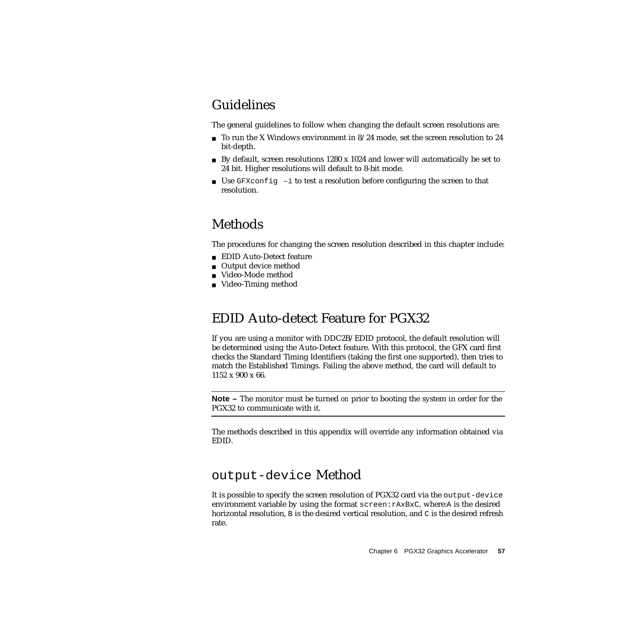### Guidelines

The general guidelines to follow when changing the default screen resolutions are:

- To run the X Windows environment in 8/24 mode, set the screen resolution to 24 bit-depth.
- By default, screen resolutions 1280 x 1024 and lower will automatically be set to 24 bit. Higher resolutions will default to 8-bit mode.
- Use  $GFXconfiq -i$  to test a resolution before configuring the screen to that resolution.

### **Methods**

The procedures for changing the screen resolution described in this chapter include:

- EDID Auto-Detect feature
- Output device method
- Video-Mode method
- Video-Timing method

#### EDID Auto-detect Feature for PGX32

If you are using a monitor with DDC2B/EDID protocol, the default resolution will be determined using the Auto-Detect feature. With this protocol, the GFX card first checks the Standard Timing Identifiers (taking the first one supported), then tries to match the Established Timings. Failing the above method, the card will default to 1152 x 900 x 66.

**Note –** The monitor must be turned *on* prior to booting the system in order for the PGX32 to communicate with it.

The methods described in this appendix will override any information obtained via EDID.

#### output-device Method

It is possible to specify the screen resolution of PGX32 card via the output-device environment variable by using the format screen:rAxBxC, where:A is the desired horizontal resolution. B is the desired vertical resolution, and  $\sigma$  is the desired refresh rate.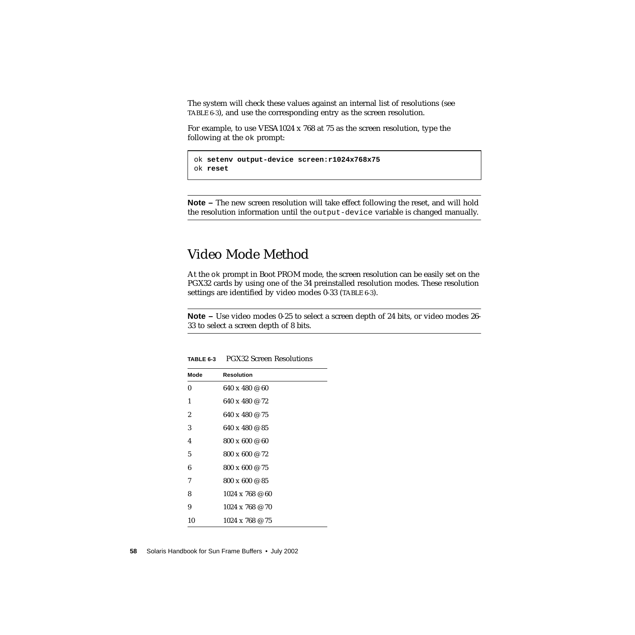The system will check these values against an internal list of resolutions (see [TABLE 6-3\)](#page-73-0), and use the corresponding entry as the screen resolution.

For example, to use VESA1024 x 768 at 75 as the screen resolution, type the following at the ok prompt:

```
ok setenv output-device screen:r1024x768x75
ok reset
```
**Note –** The new screen resolution will take effect following the reset, and will hold the resolution information until the output-device variable is changed manually.

#### Video Mode Method

At the ok prompt in Boot PROM mode, the screen resolution can be easily set on the PGX32 cards by using one of the 34 preinstalled resolution modes. These resolution settings are identified by video modes 0-33 ([TABLE 6-3\)](#page-73-0).

**Note –** Use video modes 0-25 to select a screen depth of 24 bits, or video modes 26- 33 to select a screen depth of 8 bits.

**TABLE 6-3** PGX32 Screen Resolutions

<span id="page-73-0"></span>

| Mode | <b>Resolution</b>                             |
|------|-----------------------------------------------|
| 0    | $640 \times 480 \text{ } \textcircled{6}60$   |
| 1    | 640 x 480 @ 72                                |
| 2    | 640 x 480 $@75$                               |
| 3    | 640 x 480 @ 85                                |
| 4    | $800 \times 600 \text{ } \textcircled{6} 60$  |
| 5    | $800 \times 600 \text{ @ } 72$                |
| 6    | $800 \times 600 \text{ @ } 75$                |
| 7    | $800 \times 600 \text{ } \textcircled{} 85$   |
| 8    | $1024 \times 768 \text{ } \textcircled{6}60$  |
| 9    | $1024 \times 768 \text{ } \textcircled{2} 70$ |
| 10   | $1024 \times 768 \text{ } \textcircled{2} 75$ |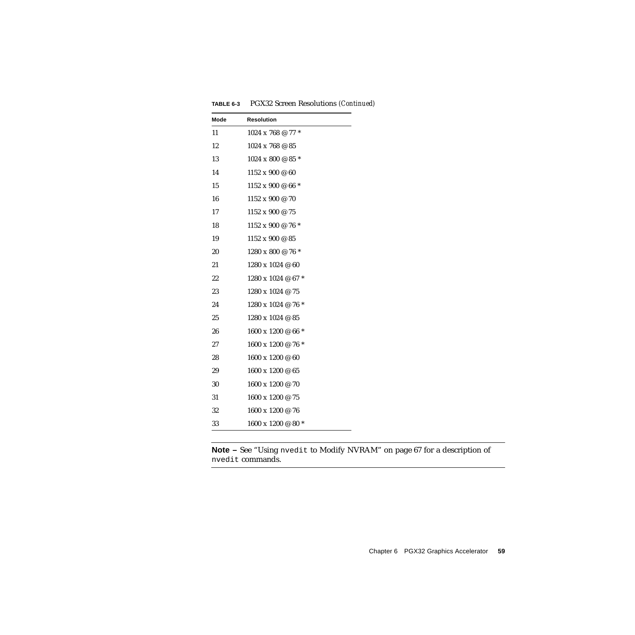| Mode | Resolution                                                   |
|------|--------------------------------------------------------------|
| 11   | $1024 \times 768$ @ 77 $*$                                   |
| 12   | $1024 \times 768 \text{ } \textcircled{}85$                  |
| 13   | $1024 \times 800 \text{ @ } 85$ *                            |
| 14   | $1152 \times 900 \text{ } \textcircled{e} 60$                |
| 15   | 1152 x 900 @ 66 $*$                                          |
| 16   | 1152 x 900 @ 70                                              |
| 17   | 1152 x 900 @ 75                                              |
| 18   | 1152 x 900 @ 76 $*$                                          |
| 19   | 1152 x 900 @ 85                                              |
| 20   | $1280 \times 800 \text{ @ } 76$ *                            |
| 21   | $1280 \times 1024 \text{ } \textcircled{6}60$                |
| 22   | 1280 x 1024 @ 67 *                                           |
| 23   | $1280 \times 1024 \text{ } \textcircled{2} 75$               |
| 24   | 1280 x 1024 @ 76 $*$                                         |
| 25   | 1280 x 1024 @ 85                                             |
| 26   | 1600 x 1200 @ 66 $*$                                         |
| 27   | 1600 x 1200 @ 76 $*$                                         |
| 28   | $1600 \times 1200 \text{ } \textcircled{e} 60$               |
| 29   | 1600 x 1200 @ 65                                             |
| 30   | $1600 \times 1200 \text{ } \textcircled{2}$ 70               |
| 31   | $1600 \times 1200 \text{ } \textcircled{2}$ 75               |
| 32   | $1600 \times 1200 \text{ } \textcircled{} \textcircled{} 76$ |
| 33   | $1600 \times 1200 \text{ } \textcircled{e}$ 80 *             |

**TABLE 6-3** PGX32 Screen Resolutions *(Continued)*

**Note –** See "Using nvedit [to Modify NVRAM" on page 67](#page-82-0) for a description of nvedit commands.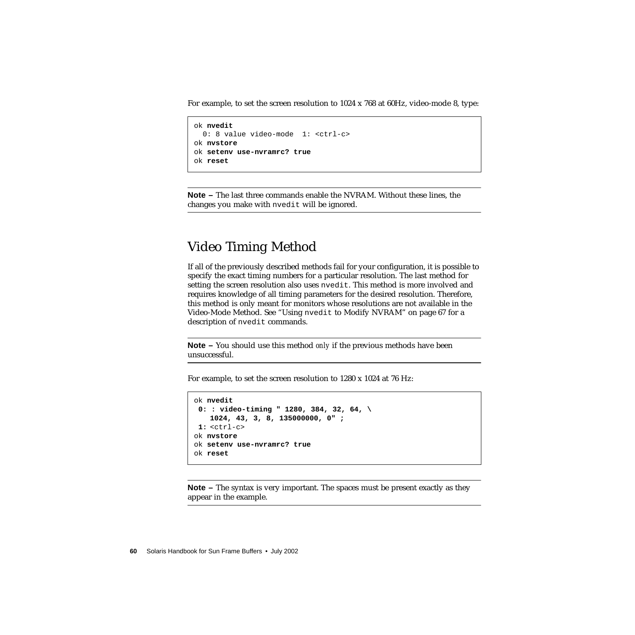For example, to set the screen resolution to 1024 x 768 at 60Hz, video-mode 8, type:

```
ok nvedit
  0: 8 value video-mode 1: <ctrl-c>
ok nvstore
ok setenv use-nvramrc? true
ok reset
```
**Note –** The last three commands enable the NVRAM. Without these lines, the changes you make with nvedit will be ignored.

#### <span id="page-75-0"></span>Video Timing Method

If all of the previously described methods fail for your configuration, it is possible to specify the exact timing numbers for a particular resolution. The last method for setting the screen resolution also uses nvedit. This method is more involved and requires knowledge of all timing parameters for the desired resolution. Therefore, this method is only meant for monitors whose resolutions are not available in the Video-Mode Method. See "Using nvedit [to Modify NVRAM" on page 67](#page-82-0) for a description of nvedit commands.

**Note –** You should use this method *only* if the previous methods have been unsuccessful.

For example, to set the screen resolution to 1280 x 1024 at 76 Hz:

```
ok nvedit
0: : video-timing " 1280, 384, 32, 64, \
   1024, 43, 3, 8, 135000000, 0" ;
1: <ctrl-c>
ok nvstore
ok setenv use-nvramrc? true
ok reset
```
**Note –** The syntax is very important. The spaces must be present exactly as they appear in the example.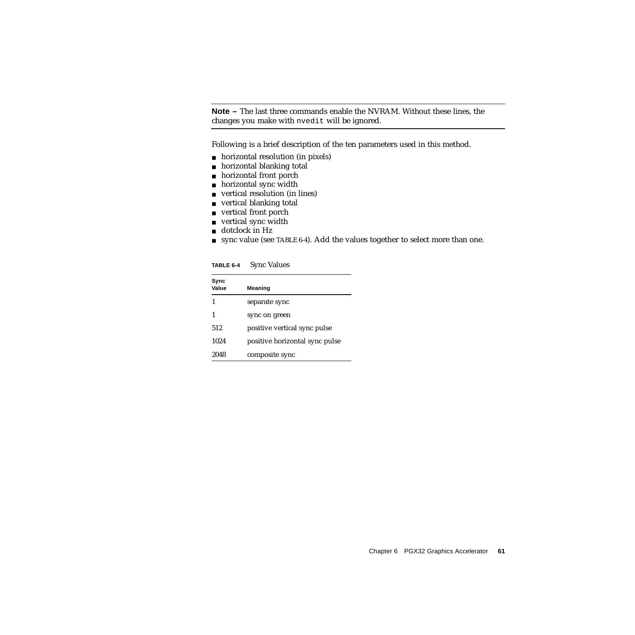**Note –** The last three commands enable the NVRAM. Without these lines, the changes you make with nvedit will be ignored.

Following is a brief description of the ten parameters used in this method.

- horizontal resolution (in pixels)
- horizontal blanking total
- horizontal front porch
- horizontal sync width
- vertical resolution (in lines)
- vertical blanking total
- vertical front porch
- vertical sync width
- dotclock in Hz
- sync value (see [TABLE 6-4](#page-76-0)). Add the values together to select more than one.

**TABLE 6-4** Sync Values

<span id="page-76-0"></span>

| Sync  |                                |
|-------|--------------------------------|
| Value | Meaning                        |
| 1     | separate sync                  |
| 1     | sync on green                  |
| 512   | positive vertical sync pulse   |
| 1024  | positive horizontal sync pulse |
| 2048  | composite sync                 |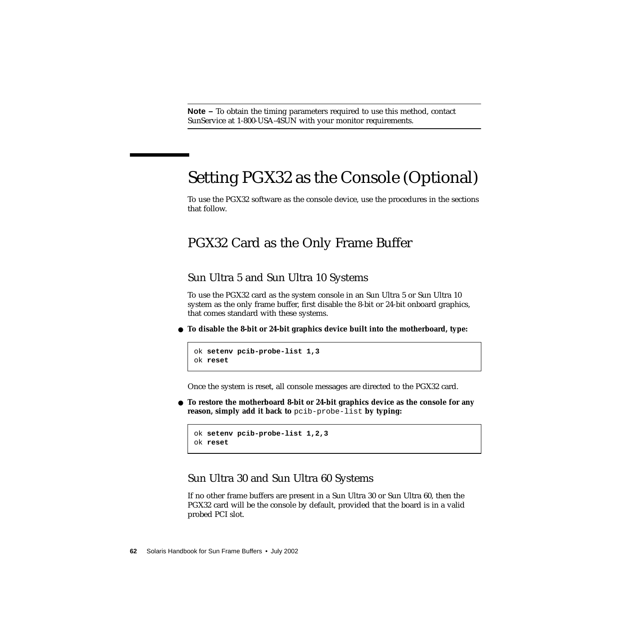**Note –** To obtain the timing parameters required to use this method, contact SunService at 1-800-USA-4SUN with your monitor requirements.

### Setting PGX32 as the Console (Optional)

To use the PGX32 software as the console device, use the procedures in the sections that follow.

#### <span id="page-77-0"></span>PGX32 Card as the Only Frame Buffer

Sun Ultra 5 and Sun Ultra 10 Systems

To use the PGX32 card as the system console in an Sun Ultra 5 or Sun Ultra 10 system as the only frame buffer, first disable the 8-bit or 24-bit onboard graphics, that comes standard with these systems.

● **To disable the 8-bit or 24-bit graphics device built into the motherboard, type:**

```
ok setenv pcib-probe-list 1,3
ok reset
```
Once the system is reset, all console messages are directed to the PGX32 card.

● **To restore the motherboard 8-bit or 24-bit graphics device as the console for any reason, simply add it back to** pcib-probe-list **by typing:**

```
ok setenv pcib-probe-list 1,2,3
ok reset
```
#### Sun Ultra 30 and Sun Ultra 60 Systems

If no other frame buffers are present in a Sun Ultra 30 or Sun Ultra 60, then the PGX32 card will be the console by default, provided that the board is in a valid probed PCI slot.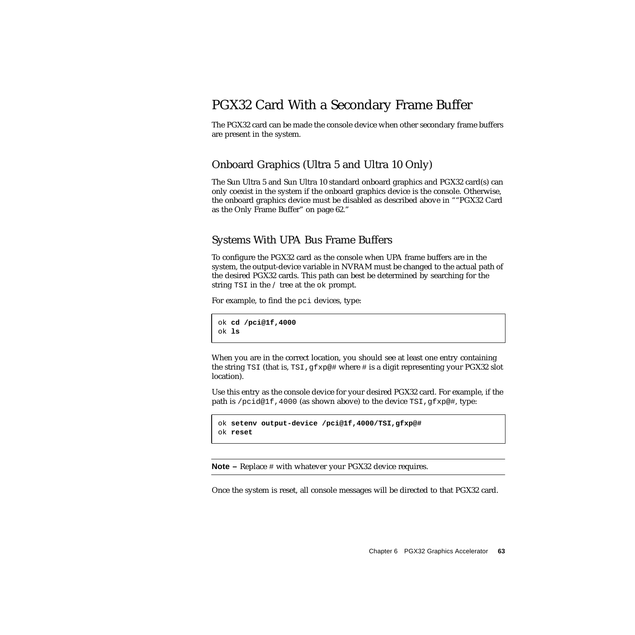#### PGX32 Card With a Secondary Frame Buffer

The PGX32 card can be made the console device when other secondary frame buffers are present in the system.

#### Onboard Graphics (Ultra 5 and Ultra 10 Only)

The Sun Ultra 5 and Sun Ultra 10 standard onboard graphics and PGX32 card(s) can only coexist in the system if the onboard graphics device is the console. Otherwise, the onboard graphics device must be disabled as described above in [""PGX32 Card](#page-77-0) [as the Only Frame Buffer" on page 62.](#page-77-0)"

#### Systems With UPA Bus Frame Buffers

To configure the PGX32 card as the console when UPA frame buffers are in the system, the output-device variable in NVRAM must be changed to the actual path of the desired PGX32 cards. This path can best be determined by searching for the string TSI in the / tree at the ok prompt.

For example, to find the pci devices, type:

```
ok cd /pci@1f,4000
ok ls
```
When you are in the correct location, you should see at least one entry containing the string  $TSI$  (that is,  $TSI$ ,  $qfxp@H$  where  $#$  is a digit representing your PGX32 slot location).

Use this entry as the console device for your desired PGX32 card. For example, if the path is /pcid@1f,4000 (as shown above) to the device  $TSI$ ,  $qfxp@$ #, type:

```
ok setenv output-device /pci@1f,4000/TSI,gfxp@#
ok reset
```
**Note –** Replace # with whatever your PGX32 device requires.

Once the system is reset, all console messages will be directed to that PGX32 card.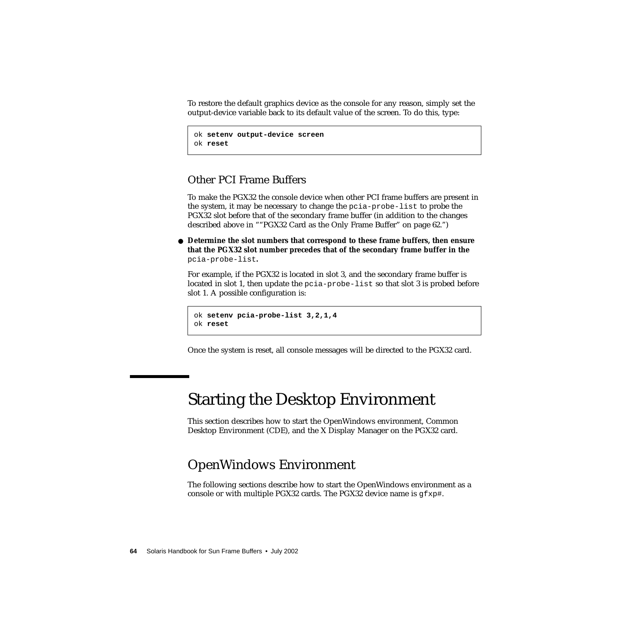To restore the default graphics device as the console for any reason, simply set the output-device variable back to its default value of the screen. To do this, type:

```
ok setenv output-device screen
ok reset
```
#### Other PCI Frame Buffers

To make the PGX32 the console device when other PCI frame buffers are present in the system, it may be necessary to change the pcia-probe-list to probe the PGX32 slot before that of the secondary frame buffer (in addition to the changes described above in [""PGX32 Card as the Only Frame Buffer" on page 62.](#page-77-0)")

● **Determine the slot numbers that correspond to these frame buffers, then ensure that the PGX32 slot number precedes that of the secondary frame buffer in the** pcia-probe-list**.**

For example, if the PGX32 is located in slot 3, and the secondary frame buffer is located in slot 1, then update the pcia-probe-list so that slot 3 is probed before slot 1. A possible configuration is:

```
ok setenv pcia-probe-list 3,2,1,4
ok reset
```
Once the system is reset, all console messages will be directed to the PGX32 card.

### Starting the Desktop Environment

This section describes how to start the OpenWindows environment, Common Desktop Environment (CDE), and the X Display Manager on the PGX32 card.

### OpenWindows Environment

The following sections describe how to start the OpenWindows environment as a console or with multiple PGX32 cards. The PGX32 device name is gfxp#.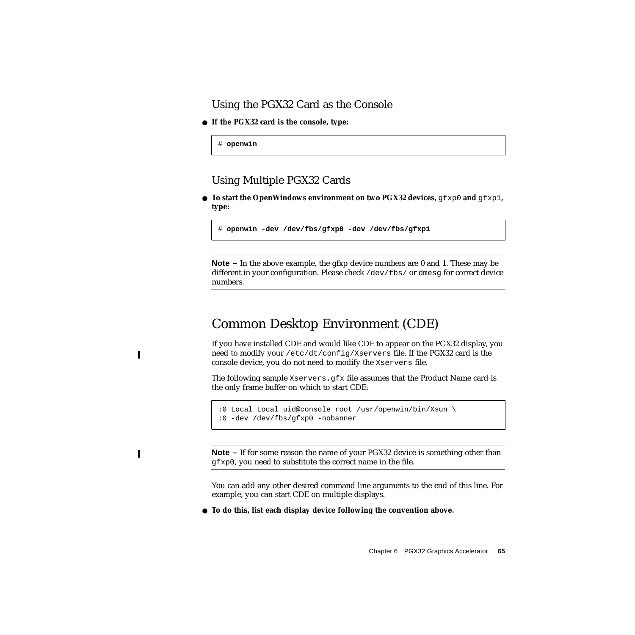Using the PGX32 Card as the Console

● **If the PGX32 card is the console, type:**

# **openwin**

ı

Г

#### Using Multiple PGX32 Cards

● **To start the OpenWindows environment on two PGX32 devices,** gfxp0 **and** gfxp1, **type:**

# **openwin -dev /dev/fbs/gfxp0 -dev /dev/fbs/gfxp1**

**Note –** In the above example, the gfxp device numbers are 0 and 1. These may be different in your configuration. Please check /dev/fbs/ or dmesg for correct device numbers.

#### Common Desktop Environment (CDE)

If you have installed CDE and would like CDE to appear on the PGX32 display, you need to modify your /etc/dt/config/Xservers file. If the PGX32 card is the console device, you do not need to modify the Xservers file.

The following sample  $X$ servers.  $qfx$  file assumes that the Product Name card is the only frame buffer on which to start CDE:

```
:0 Local Local_uid@console root /usr/openwin/bin/Xsun \
:0 -dev /dev/fbs/gfxp0 -nobanner
```
**Note –** If for some reason the name of your PGX32 device is something other than gfxp0, you need to substitute the correct name in the file.

You can add any other desired command line arguments to the end of this line. For example, you can start CDE on multiple displays.

● **To do this, list each display device following the convention above.**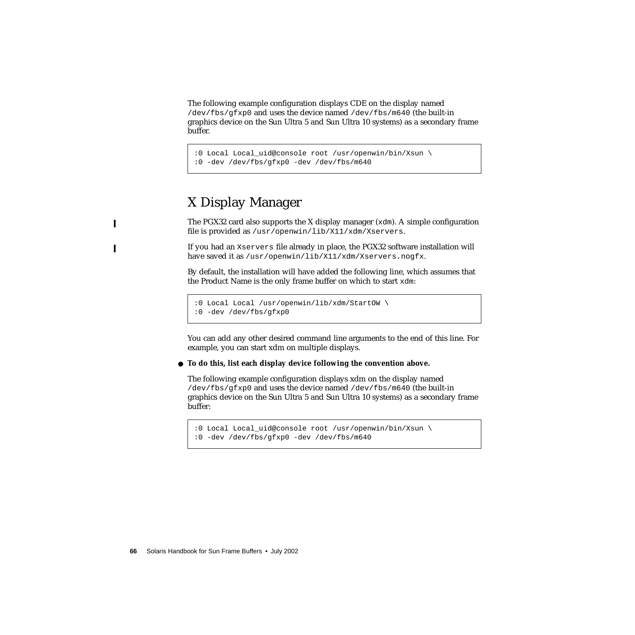The following example configuration displays CDE on the display named /dev/fbs/gfxp0 and uses the device named /dev/fbs/m640 (the built-in graphics device on the Sun Ultra 5 and Sun Ultra 10 systems) as a secondary frame buffer.

```
:0 Local Local_uid@console root /usr/openwin/bin/Xsun \
:0 -dev /dev/fbs/gfxp0 -dev /dev/fbs/m640
```
#### X Display Manager

The PGX32 card also supports the X display manager  $(xdm)$ . A simple configuration file is provided as /usr/openwin/lib/X11/xdm/Xservers.

If you had an Xservers file already in place, the PGX32 software installation will have saved it as /usr/openwin/lib/X11/xdm/Xservers.nogfx.

By default, the installation will have added the following line, which assumes that the Product Name is the only frame buffer on which to start xdm:

```
:0 Local Local /usr/openwin/lib/xdm/StartOW \
:0 -dev /dev/fbs/gfxp0
```
You can add any other desired command line arguments to the end of this line. For example, you can start xdm on multiple displays.

● **To do this, list each display device following the convention above.**

The following example configuration displays xdm on the display named /dev/fbs/gfxp0 and uses the device named /dev/fbs/m640 (the built-in graphics device on the Sun Ultra 5 and Sun Ultra 10 systems) as a secondary frame buffer:

```
:0 Local Local_uid@console root /usr/openwin/bin/Xsun \
:0 -dev /dev/fbs/gfxp0 -dev /dev/fbs/m640
```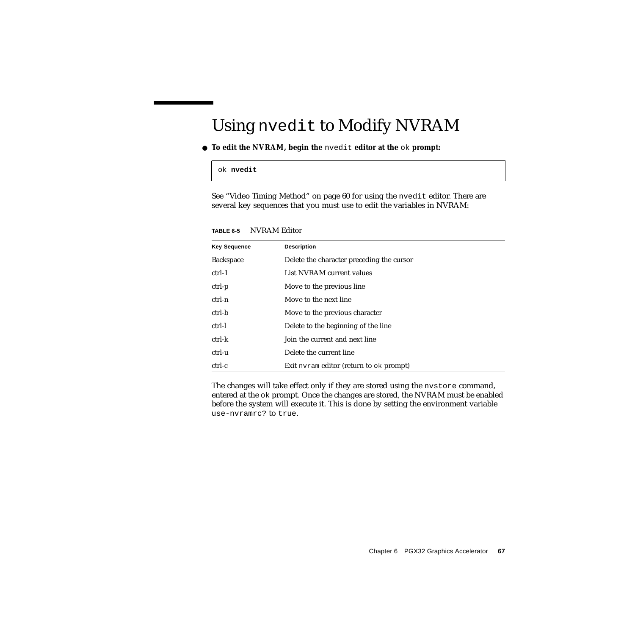# Using nvedit to Modify NVRAM

<span id="page-82-0"></span>● **To edit the NVRAM, begin the** nvedit **editor at the** ok **prompt:**

ok **nvedit**

See ["Video Timing Method" on page 60](#page-75-0) for using the nvedit editor. There are several key sequences that you must use to edit the variables in NVRAM:

**TABLE 6-5** NVRAM Editor

| <b>Key Sequence</b> | <b>Description</b>                        |  |
|---------------------|-------------------------------------------|--|
| <b>Backspace</b>    | Delete the character preceding the cursor |  |
| $ctrl-1$            | List NVRAM current values                 |  |
| ctrl-p              | Move to the previous line.                |  |
| ctrl-n              | Move to the next line                     |  |
| ctrl-b              | Move to the previous character            |  |
| ctrl-l              | Delete to the beginning of the line       |  |
| ctrl-k              | Join the current and next line            |  |
| ctrl-u              | Delete the current line                   |  |
| ctrl-c              | Exit nvram editor (return to ok prompt)   |  |

The changes will take effect only if they are stored using the nvstore command, entered at the ok prompt. Once the changes are stored, the NVRAM must be enabled before the system will execute it. This is done by setting the environment variable use-nvramrc? to true.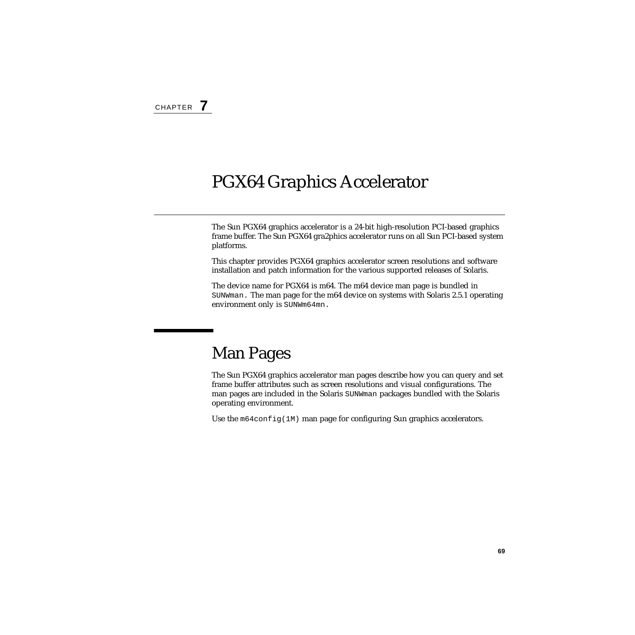# PGX64 Graphics Accelerator

The Sun PGX64 graphics accelerator is a 24-bit high-resolution PCI-based graphics frame buffer. The Sun PGX64 gra2phics accelerator runs on all Sun PCI-based system platforms.

This chapter provides PGX64 graphics accelerator screen resolutions and software installation and patch information for the various supported releases of Solaris.

The device name for PGX64 is m64. The m64 device man page is bundled in SUNWman. The man page for the m64 device on systems with Solaris 2.5.1 operating environment only is SUNWm64mn.

### Man Pages

The Sun PGX64 graphics accelerator man pages describe how you can query and set frame buffer attributes such as screen resolutions and visual configurations. The man pages are included in the Solaris SUNWman packages bundled with the Solaris operating environment.

Use the  $m64$ config(1M) man page for configuring Sun graphics accelerators.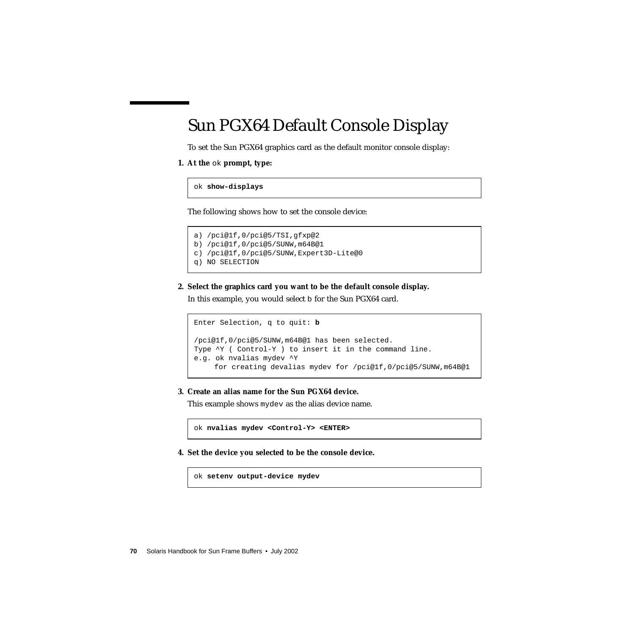# Sun PGX64 Default Console Display

To set the Sun PGX64 graphics card as the default monitor console display:

**1. At the** ok **prompt, type:**

ok **show-displays**

The following shows how to set the console device:

```
a) /pci@1f,0/pci@5/TSI,gfxp@2
b) /pci@1f,0/pci@5/SUNW,m64B@1
c) /pci@1f,0/pci@5/SUNW,Expert3D-Lite@0
q) NO SELECTION
```
**2. Select the graphics card you want to be the default console display.**

In this example, you would select b for the Sun PGX64 card.

```
Enter Selection, q to quit: b
/pci@1f,0/pci@5/SUNW,m64B@1 has been selected.
Type ^Y ( Control-Y ) to insert it in the command line.
e.g. ok nvalias mydev ^Y
     for creating devalias mydev for /pci@1f,0/pci@5/SUNW,m64B@1
```
**3. Create an alias name for the Sun PGX64 device.**

This example shows mydev as the alias device name.

ok **nvalias mydev <Control-Y> <ENTER>**

#### **4. Set the device you selected to be the console device.**

ok **setenv output-device mydev**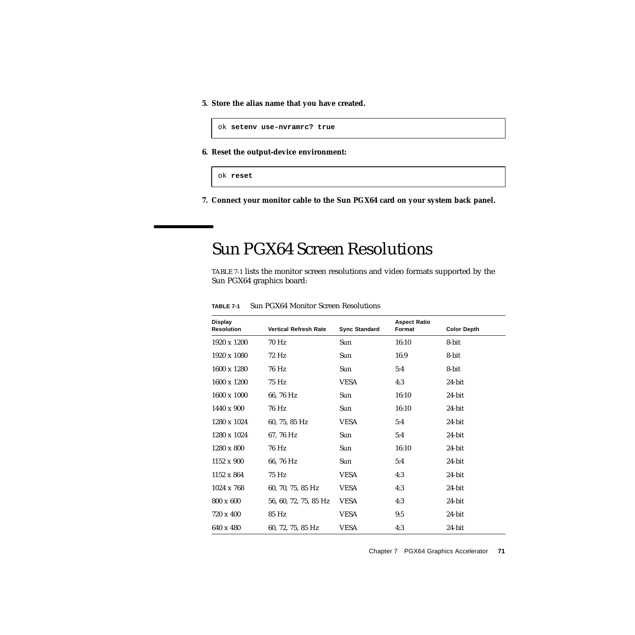**5. Store the alias name that you have created.**

ok **setenv use-nvramrc? true**

**6. Reset the output-device environment:**

ok **reset**

**7. Connect your monitor cable to the Sun PGX64 card on your system back panel.**

### Sun PGX64 Screen Resolutions

[TABLE 7-1](#page-86-0) lists the monitor screen resolutions and video formats supported by the Sun PGX64 graphics board:

| Display           |                              |                      | <b>Aspect Ratio</b> |                    |
|-------------------|------------------------------|----------------------|---------------------|--------------------|
| <b>Resolution</b> | <b>Vertical Refresh Rate</b> | <b>Sync Standard</b> | Format              | <b>Color Depth</b> |
| 1920 x 1200       | 70 Hz                        | Sun                  | 16:10               | 8-bit              |
| 1920 x 1080       | 72 Hz                        | Sun                  | 16:9                | 8-bit              |
| 1600 x 1280       | 76 Hz                        | Sun                  | 5:4                 | 8-bit              |
| 1600 x 1200       | 75 Hz                        | <b>VESA</b>          | 4:3                 | 24-bit             |
| 1600 x 1000       | 66, 76 Hz                    | Sun                  | 16:10               | 24-bit             |
| 1440 x 900        | 76 Hz                        | Sun                  | 16:10               | 24-bit             |
| 1280 x 1024       | 60, 75, 85 Hz                | <b>VESA</b>          | 5:4                 | 24-bit             |
| 1280 x 1024       | 67, 76 Hz                    | Sun                  | 5:4                 | 24-bit             |
| 1280 x 800        | 76 Hz                        | Sun                  | 16:10               | 24-bit             |
| 1152 x 900        | 66, 76 Hz                    | Sun                  | 5:4                 | 24-bit             |
| 1152 x 864        | 75 Hz                        | <b>VESA</b>          | 4:3                 | 24-bit             |
| 1024 x 768        | 60, 70, 75, 85 Hz            | <b>VESA</b>          | 4:3                 | 24-bit             |
| 800 x 600         | 56, 60, 72, 75, 85 Hz        | <b>VESA</b>          | 4:3                 | 24-bit             |
| 720 x 400         | 85 Hz                        | VESA                 | 9:5                 | 24-bit             |
| 640 x 480         | 60, 72, 75, 85 Hz            | <b>VESA</b>          | 4:3                 | 24-bit             |

<span id="page-86-0"></span>**TABLE 7-1** Sun PGX64 Monitor Screen Resolutions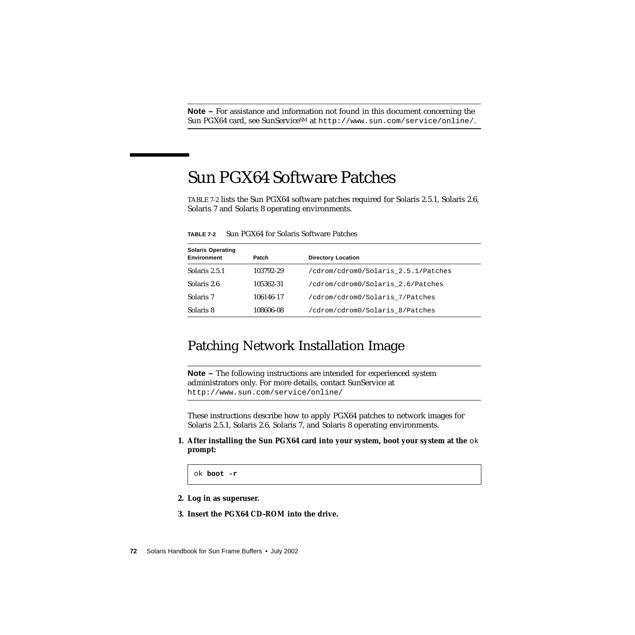### Sun PGX64 Software Patches

[TABLE 7-2](#page-87-0) lists the Sun PGX64 software patches required for Solaris 2.5.1, Solaris 2.6, Solaris 7 and Solaris 8 operating environments.

| <b>Solaris Operating</b><br>Environment | Patch     | <b>Directory Location</b>           |
|-----------------------------------------|-----------|-------------------------------------|
| Solaris 2.5.1                           | 103792-29 | /cdrom/cdrom0/Solaris 2.5.1/Patches |
| Solaris 2.6                             | 105362-31 | /cdrom/cdrom0/Solaris 2.6/Patches   |
| Solaris 7                               | 106146-17 | /cdrom/cdrom0/Solaris 7/Patches     |
| Solaris 8                               | 108606-08 | /cdrom/cdrom0/Solaris 8/Patches     |

<span id="page-87-0"></span>**TABLE 7-2** Sun PGX64 for Solaris Software Patches

#### Patching Network Installation Image

**Note –** The following instructions are intended for experienced system administrators only. For more details, contact SunService at http://www.sun.com/service/online/

These instructions describe how to apply PGX64 patches to network images for Solaris 2.5.1, Solaris 2.6, Solaris 7, and Solaris 8 operating environments.

#### **1. After installing the Sun PGX64 card into your system, boot your system at the** ok **prompt:**

ok **boot -r**

#### **2. Log in as superuser.**

**3. Insert the PGX64 CD-ROM into the drive.**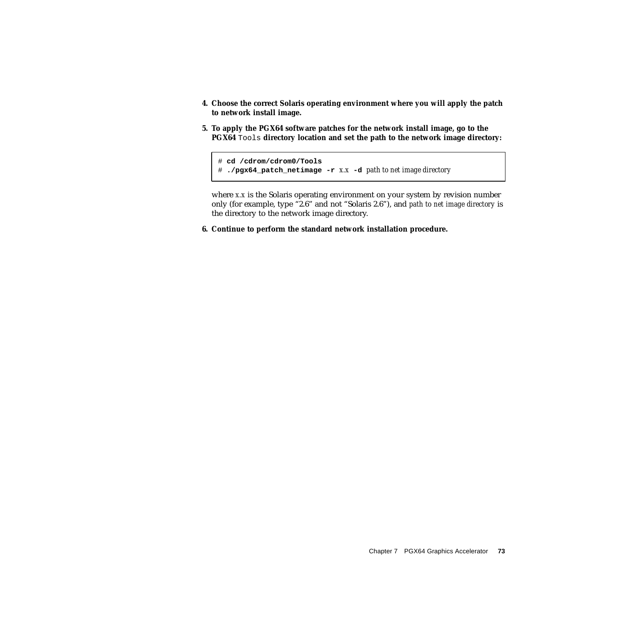- **4. Choose the correct Solaris operating environment where you will apply the patch to network install image.**
- **5. To apply the PGX64 software patches for the network install image, go to the PGX64** Tools **directory location and set the path to the network image directory:**

```
# cd /cdrom/cdrom0/Tools
# ./pgx64_patch_netimage -r x.x -d path to net image directory
```
where *x.x* is the Solaris operating environment on your system by revision number only (for example, type "2.6" and not "Solaris 2.6"), and *path to net image directory* is the directory to the network image directory.

**6. Continue to perform the standard network installation procedure.**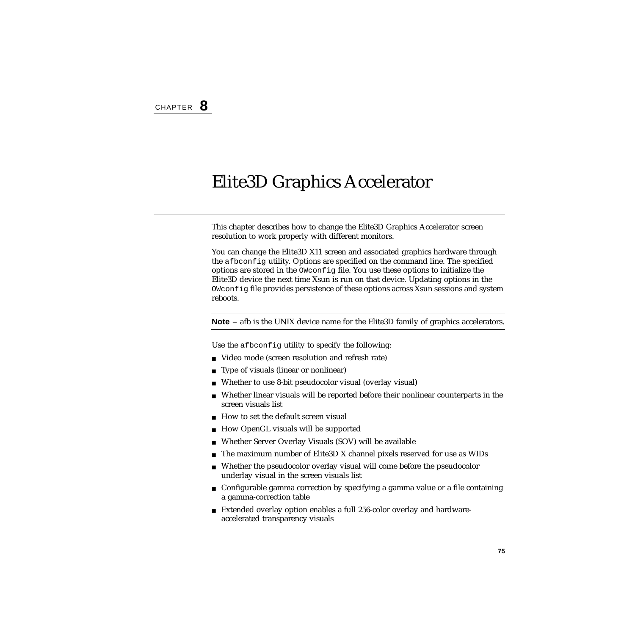## Elite3D Graphics Accelerator

This chapter describes how to change the Elite3D Graphics Accelerator screen resolution to work properly with different monitors.

You can change the Elite3D X11 screen and associated graphics hardware through the afbconfig utility. Options are specified on the command line. The specified options are stored in the OWconfig file. You use these options to initialize the Elite3D device the next time Xsun is run on that device. Updating options in the OWconfig file provides persistence of these options across Xsun sessions and system reboots.

**Note –** afb is the UNIX device name for the Elite3D family of graphics accelerators.

Use the afbconfig utility to specify the following:

- Video mode (screen resolution and refresh rate)
- Type of visuals (linear or nonlinear)
- Whether to use 8-bit pseudocolor visual (overlay visual)
- Whether linear visuals will be reported before their nonlinear counterparts in the screen visuals list
- How to set the default screen visual
- How OpenGL visuals will be supported
- Whether Server Overlay Visuals (SOV) will be available
- The maximum number of Elite3D X channel pixels reserved for use as WIDs
- Whether the pseudocolor overlay visual will come before the pseudocolor underlay visual in the screen visuals list
- Configurable gamma correction by specifying a gamma value or a file containing a gamma-correction table
- Extended overlay option enables a full 256-color overlay and hardwareaccelerated transparency visuals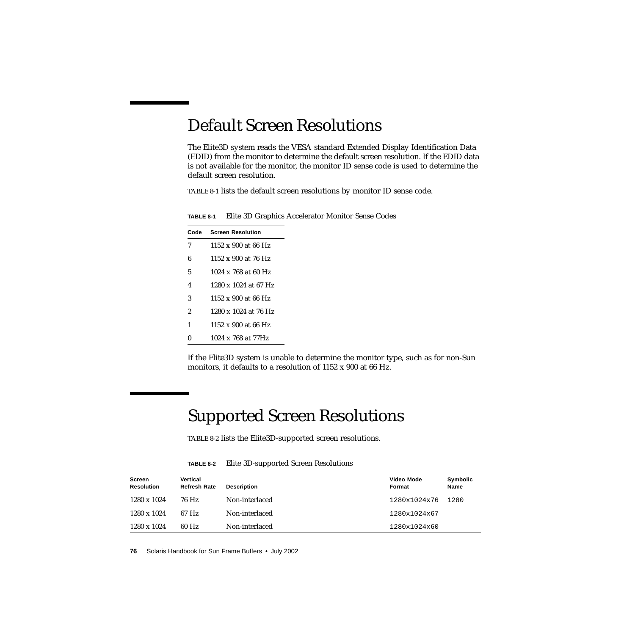# Default Screen Resolutions

The Elite3D system reads the VESA standard Extended Display Identification Data (EDID) from the monitor to determine the default screen resolution. If the EDID data is not available for the monitor, the monitor ID sense code is used to determine the default screen resolution.

[TABLE 8-1](#page-91-0) lists the default screen resolutions by monitor ID sense code.

<span id="page-91-0"></span>

| Code           | <b>Screen Resolution</b>    |
|----------------|-----------------------------|
| 7              | 1152 x 900 at 66 Hz         |
| 6              | 1152 x 900 at 76 Hz         |
| 5              | 1024 x 768 at 60 Hz         |
| 4              | $1280 \times 1024$ at 67 Hz |
| 3              | $1152 \times 900$ at 66 Hz  |
| $\overline{2}$ | 1280 x 1024 at 76 Hz        |
| 1              | $1152 \times 900$ at 66 Hz  |
| O              | 1024 x 768 at 77Hz          |

**TABLE 8-1** Elite 3D Graphics Accelerator Monitor Sense Codes

If the Elite3D system is unable to determine the monitor type, such as for non-Sun monitors, it defaults to a resolution of 1152 x 900 at 66 Hz.

# Supported Screen Resolutions

[TABLE 8-2](#page-91-1) lists the Elite3D-supported screen resolutions.

<span id="page-91-1"></span>

| <b>Screen</b><br><b>Resolution</b> | Vertical<br><b>Refresh Rate</b> | <b>Description</b> | Video Mode<br>Format | Symbolic<br>Name |
|------------------------------------|---------------------------------|--------------------|----------------------|------------------|
| 1280 x 1024                        | 76 Hz                           | Non-interlaced     | 1280x1024x76         | 1280             |
| 1280 x 1024                        | 67 Hz                           | Non-interlaced     | 1280x1024x67         |                  |
| 1280 x 1024                        | $60$ Hz                         | Non-interlaced     | 1280x1024x60         |                  |

**TABLE 8-2** Elite 3D-supported Screen Resolutions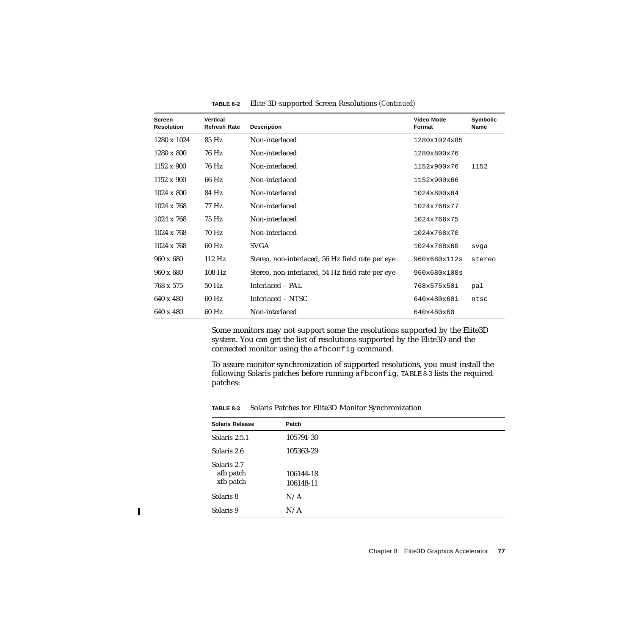| <b>Screen</b><br><b>Resolution</b> | Vertical<br><b>Refresh Rate</b> | <b>Description</b>                               | Video Mode<br>Format | Symbolic<br>Name |
|------------------------------------|---------------------------------|--------------------------------------------------|----------------------|------------------|
| 1280 x 1024                        | 85 Hz                           | Non-interlaced                                   | 1280x1024x85         |                  |
| $1280 \times 800$                  | 76 Hz                           | Non-interlaced                                   | 1280x800x76          |                  |
| $1152 \times 900$                  | 76 Hz                           | Non-interlaced                                   | 1152x900x76          | 1152             |
| $1152 \times 900$                  | 66 Hz                           | Non-interlaced                                   | 1152x900x66          |                  |
| $1024 \times 800$                  | 84 Hz                           | Non-interlaced                                   | 1024x800x84          |                  |
| 1024 x 768                         | 77 Hz                           | Non-interlaced                                   | 1024x768x77          |                  |
| $1024 \times 768$                  | 75 Hz                           | Non-interlaced                                   | 1024x768x75          |                  |
| $1024 \times 768$                  | 70 Hz                           | Non-interlaced                                   | 1024x768x70          |                  |
| $1024 \times 768$                  | $60$ Hz                         | <b>SVGA</b>                                      | 1024x768x60          | svga             |
| 960 x 680                          | 112 Hz                          | Stereo, non-interlaced, 56 Hz field rate per eye | 960x680x112s         | stereo           |
| $960 \times 680$                   | 108 Hz                          | Stereo, non-interlaced, 54 Hz field rate per eye | 960x680x108s         |                  |
| 768 x 575                          | 50 Hz                           | Interlaced - PAL                                 | 768x575x50i          | pal              |
| $640 \times 480$                   | $60$ Hz                         | Interlaced - NTSC                                | 640x480x60i          | ntsc             |
| 640 x 480                          | 60 Hz                           | Non-interlaced                                   | 640x480x60           |                  |

**TABLE 8-2** Elite 3D-supported Screen Resolutions *(Continued)*

Some monitors may not support some the resolutions supported by the Elite3D system. You can get the list of resolutions supported by the Elite3D and the connected monitor using the afbconfig command.

To assure monitor synchronization of supported resolutions, you must install the following Solaris patches before running afbconfig. [TABLE 8-3](#page-92-0) lists the required patches:

<span id="page-92-0"></span>

| <b>Solaris Release</b>                | Patch                  |  |
|---------------------------------------|------------------------|--|
| Solaris 2.5.1                         | 105791-30              |  |
| Solaris 2.6                           | 105363-29              |  |
| Solaris 2.7<br>afb patch<br>xfb patch | 106144-18<br>106148-11 |  |
| Solaris 8                             | N/A                    |  |
| Solaris 9                             | N/A                    |  |

**TABLE 8-3** Solaris Patches for Elite3D Monitor Synchronization

 $\blacksquare$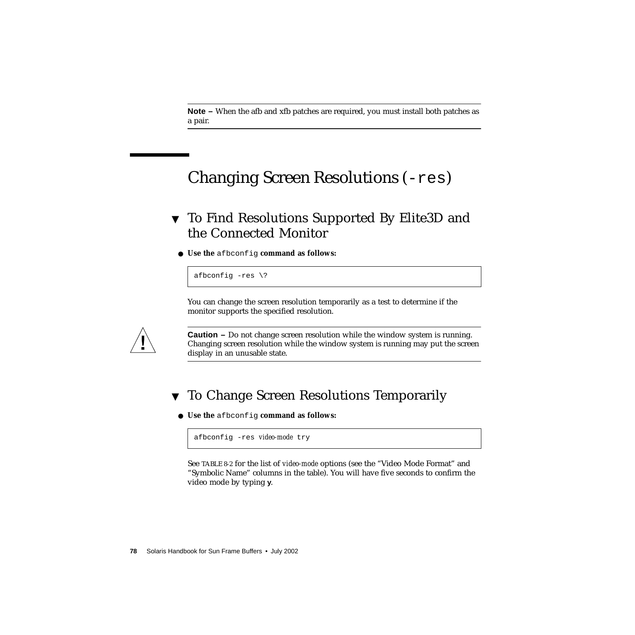**Note –** When the afb and xfb patches are required, you must install both patches as a pair.

# Changing Screen Resolutions (-res)

- ▼ To Find Resolutions Supported By Elite3D and the Connected Monitor
	- **Use the** afbconfig **command as follows:**

afbconfig -res \?

You can change the screen resolution temporarily as a test to determine if the monitor supports the specified resolution.



**Caution –** Do not change screen resolution while the window system is running. Changing screen resolution while the window system is running may put the screen display in an unusable state.

### ▼ To Change Screen Resolutions Temporarily

● **Use the** afbconfig **command as follows:**

afbconfig -res *video-mode* try

See [TABLE 8-2](#page-91-1) for the list of *video-mode* options (see the "Video Mode Format" and "Symbolic Name" columns in the table). You will have five seconds to confirm the video mode by typing **y**.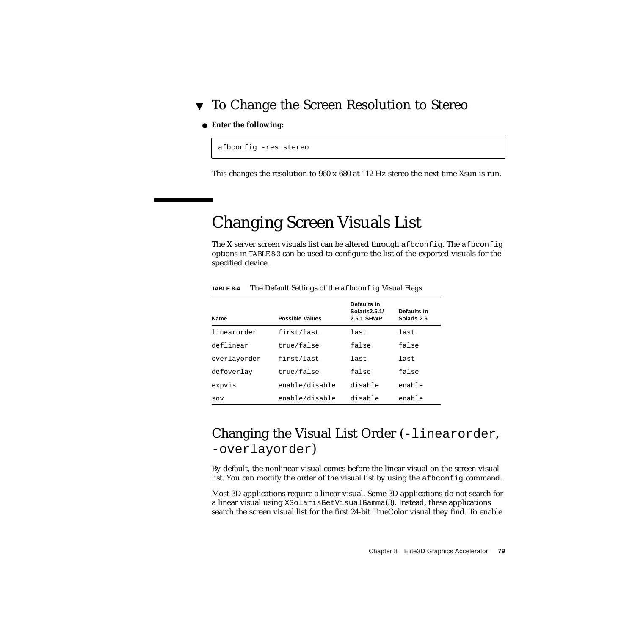#### ▼ To Change the Screen Resolution to Stereo

● **Enter the following:**

afbconfig -res stereo

This changes the resolution to 960 x 680 at 112 Hz stereo the next time Xsun is run.

### Changing Screen Visuals List

The X server screen visuals list can be altered through afbconfig. The afbconfig options in [TABLE 8-3](#page-92-0) can be used to configure the list of the exported visuals for the specified device.

<span id="page-94-0"></span>

| Name         | <b>Possible Values</b> | Defaults in<br>Solaris 2.5.1/<br><b>2.5.1 SHWP</b> | Defaults in<br>Solaris 2.6 |
|--------------|------------------------|----------------------------------------------------|----------------------------|
| linearorder  | first/last             | last                                               | last                       |
| deflinear    | true/false             | false                                              | false                      |
| overlayorder | first/last             | last                                               | last                       |
| defoverlay   | true/false             | false                                              | false                      |
| expvis       | enable/disable         | disable                                            | enable                     |
| SOV          | enable/disable         | disable                                            | enable                     |

**TABLE 8-4** The Default Settings of the afbconfig Visual Flags

#### Changing the Visual List Order (-linearorder, -overlayorder)

By default, the nonlinear visual comes before the linear visual on the screen visual list. You can modify the order of the visual list by using the afbconfig command.

Most 3D applications require a linear visual. Some 3D applications do not search for a linear visual using XSolarisGetVisualGamma(3). Instead, these applications search the screen visual list for the first 24-bit TrueColor visual they find. To enable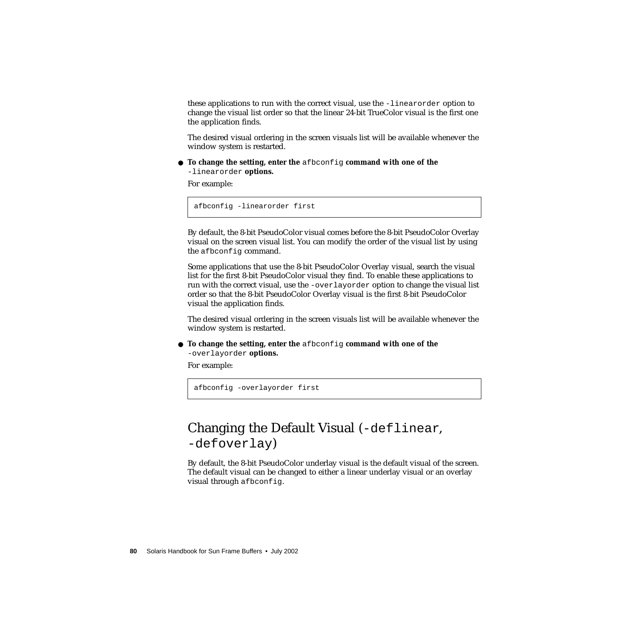these applications to run with the correct visual, use the -linearorder option to change the visual list order so that the linear 24-bit TrueColor visual is the first one the application finds.

The desired visual ordering in the screen visuals list will be available whenever the window system is restarted.

● **To change the setting, enter the** afbconfig **command with one of the** -linearorder **options.**

For example:

afbconfig -linearorder first

By default, the 8-bit PseudoColor visual comes before the 8-bit PseudoColor Overlay visual on the screen visual list. You can modify the order of the visual list by using the afbconfig command.

Some applications that use the 8-bit PseudoColor Overlay visual, search the visual list for the first 8-bit PseudoColor visual they find. To enable these applications to run with the correct visual, use the -overlayorder option to change the visual list order so that the 8-bit PseudoColor Overlay visual is the first 8-bit PseudoColor visual the application finds.

The desired visual ordering in the screen visuals list will be available whenever the window system is restarted.

● **To change the setting, enter the** afbconfig **command with one of the** -overlayorder **options.**

For example:

```
afbconfig -overlayorder first
```
#### Changing the Default Visual (-deflinear, -defoverlay)

By default, the 8-bit PseudoColor underlay visual is the default visual of the screen. The default visual can be changed to either a linear underlay visual or an overlay visual through afbconfig.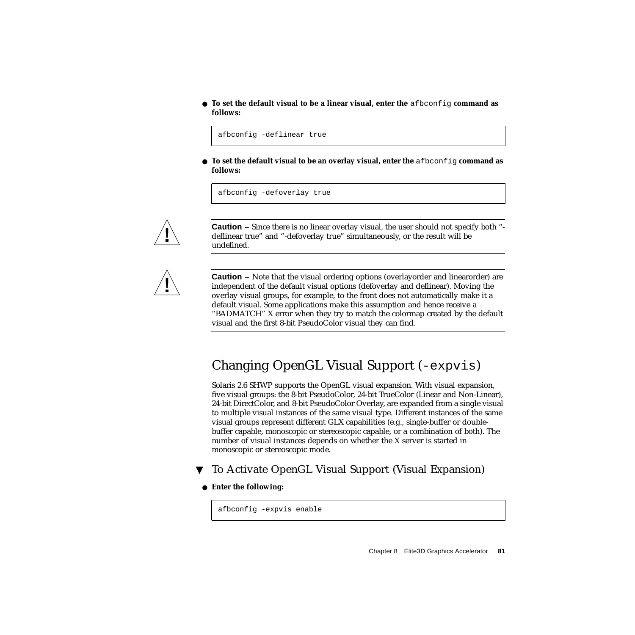● **To set the default visual to be a linear visual, enter the** afbconfig **command as follows:**

afbconfig -deflinear true

● **To set the default visual to be an overlay visual, enter the** afbconfig **command as follows:**

```
afbconfig -defoverlay true
```


**Caution –** Since there is no linear overlay visual, the user should not specify both " deflinear true" and "-defoverlay true" simultaneously, or the result will be undefined.



**Caution –** Note that the visual ordering options (overlayorder and linearorder) are independent of the default visual options (defoverlay and deflinear). Moving the overlay visual groups, for example, to the front does not automatically make it a default visual. Some applications make this assumption and hence receive a "BADMATCH" X error when they try to match the colormap created by the default visual and the first 8-bit PseudoColor visual they can find.

### Changing OpenGL Visual Support (-expvis)

Solaris 2.6 SHWP supports the OpenGL visual expansion. With visual expansion, five visual groups: the 8-bit PseudoColor, 24-bit TrueColor (Linear and Non-Linear), 24-bit DirectColor, and 8-bit PseudoColor Overlay, are expanded from a single visual to multiple visual instances of the same visual type. Different instances of the same visual groups represent different GLX capabilities (e.g., single-buffer or doublebuffer capable, monoscopic or stereoscopic capable, or a combination of both). The number of visual instances depends on whether the X server is started in monoscopic or stereoscopic mode.

#### To Activate OpenGL Visual Support (Visual Expansion)

● **Enter the following:**

```
afbconfig -expvis enable
```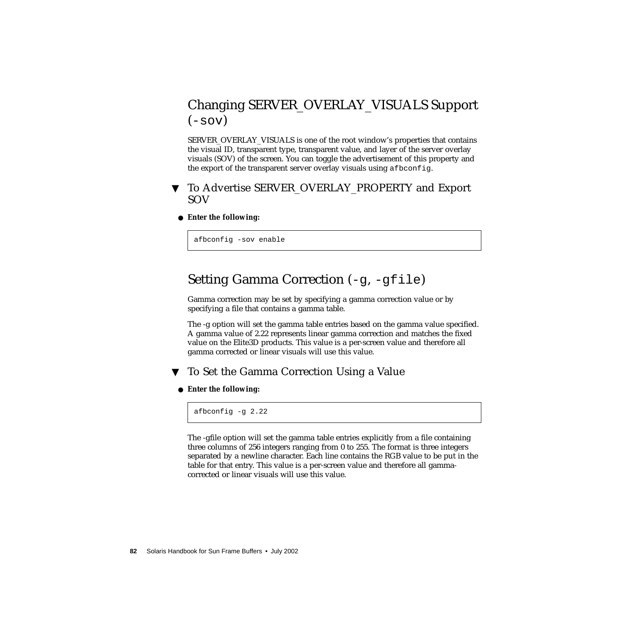### Changing SERVER\_OVERLAY\_VISUALS Support  $(-sov)$

SERVER\_OVERLAY\_VISUALS is one of the root window's properties that contains the visual ID, transparent type, transparent value, and layer of the server overlay visuals (SOV) of the screen. You can toggle the advertisement of this property and the export of the transparent server overlay visuals using afbconfig.

#### ▼ To Advertise SERVER\_OVERLAY\_PROPERTY and Export SOV

● **Enter the following:**

afbconfig -sov enable

#### Setting Gamma Correction (-g, -gfile)

Gamma correction may be set by specifying a gamma correction value or by specifying a file that contains a gamma table.

The -g option will set the gamma table entries based on the gamma value specified. A gamma value of 2.22 represents linear gamma correction and matches the fixed value on the Elite3D products. This value is a per-screen value and therefore all gamma corrected or linear visuals will use this value.

#### ▼ To Set the Gamma Correction Using a Value

#### ● **Enter the following:**

afbconfig -g 2.22

The -gfile option will set the gamma table entries explicitly from a file containing three columns of 256 integers ranging from 0 to 255. The format is three integers separated by a newline character. Each line contains the RGB value to be put in the table for that entry. This value is a per-screen value and therefore all gammacorrected or linear visuals will use this value.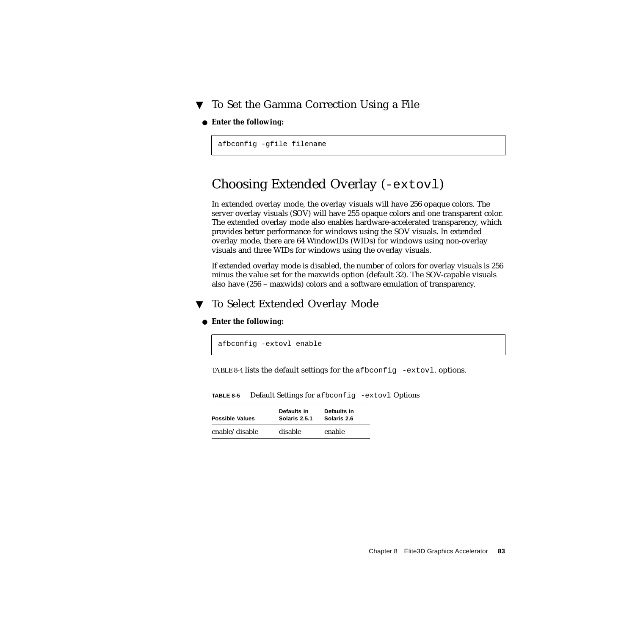#### ▼ To Set the Gamma Correction Using a File

● **Enter the following:**

afbconfig -gfile filename

### Choosing Extended Overlay (-extovl)

In extended overlay mode, the overlay visuals will have 256 opaque colors. The server overlay visuals (SOV) will have 255 opaque colors and one transparent color. The extended overlay mode also enables hardware-accelerated transparency, which provides better performance for windows using the SOV visuals. In extended overlay mode, there are 64 WindowIDs (WIDs) for windows using non-overlay visuals and three WIDs for windows using the overlay visuals.

If extended overlay mode is disabled, the number of colors for overlay visuals is 256 minus the value set for the maxwids option (default 32). The SOV-capable visuals also have (256 – maxwids) colors and a software emulation of transparency.

#### ▼ To Select Extended Overlay Mode

● **Enter the following:**

afbconfig -extovl enable

[TABLE 8-4](#page-94-0) lists the default settings for the afbconfig -extovl. options.

<span id="page-98-0"></span>**TABLE 8-5** Default Settings for afbconfig -extovl Options

| <b>Possible Values</b> | Defaults in<br>Solaris 2.5.1 | Defaults in<br>Solaris 2.6 |
|------------------------|------------------------------|----------------------------|
| enable/disable         | disable                      | enable                     |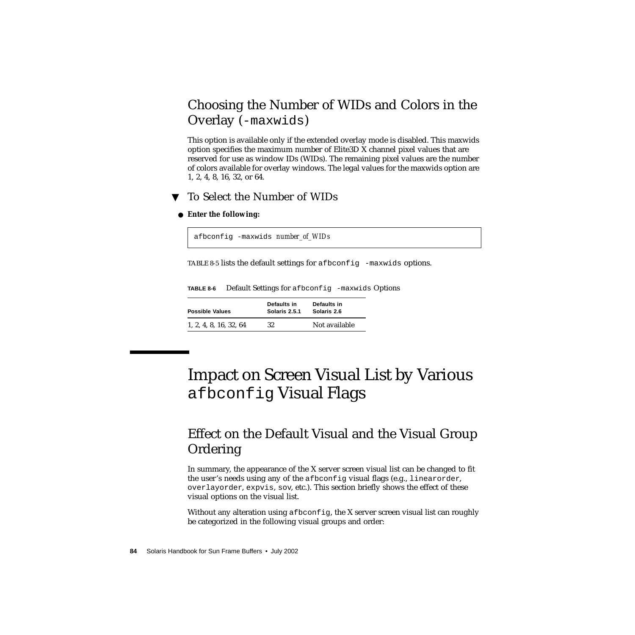### Choosing the Number of WIDs and Colors in the Overlay (-maxwids)

This option is available only if the extended overlay mode is disabled. This maxwids option specifies the maximum number of Elite3D X channel pixel values that are reserved for use as window IDs (WIDs). The remaining pixel values are the number of colors available for overlay windows. The legal values for the maxwids option are 1, 2, 4, 8, 16, 32, or 64.

#### ▼ To Select the Number of WIDs

#### ● **Enter the following:**

afbconfig -maxwids *number\_of\_WIDs*

[TABLE 8-5](#page-98-0) lists the default settings for afbconfig -maxwids options.

**TABLE 8-6** Default Settings for afbconfig -maxwids Options

| <b>Possible Values</b> | Defaults in<br>Solaris 2.5.1 | Defaults in<br>Solaris 2.6 |
|------------------------|------------------------------|----------------------------|
| 1, 2, 4, 8, 16, 32, 64 | 32                           | Not available              |

# Impact on Screen Visual List by Various afbconfig Visual Flags

### Effect on the Default Visual and the Visual Group Ordering

In summary, the appearance of the X server screen visual list can be changed to fit the user's needs using any of the afbconfig visual flags (e.g., linearorder, overlayorder, expvis, sov, etc.). This section briefly shows the effect of these visual options on the visual list.

Without any alteration using afbconfig, the X server screen visual list can roughly be categorized in the following visual groups and order: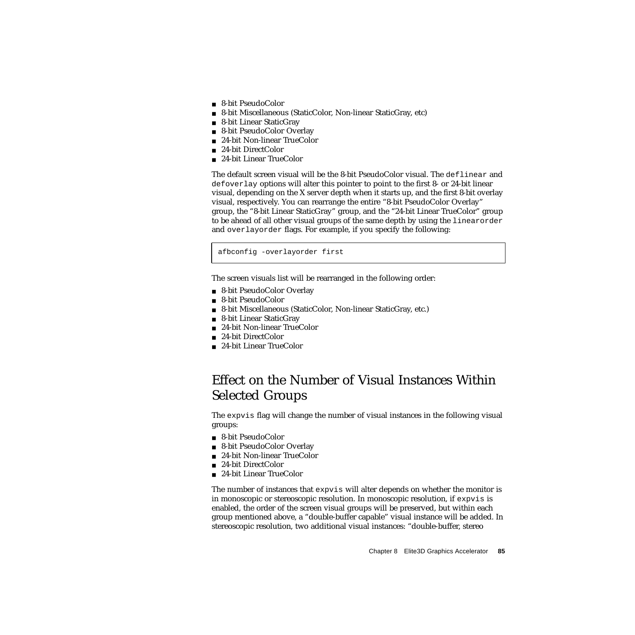- 8-bit PseudoColor
- 8-bit Miscellaneous (StaticColor, Non-linear StaticGray, etc)
- 8-bit Linear StaticGray
- 8-bit PseudoColor Overlay
- 24-bit Non-linear TrueColor
- 24-bit DirectColor
- 24-bit Linear TrueColor

The default screen visual will be the 8-bit PseudoColor visual. The deflinear and defoverlay options will alter this pointer to point to the first 8- or 24-bit linear visual, depending on the X server depth when it starts up, and the first 8-bit overlay visual, respectively. You can rearrange the entire "8-bit PseudoColor Overlay" group, the "8-bit Linear StaticGray" group, and the "24-bit Linear TrueColor" group to be ahead of all other visual groups of the same depth by using the linearorder and overlayorder flags. For example, if you specify the following:

afbconfig -overlayorder first

The screen visuals list will be rearranged in the following order:

- 8-bit PseudoColor Overlay
- 8-bit PseudoColor
- 8-bit Miscellaneous (StaticColor, Non-linear StaticGray, etc.)
- 8-bit Linear StaticGray
- 24-bit Non-linear TrueColor
- 24-bit DirectColor
- 24-bit Linear TrueColor

### Effect on the Number of Visual Instances Within Selected Groups

The expvis flag will change the number of visual instances in the following visual groups:

- 8-bit PseudoColor
- 8-bit PseudoColor Overlay
- 24-bit Non-linear TrueColor
- 24-bit DirectColor
- 24-bit Linear TrueColor

The number of instances that expvis will alter depends on whether the monitor is in monoscopic or stereoscopic resolution. In monoscopic resolution, if expvis is enabled, the order of the screen visual groups will be preserved, but within each group mentioned above, a "double-buffer capable" visual instance will be added. In stereoscopic resolution, two additional visual instances: "double-buffer, stereo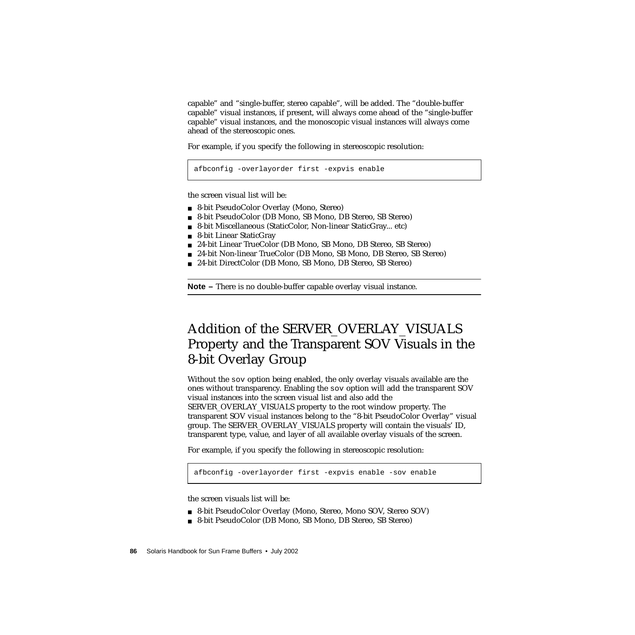capable" and "single-buffer, stereo capable", will be added. The "double-buffer capable" visual instances, if present, will always come ahead of the "single-buffer capable" visual instances, and the monoscopic visual instances will always come ahead of the stereoscopic ones.

For example, if you specify the following in stereoscopic resolution:

afbconfig -overlayorder first -expvis enable

the screen visual list will be:

- 8-bit PseudoColor Overlay (Mono, Stereo)
- 8-bit PseudoColor (DB Mono, SB Mono, DB Stereo, SB Stereo)
- 8-bit Miscellaneous (StaticColor, Non-linear StaticGray... etc)
- 8-bit Linear StaticGrav
- 24-bit Linear TrueColor (DB Mono, SB Mono, DB Stereo, SB Stereo)
- 24-bit Non-linear TrueColor (DB Mono, SB Mono, DB Stereo, SB Stereo)
- 24-bit DirectColor (DB Mono, SB Mono, DB Stereo, SB Stereo)

**Note –** There is no double-buffer capable overlay visual instance.

### Addition of the SERVER\_OVERLAY\_VISUALS Property and the Transparent SOV Visuals in the 8-bit Overlay Group

Without the sov option being enabled, the only overlay visuals available are the ones without transparency. Enabling the sov option will add the transparent SOV visual instances into the screen visual list and also add the SERVER\_OVERLAY\_VISUALS property to the root window property. The transparent SOV visual instances belong to the "8-bit PseudoColor Overlay" visual group. The SERVER\_OVERLAY\_VISUALS property will contain the visuals' ID, transparent type, value, and layer of all available overlay visuals of the screen.

For example, if you specify the following in stereoscopic resolution:

afbconfig -overlayorder first -expvis enable -sov enable

the screen visuals list will be:

- 8-bit PseudoColor Overlay (Mono, Stereo, Mono SOV, Stereo SOV)
- 8-bit PseudoColor (DB Mono, SB Mono, DB Stereo, SB Stereo)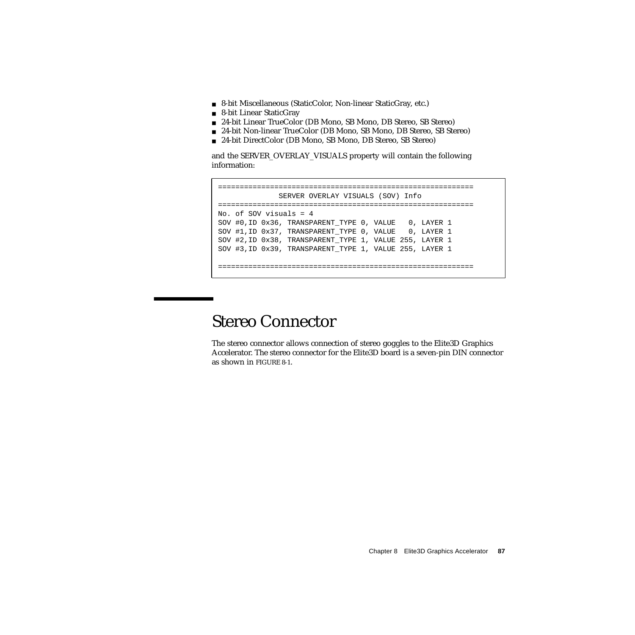- 8-bit Miscellaneous (StaticColor, Non-linear StaticGray, etc.)
- 8-bit Linear StaticGray
- 24-bit Linear TrueColor (DB Mono, SB Mono, DB Stereo, SB Stereo)
- 24-bit Non-linear TrueColor (DB Mono, SB Mono, DB Stereo, SB Stereo)
- 24-bit DirectColor (DB Mono, SB Mono, DB Stereo, SB Stereo)

and the SERVER\_OVERLAY\_VISUALS property will contain the following information:

```
===========================================================
               SERVER OVERLAY VISUALS (SOV) Info
===========================================================
No. of SOV visuals = 4
SOV #0,ID 0x36, TRANSPARENT_TYPE 0, VALUE 0, LAYER 1
SOV #1,ID 0x37, TRANSPARENT_TYPE 0, VALUE 0, LAYER 1
SOV #2,ID 0x38, TRANSPARENT_TYPE 1, VALUE 255, LAYER 1
SOV #3,ID 0x39, TRANSPARENT_TYPE 1, VALUE 255, LAYER 1
===========================================================
```
### Stereo Connector

The stereo connector allows connection of stereo goggles to the Elite3D Graphics Accelerator. The stereo connector for the Elite3D board is a seven-pin DIN connector as shown in [FIGURE 8-1](#page-103-0).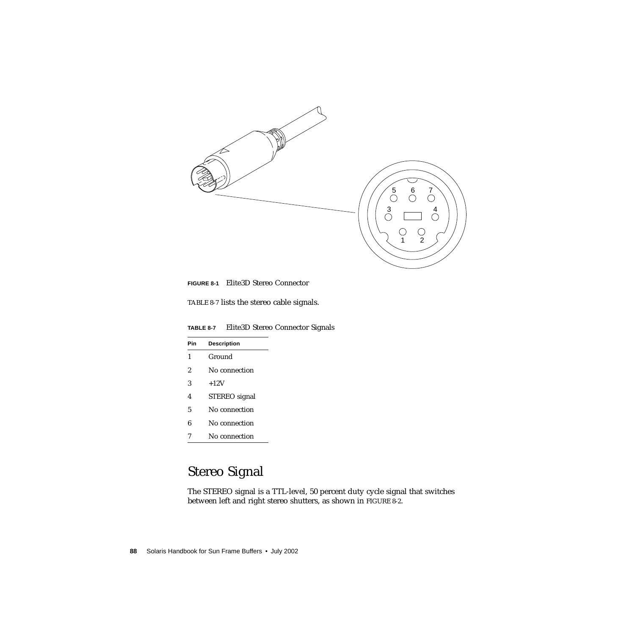

<span id="page-103-0"></span>**FIGURE 8-1** Elite3D Stereo Connector

[TABLE 8-7](#page-103-1) lists the stereo cable signals.

#### <span id="page-103-1"></span>**TABLE 8-7** Elite3D Stereo Connector Signals

| Pin | <b>Description</b> |
|-----|--------------------|
| 1   | Ground             |
| 2   | No connection      |
| 3   | $+12V$             |
| 4   | STEREO signal      |
| 5   | No connection      |
| 6   | No connection      |
|     | No connection      |

### Stereo Signal

The STEREO signal is a TTL-level, 50 percent duty cycle signal that switches between left and right stereo shutters, as shown in [FIGURE 8-2.](#page-104-0)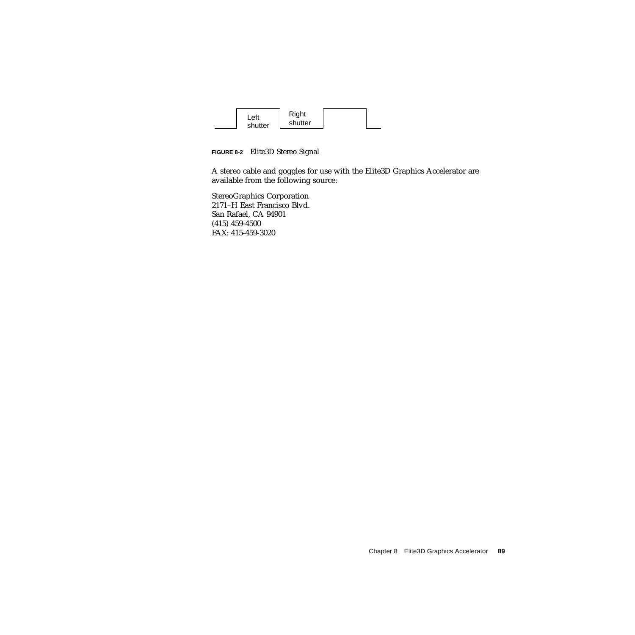

<span id="page-104-0"></span>**FIGURE 8-2** Elite3D Stereo Signal

A stereo cable and goggles for use with the Elite3D Graphics Accelerator are available from the following source:

StereoGraphics Corporation 2171–H East Francisco Blvd. San Rafael, CA 94901 (415) 459-4500 FAX: 415-459-3020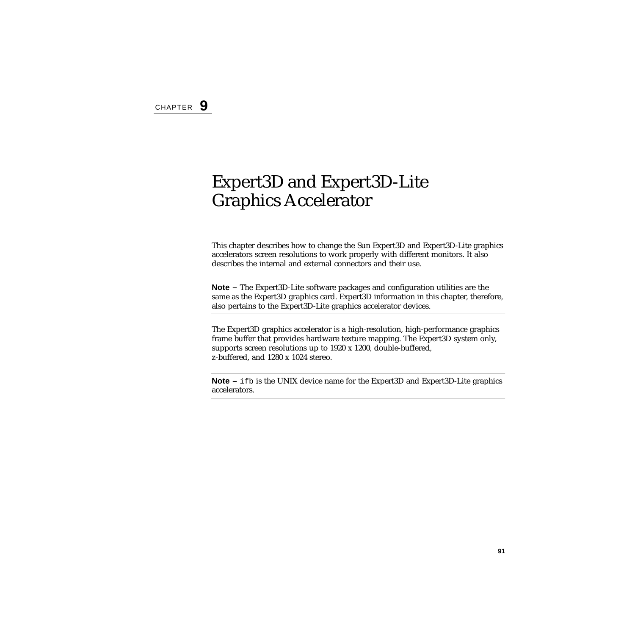# Expert3D and Expert3D-Lite Graphics Accelerator

This chapter describes how to change the Sun Expert3D and Expert3D-Lite graphics accelerators screen resolutions to work properly with different monitors. It also describes the internal and external connectors and their use.

**Note –** The Expert3D-Lite software packages and configuration utilities are the same as the Expert3D graphics card. Expert3D information in this chapter, therefore, also pertains to the Expert3D-Lite graphics accelerator devices.

The Expert3D graphics accelerator is a high-resolution, high-performance graphics frame buffer that provides hardware texture mapping. The Expert3D system only, supports screen resolutions up to 1920 x 1200, double-buffered, z-buffered, and 1280 x 1024 stereo.

**Note –** if the UNIX device name for the Expert3D and Expert3D-Lite graphics accelerators.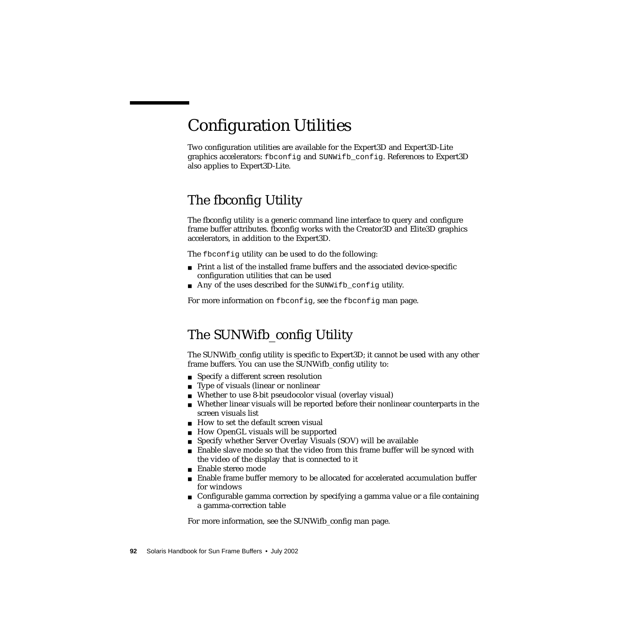# Configuration Utilities

Two configuration utilities are available for the Expert3D and Expert3D-Lite graphics accelerators: fbconfig and SUNWifb\_config. References to Expert3D also applies to Expert3D-Lite.

### The fbconfig Utility

The fbconfig utility is a generic command line interface to query and configure frame buffer attributes. fbconfig works with the Creator3D and Elite3D graphics accelerators, in addition to the Expert3D.

The fbconfig utility can be used to do the following:

- Print a list of the installed frame buffers and the associated device-specific configuration utilities that can be used
- Any of the uses described for the SUNWifb config utility.

For more information on fbconfig, see the fbconfig man page.

### The SUNWifb\_config Utility

The SUNWifb config utility is specific to Expert3D; it cannot be used with any other frame buffers. You can use the SUNWifb\_config utility to:

- Specify a different screen resolution
- Type of visuals (linear or nonlinear
- Whether to use 8-bit pseudocolor visual (overlay visual)
- Whether linear visuals will be reported before their nonlinear counterparts in the screen visuals list
- How to set the default screen visual
- How OpenGL visuals will be supported
- Specify whether Server Overlay Visuals (SOV) will be available
- Enable slave mode so that the video from this frame buffer will be synced with the video of the display that is connected to it
- Enable stereo mode
- Enable frame buffer memory to be allocated for accelerated accumulation buffer for windows
- Configurable gamma correction by specifying a gamma value or a file containing a gamma-correction table

For more information, see the SUNWifb\_config man page.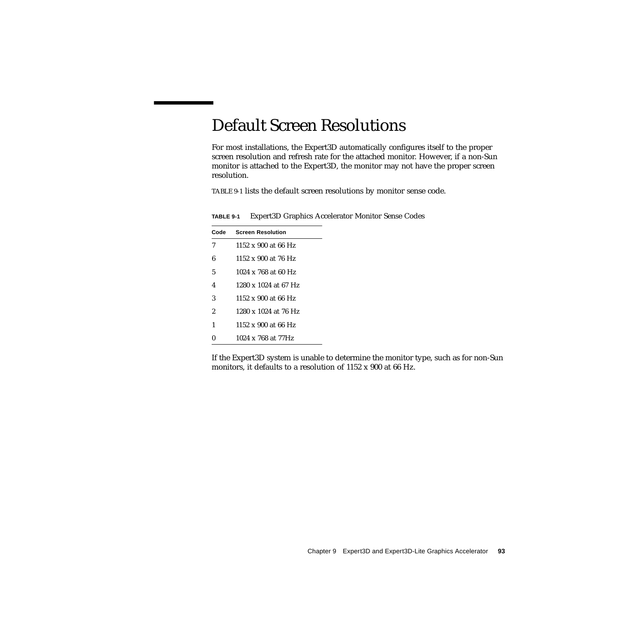## Default Screen Resolutions

For most installations, the Expert3D automatically configures itself to the proper screen resolution and refresh rate for the attached monitor. However, if a non-Sun monitor is attached to the Expert3D, the monitor may not have the proper screen resolution.

[TABLE 9-1](#page-108-0) lists the default screen resolutions by monitor sense code.

<span id="page-108-0"></span>

| Code           | <b>Screen Resolution</b>   |
|----------------|----------------------------|
| 7              | $1152 \times 900$ at 66 Hz |
| 6              | 1152 x 900 at 76 Hz        |
| 5              | 1024 x 768 at 60 Hz        |
| 4              | 1280 x 1024 at 67 Hz       |
| 3              | $1152 \times 900$ at 66 Hz |
| $\overline{2}$ | 1280 x 1024 at 76 Hz       |
| 1              | $1152 \times 900$ at 66 Hz |
|                | 1024 x 768 at 77Hz         |

**TABLE 9-1** Expert3D Graphics Accelerator Monitor Sense Codes

If the Expert3D system is unable to determine the monitor type, such as for non-Sun monitors, it defaults to a resolution of 1152 x 900 at 66 Hz.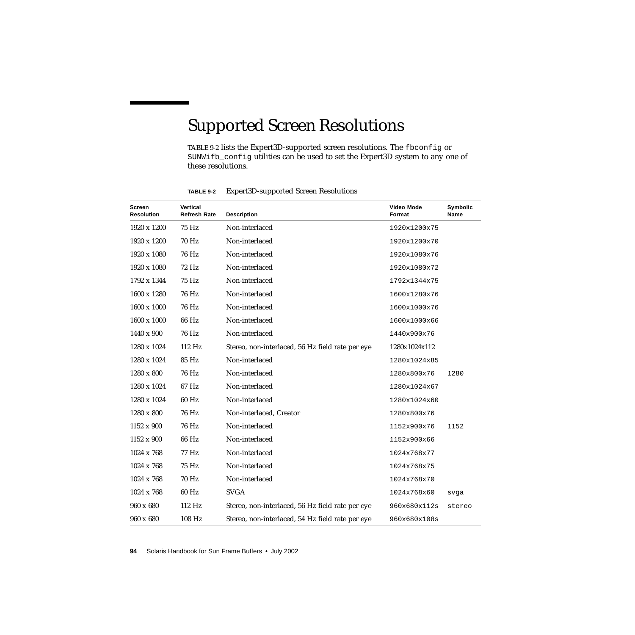## Supported Screen Resolutions

[TABLE 9-2](#page-109-0) lists the Expert3D-supported screen resolutions. The fbconfig or SUNWifb\_config utilities can be used to set the Expert3D system to any one of these resolutions.

<span id="page-109-0"></span>

| <b>Screen</b><br><b>Resolution</b> | Vertical<br><b>Refresh Rate</b> | <b>Description</b>                               | Video Mode<br>Format | Symbolic<br>Name |
|------------------------------------|---------------------------------|--------------------------------------------------|----------------------|------------------|
| 1920 x 1200                        | 75 Hz                           | Non-interlaced                                   | 1920x1200x75         |                  |
| 1920 x 1200                        | 70 Hz                           | Non-interlaced                                   | 1920x1200x70         |                  |
| 1920 x 1080                        | 76 Hz                           | Non-interlaced                                   | 1920x1080x76         |                  |
| 1920 x 1080                        | 72 Hz                           | Non-interlaced                                   | 1920x1080x72         |                  |
| 1792 x 1344                        | 75 Hz                           | Non-interlaced                                   | 1792x1344x75         |                  |
| 1600 x 1280                        | 76 Hz                           | Non-interlaced                                   | 1600x1280x76         |                  |
| $1600 \times 1000$                 | 76 Hz                           | Non-interlaced                                   | 1600x1000x76         |                  |
| $1600 \times 1000$                 | 66 Hz                           | Non-interlaced                                   | 1600x1000x66         |                  |
| 1440 x 900                         | 76 Hz                           | Non-interlaced                                   | 1440x900x76          |                  |
| 1280 x 1024                        | 112 Hz                          | Stereo, non-interlaced, 56 Hz field rate per eye | 1280x1024x112        |                  |
| 1280 x 1024                        | 85 Hz                           | Non-interlaced                                   | 1280x1024x85         |                  |
| 1280 x 800                         | 76 Hz                           | Non-interlaced                                   | 1280x800x76          | 1280             |
| 1280 x 1024                        | 67 Hz                           | Non-interlaced                                   | 1280x1024x67         |                  |
| 1280 x 1024                        | 60 Hz                           | Non-interlaced                                   | 1280x1024x60         |                  |
| 1280 x 800                         | 76 Hz                           | Non-interlaced, Creator                          | 1280x800x76          |                  |
| 1152 x 900                         | 76 Hz                           | Non-interlaced                                   | 1152x900x76          | 1152             |
| 1152 x 900                         | 66 Hz                           | Non-interlaced                                   | 1152x900x66          |                  |
| 1024 x 768                         | 77 Hz                           | Non-interlaced                                   | 1024x768x77          |                  |
| 1024 x 768                         | 75 Hz                           | Non-interlaced                                   | 1024x768x75          |                  |
| 1024 x 768                         | 70 Hz                           | Non-interlaced                                   | 1024x768x70          |                  |
| 1024 x 768                         | 60 Hz                           | <b>SVGA</b>                                      | 1024x768x60          | svga             |
| 960 x 680                          | $112$ Hz                        | Stereo, non-interlaced, 56 Hz field rate per eye | 960x680x112s         | stereo           |
| 960 x 680                          | 108 Hz                          | Stereo, non-interlaced, 54 Hz field rate per eye | 960x680x108s         |                  |

#### **TABLE 9-2** Expert3D-supported Screen Resolutions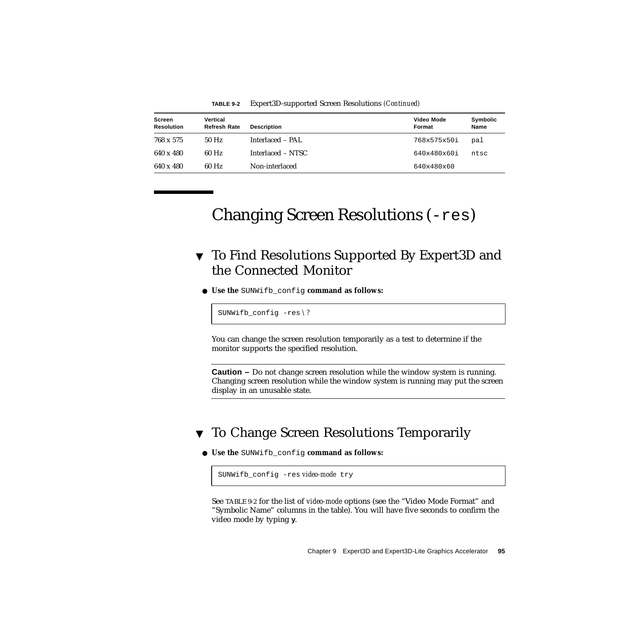| Vertical<br><b>Refresh Rate</b> | <b>Description</b> | Video Mode<br>Format | Symbolic<br>Name |
|---------------------------------|--------------------|----------------------|------------------|
| $50$ Hz                         | Interlaced - PAL   | 768x575x50i          | pal              |
| $60$ Hz                         | Interlaced - NTSC  | 640x480x60i          | ntsc             |
| $60$ Hz                         | Non-interlaced     | 640x480x60           |                  |
|                                 |                    |                      |                  |

**TABLE 9-2** Expert3D-supported Screen Resolutions *(Continued)*

### Changing Screen Resolutions (-res)

- ▼ To Find Resolutions Supported By Expert3D and the Connected Monitor
	- **Use the** SUNWifb\_config **command as follows:**

SUNWifb\_config -res *\?*

You can change the screen resolution temporarily as a test to determine if the monitor supports the specified resolution.

**Caution –** Do not change screen resolution while the window system is running. Changing screen resolution while the window system is running may put the screen display in an unusable state.

### ▼ To Change Screen Resolutions Temporarily

● **Use the** SUNWifb\_config **command as follows:**

SUNWifb\_config -res *video-mode* try

See [TABLE 9-2](#page-109-0) for the list of *video-mode* options (see the "Video Mode Format" and "Symbolic Name" columns in the table). You will have five seconds to confirm the video mode by typing **y**.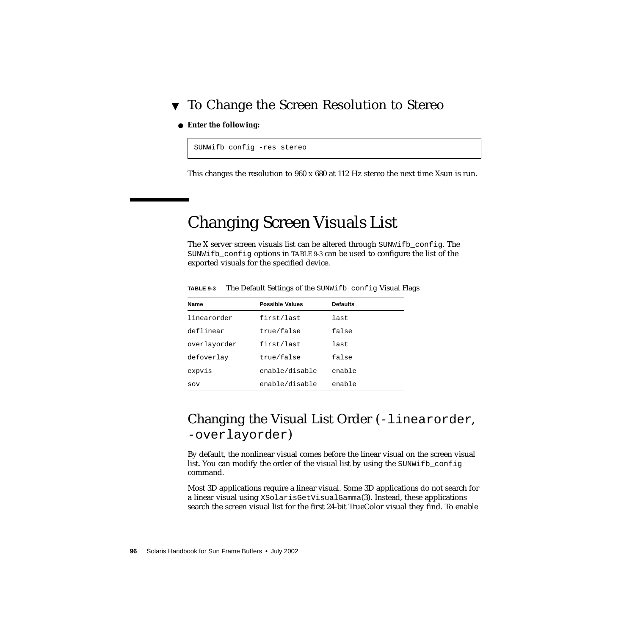### ▼ To Change the Screen Resolution to Stereo

#### ● **Enter the following:**

SUNWifb\_config -res stereo

This changes the resolution to 960 x 680 at 112 Hz stereo the next time Xsun is run.

## Changing Screen Visuals List

The X server screen visuals list can be altered through SUNWifb\_config. The SUNWifb config options in [TABLE 9-3](#page-111-0) can be used to configure the list of the exported visuals for the specified device.

| Name         | <b>Possible Values</b> | <b>Defaults</b> |
|--------------|------------------------|-----------------|
| linearorder  | first/last             | last            |
| deflinear    | true/false             | false           |
| overlayorder | first/last             | last            |
| defoverlay   | true/false             | false           |
| expvis       | enable/disable         | enable          |
| sov          | enable/disable         | enable          |

<span id="page-111-0"></span>**TABLE 9-3** The Default Settings of the SUNWifb\_config Visual Flags

### Changing the Visual List Order (-linearorder, -overlayorder)

By default, the nonlinear visual comes before the linear visual on the screen visual list. You can modify the order of the visual list by using the SUNWifb\_config command.

Most 3D applications require a linear visual. Some 3D applications do not search for a linear visual using XSolarisGetVisualGamma(3). Instead, these applications search the screen visual list for the first 24-bit TrueColor visual they find. To enable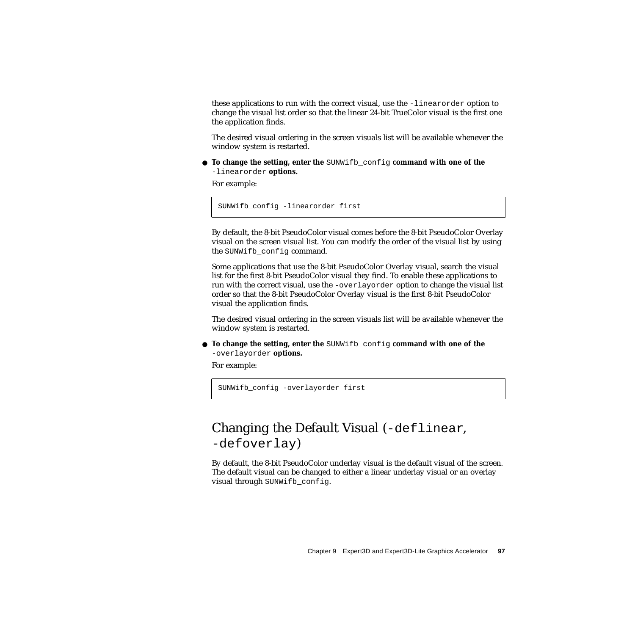these applications to run with the correct visual, use the -linearorder option to change the visual list order so that the linear 24-bit TrueColor visual is the first one the application finds.

The desired visual ordering in the screen visuals list will be available whenever the window system is restarted.

● **To change the setting, enter the** SUNWifb\_config **command with one of the** -linearorder **options.**

For example:

SUNWifb\_config -linearorder first

By default, the 8-bit PseudoColor visual comes before the 8-bit PseudoColor Overlay visual on the screen visual list. You can modify the order of the visual list by using the SUNWifb\_config command.

Some applications that use the 8-bit PseudoColor Overlay visual, search the visual list for the first 8-bit PseudoColor visual they find. To enable these applications to run with the correct visual, use the -overlayorder option to change the visual list order so that the 8-bit PseudoColor Overlay visual is the first 8-bit PseudoColor visual the application finds.

The desired visual ordering in the screen visuals list will be available whenever the window system is restarted.

● **To change the setting, enter the** SUNWifb\_config **command with one of the** -overlayorder **options.**

For example:

SUNWifb\_config -overlayorder first

### Changing the Default Visual (-deflinear, -defoverlay)

By default, the 8-bit PseudoColor underlay visual is the default visual of the screen. The default visual can be changed to either a linear underlay visual or an overlay visual through SUNWifb\_config.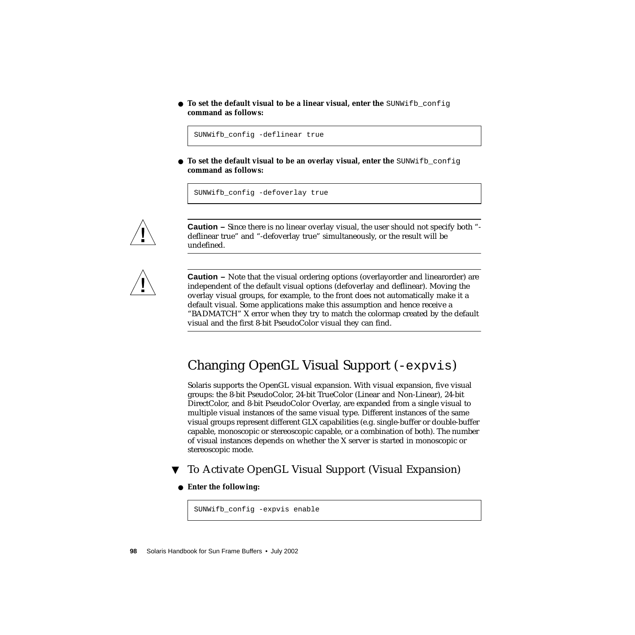● **To set the default visual to be a linear visual, enter the** SUNWifb\_config **command as follows:**

SUNWifb\_config -deflinear true

**• To set the default visual to be an overlay visual, enter the** SUNWifb config **command as follows:**

```
SUNWifb_config -defoverlay true
```


**Caution** – Since there is no linear overlay visual, the user should not specify both "deflinear true" and "-defoverlay true" simultaneously, or the result will be undefined.



**Caution –** Note that the visual ordering options (overlayorder and linearorder) are independent of the default visual options (defoverlay and deflinear). Moving the overlay visual groups, for example, to the front does not automatically make it a default visual. Some applications make this assumption and hence receive a "BADMATCH" X error when they try to match the colormap created by the default visual and the first 8-bit PseudoColor visual they can find.

### Changing OpenGL Visual Support (-expvis)

Solaris supports the OpenGL visual expansion. With visual expansion, five visual groups: the 8-bit PseudoColor, 24-bit TrueColor (Linear and Non-Linear), 24-bit DirectColor, and 8-bit PseudoColor Overlay, are expanded from a single visual to multiple visual instances of the same visual type. Different instances of the same visual groups represent different GLX capabilities (e.g. single-buffer or double-buffer capable, monoscopic or stereoscopic capable, or a combination of both). The number of visual instances depends on whether the X server is started in monoscopic or stereoscopic mode.

- ▼ To Activate OpenGL Visual Support (Visual Expansion)
	- **Enter the following:**

SUNWifb\_config -expvis enable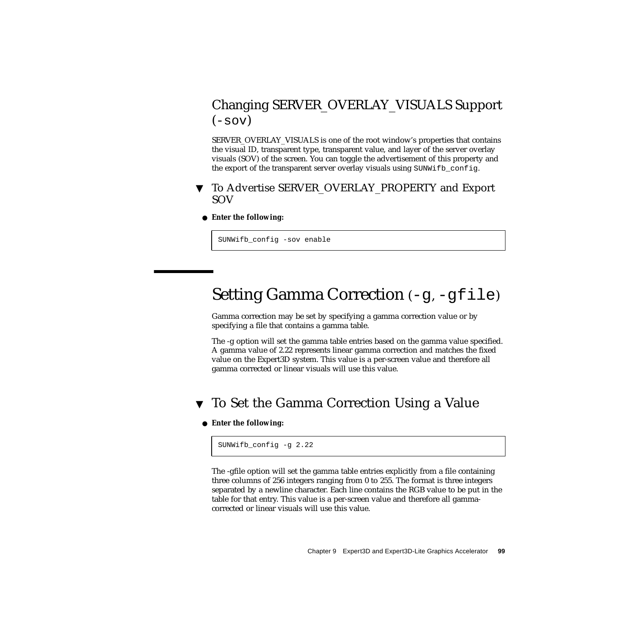### Changing SERVER\_OVERLAY\_VISUALS Support  $(-\text{sov})$

SERVER\_OVERLAY\_VISUALS is one of the root window's properties that contains the visual ID, transparent type, transparent value, and layer of the server overlay visuals (SOV) of the screen. You can toggle the advertisement of this property and the export of the transparent server overlay visuals using SUNWifb\_config.

- ▼ To Advertise SERVER\_OVERLAY\_PROPERTY and Export SOV
	- **Enter the following:**

SUNWifb\_config -sov enable

## Setting Gamma Correction (-g, -gfile)

Gamma correction may be set by specifying a gamma correction value or by specifying a file that contains a gamma table.

The -g option will set the gamma table entries based on the gamma value specified. A gamma value of 2.22 represents linear gamma correction and matches the fixed value on the Expert3D system. This value is a per-screen value and therefore all gamma corrected or linear visuals will use this value.

### ▼ To Set the Gamma Correction Using a Value

#### ● **Enter the following:**

SUNWifb\_config -g 2.22

The -gfile option will set the gamma table entries explicitly from a file containing three columns of 256 integers ranging from 0 to 255. The format is three integers separated by a newline character. Each line contains the RGB value to be put in the table for that entry. This value is a per-screen value and therefore all gammacorrected or linear visuals will use this value.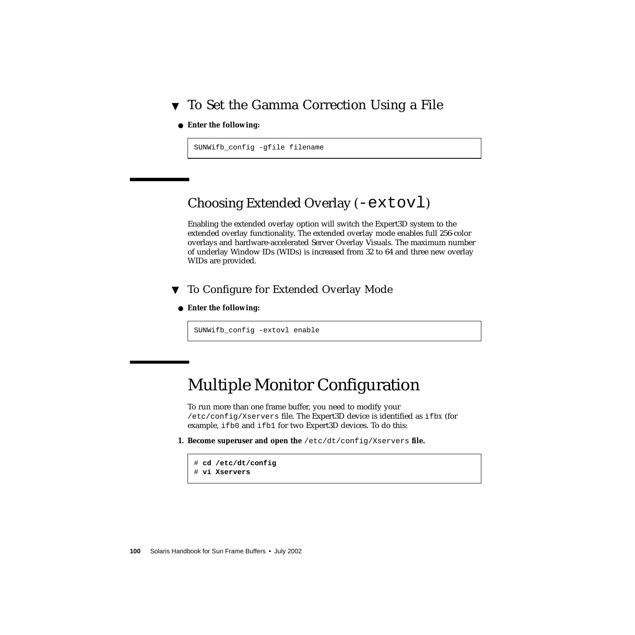▼ To Set the Gamma Correction Using a File

#### ● **Enter the following:**

SUNWifb\_config -gfile filename

### Choosing Extended Overlay (-extovl)

Enabling the extended overlay option will switch the Expert3D system to the extended overlay functionality. The extended overlay mode enables full 256-color overlays and hardware-accelerated Server Overlay Visuals. The maximum number of underlay Window IDs (WIDs) is increased from 32 to 64 and three new overlay WIDs are provided.

▼ To Configure for Extended Overlay Mode

● **Enter the following:**

SUNWifb\_config -extovl enable

### Multiple Monitor Configuration

To run more than one frame buffer, you need to modify your /etc/config/Xservers file. The Expert3D device is identified as ifb*x* (for example, ifb0 and ifb1 for two Expert3D devices. To do this:

**1. Become superuser and open the** /etc/dt/config/Xservers **file.**

```
# cd /etc/dt/config
# vi Xservers
```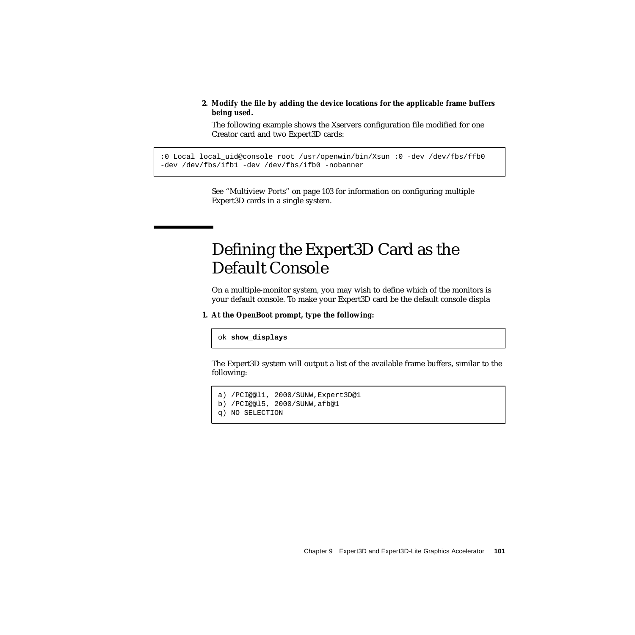**2. Modify the file by adding the device locations for the applicable frame buffers being used.**

The following example shows the Xservers configuration file modified for one Creator card and two Expert3D cards:

```
:0 Local local_uid@console root /usr/openwin/bin/Xsun :0 -dev /dev/fbs/ffb0
-dev /dev/fbs/ifb1 -dev /dev/fbs/ifb0 -nobanner
```
See ["Multiview Ports" on page 103](#page-118-0) for information on configuring multiple Expert3D cards in a single system.

## Defining the Expert3D Card as the Default Console

On a multiple-monitor system, you may wish to define which of the monitors is your default console. To make your Expert3D card be the default console displa

**1. At the OpenBoot prompt, type the following:**

ok **show\_displays**

The Expert3D system will output a list of the available frame buffers, similar to the following:

```
a) /PCI@@l1, 2000/SUNW,Expert3D@1
b) /PCI@@l5, 2000/SUNW,afb@1
```

```
q) NO SELECTION
```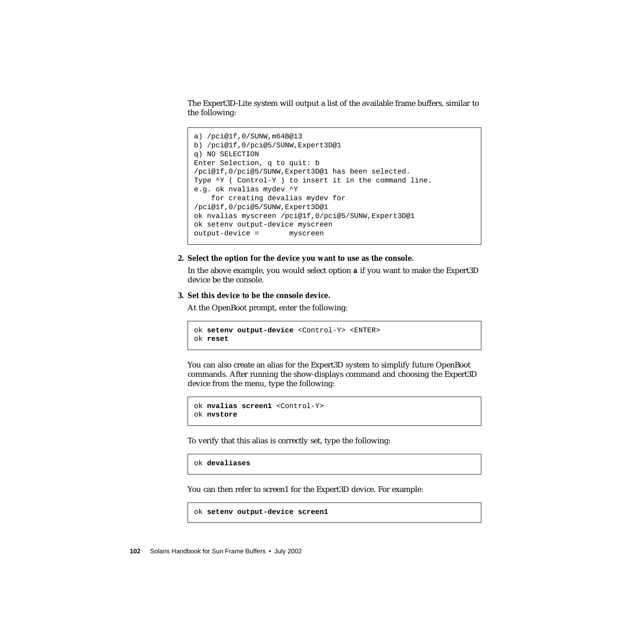The Expert3D-Lite system will output a list of the available frame buffers, similar to the following:

```
a) /pci@1f,0/SUNW,m64B@13
b) /pci@1f,0/pci@5/SUNW,Expert3D@1
q) NO SELECTION
Enter Selection, q to quit: b
/pci@1f,0/pci@5/SUNW,Expert3D@1 has been selected.
Type ^Y ( Control-Y ) to insert it in the command line.
e.g. ok nvalias mydev ^Y
    for creating devalias mydev for
/pci@1f,0/pci@5/SUNW,Expert3D@1
ok nvalias myscreen /pci@1f,0/pci@5/SUNW,Expert3D@1
ok setenv output-device myscreen
output-device = myscreen
```
**2. Select the option for the device you want to use as the console.**

In the above example, you would select option **a** if you want to make the Expert3D device be the console.

**3. Set this device to be the console device.**

At the OpenBoot prompt, enter the following:

```
ok setenv output-device <Control-Y> <ENTER>
ok reset
```
You can also create an alias for the Expert3D system to simplify future OpenBoot commands. After running the show-displays command and choosing the Expert3D device from the menu, type the following:

```
ok nvalias screen1 <Control-Y>
ok nvstore
```
To verify that this alias is correctly set, type the following:

ok **devaliases**

You can then refer to screen1 for the Expert3D device. For example:

```
ok setenv output-device screen1
```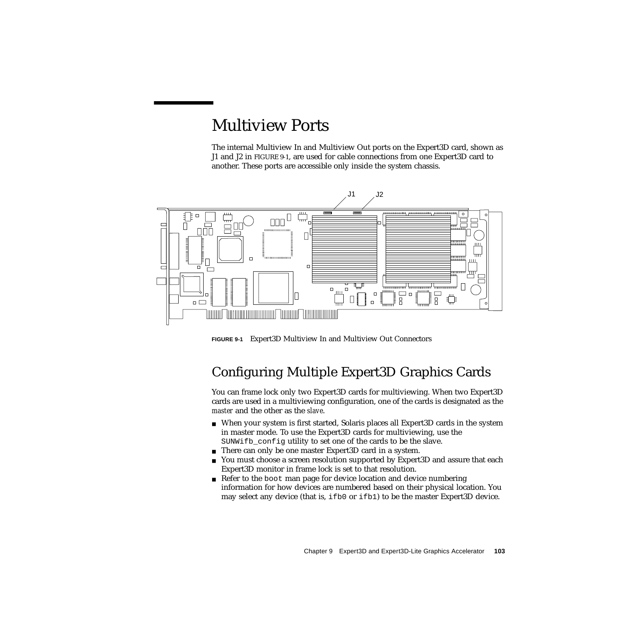### <span id="page-118-0"></span>Multiview Ports

The internal Multiview In and Multiview Out ports on the Expert3D card, shown as J1 and J2 in [FIGURE 9-1](#page-118-1), are used for cable connections from one Expert3D card to another. These ports are accessible only inside the system chassis.



<span id="page-118-1"></span>**FIGURE 9-1** Expert3D Multiview In and Multiview Out Connectors

### Configuring Multiple Expert3D Graphics Cards

You can frame lock only two Expert3D cards for multiviewing. When two Expert3D cards are used in a multiviewing configuration, one of the cards is designated as the *master* and the other as the *slave*.

- When your system is first started, Solaris places all Expert3D cards in the system in master mode. To use the Expert3D cards for multiviewing, use the SUNWifb config utility to set one of the cards to be the slave.
- There can only be one master Expert3D card in a system.
- You must choose a screen resolution supported by Expert3D and assure that each Expert3D monitor in frame lock is set to that resolution.
- Refer to the boot man page for device location and device numbering information for how devices are numbered based on their physical location. You may select any device (that is, ifb0 or ifb1) to be the master Expert3D device.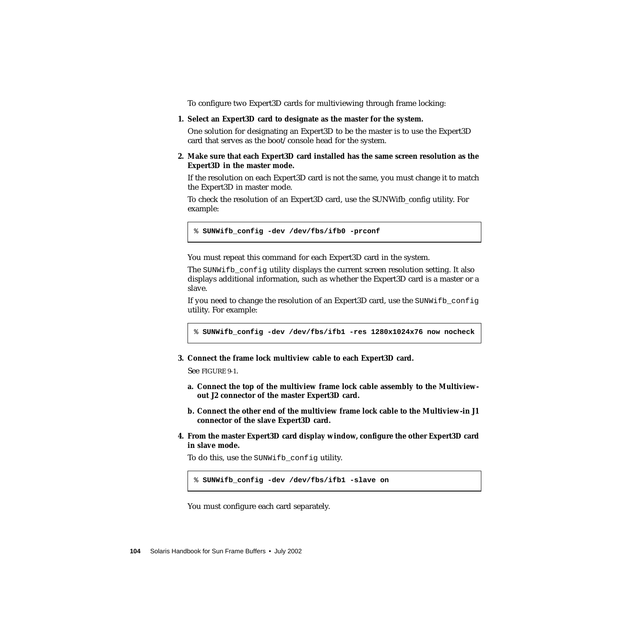To configure two Expert3D cards for multiviewing through frame locking:

**1. Select an Expert3D card to designate as the master for the system.**

One solution for designating an Expert3D to be the master is to use the Expert3D card that serves as the boot/console head for the system.

**2. Make sure that each Expert3D card installed has the same screen resolution as the Expert3D in the master mode.**

If the resolution on each Expert3D card is not the same, you must change it to match the Expert3D in master mode.

To check the resolution of an Expert3D card, use the SUNWifb\_config utility. For example:

```
% SUNWifb_config -dev /dev/fbs/ifb0 -prconf
```
You must repeat this command for each Expert3D card in the system.

The SUNWifb config utility displays the current screen resolution setting. It also displays additional information, such as whether the Expert3D card is a master or a slave.

If you need to change the resolution of an Expert3D card, use the SUNWifb config utility. For example:

% **SUNWifb\_config -dev /dev/fbs/ifb1 -res 1280x1024x76 now nocheck**

**3. Connect the frame lock multiview cable to each Expert3D card.**

See [FIGURE 9-1.](#page-118-1)

- **a. Connect the top of the multiview frame lock cable assembly to the Multiviewout J2 connector of the master Expert3D card.**
- **b. Connect the other end of the multiview frame lock cable to the Multiview-in J1 connector of the slave Expert3D card.**
- **4. From the master Expert3D card display window, configure the other Expert3D card in slave mode.**

To do this, use the SUNWifb\_config utility.

% **SUNWifb\_config -dev /dev/fbs/ifb1 -slave on**

You must configure each card separately.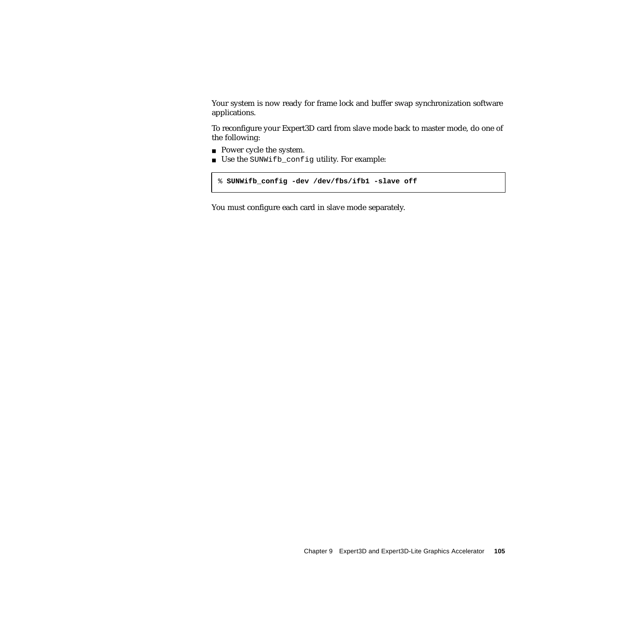Your system is now ready for frame lock and buffer swap synchronization software applications.

To reconfigure your Expert3D card from slave mode back to master mode, do one of the following:

- Power cycle the system.
- Use the SUNWifb\_config utility. For example:

```
% SUNWifb_config -dev /dev/fbs/ifb1 -slave off
```
You must configure each card in slave mode separately.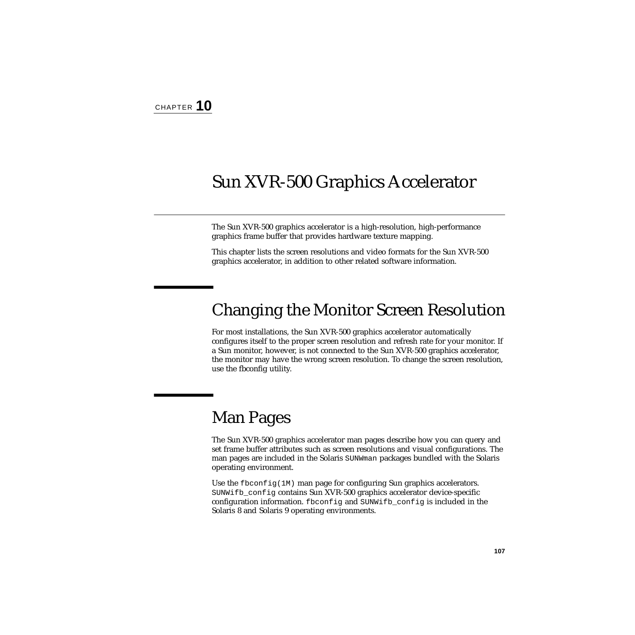## Sun XVR-500 Graphics Accelerator

The Sun XVR-500 graphics accelerator is a high-resolution, high-performance graphics frame buffer that provides hardware texture mapping.

This chapter lists the screen resolutions and video formats for the Sun XVR-500 graphics accelerator, in addition to other related software information.

### Changing the Monitor Screen Resolution

For most installations, the Sun XVR-500 graphics accelerator automatically configures itself to the proper screen resolution and refresh rate for your monitor. If a Sun monitor, however, is not connected to the Sun XVR-500 graphics accelerator, the monitor may have the wrong screen resolution. To change the screen resolution, use the fbconfig utility.

### Man Pages

The Sun XVR-500 graphics accelerator man pages describe how you can query and set frame buffer attributes such as screen resolutions and visual configurations. The man pages are included in the Solaris SUNWman packages bundled with the Solaris operating environment.

Use the fbconfig(1M) man page for configuring Sun graphics accelerators. SUNWifb\_config contains Sun XVR-500 graphics accelerator device-specific configuration information. fbconfig and SUNWifb\_config is included in the Solaris 8 and Solaris 9 operating environments.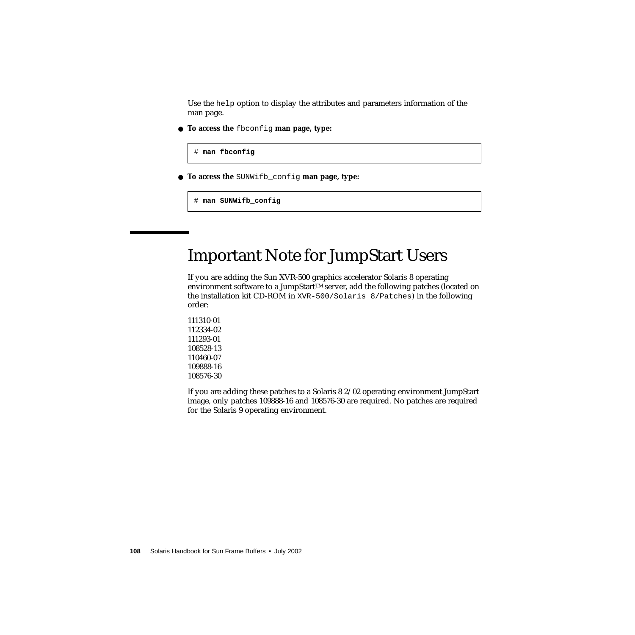Use the help option to display the attributes and parameters information of the man page.

● **To access the** fbconfig **man page, type:**

# **man fbconfig**

● **To access the** SUNWifb\_config **man page, type:**

# **man SUNWifb\_config**

## Important Note for JumpStart Users

If you are adding the Sun XVR-500 graphics accelerator Solaris 8 operating environment software to a JumpStartTM server, add the following patches (located on the installation kit CD-ROM in XVR-500/Solaris\_8/Patches) in the following order:

111310-01 112334-02 111293-01 108528-13 110460-07 109888-16 108576-30

If you are adding these patches to a Solaris 8 2/02 operating environment JumpStart image, only patches 109888-16 and 108576-30 are required. No patches are required for the Solaris 9 operating environment.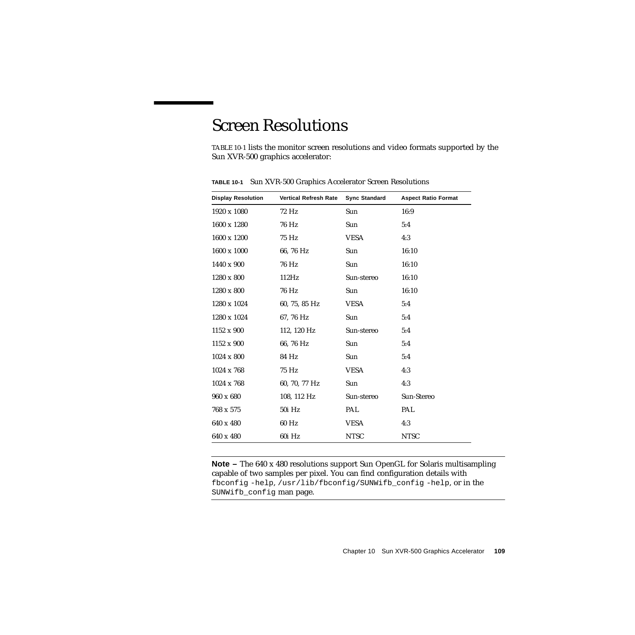### Screen Resolutions

[TABLE 10-1](#page-124-0) lists the monitor screen resolutions and video formats supported by the Sun XVR-500 graphics accelerator:

| <b>Display Resolution</b> | Vertical Refresh Rate | <b>Sync Standard</b> | <b>Aspect Ratio Format</b> |
|---------------------------|-----------------------|----------------------|----------------------------|
| 1920 x 1080               | 72 Hz                 | Sun                  | 16:9                       |
| 1600 x 1280               | 76 Hz                 | Sun                  | 5:4                        |
| 1600 x 1200               | 75 Hz                 | <b>VESA</b>          | 4:3                        |
| 1600 x 1000               | 66, 76 Hz             | Sun                  | 16:10                      |
| 1440 x 900                | 76 Hz                 | Sun                  | 16:10                      |
| 1280 x 800                | 112Hz                 | Sun-stereo           | 16:10                      |
| 1280 x 800                | 76 Hz                 | Sun                  | 16:10                      |
| 1280 x 1024               | 60, 75, 85 Hz         | VESA                 | 5:4                        |
| 1280 x 1024               | 67, 76 Hz             | Sun                  | 5:4                        |
| $1152 \times 900$         | 112, 120 Hz           | Sun-stereo           | 5:4                        |
| $1152 \times 900$         | 66, 76 Hz             | Sun                  | 5:4                        |
| 1024 x 800                | 84 Hz                 | Sun                  | 5:4                        |
| 1024 x 768                | 75 Hz                 | <b>VESA</b>          | 4:3                        |
| 1024 x 768                | 60, 70, 77 Hz         | Sun                  | 4:3                        |
| 960 x 680                 | 108, 112 Hz           | Sun-stereo           | Sun-Stereo                 |
| 768 x 575                 | 50i Hz                | PAL                  | PAL                        |
| 640 x 480                 | 60 Hz                 | VESA                 | 4:3                        |
| 640 x 480                 | 60i Hz                | <b>NTSC</b>          | <b>NTSC</b>                |

<span id="page-124-0"></span>**TABLE 10-1** Sun XVR-500 Graphics Accelerator Screen Resolutions

**Note –** The 640 x 480 resolutions support Sun OpenGL for Solaris multisampling capable of two samples per pixel. You can find configuration details with fbconfig -help, /usr/lib/fbconfig/SUNWifb\_config -help, or in the SUNWifb\_config man page.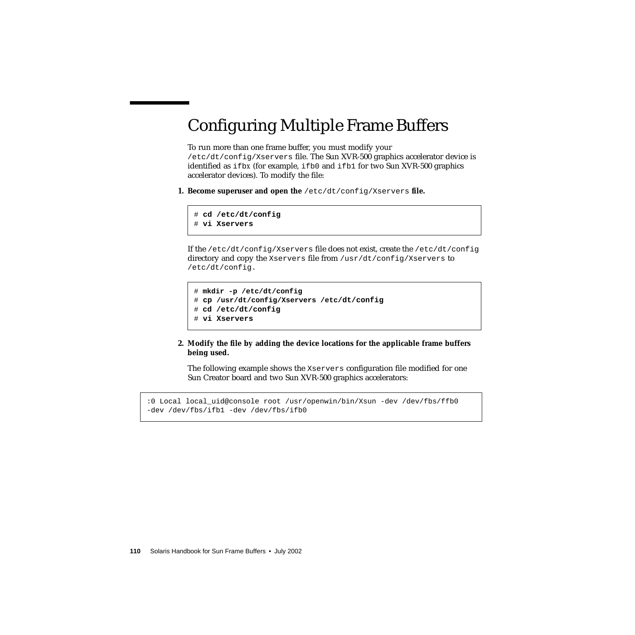# Configuring Multiple Frame Buffers

To run more than one frame buffer, you must modify your /etc/dt/config/Xservers file. The Sun XVR-500 graphics accelerator device is identified as ifb*x* (for example, ifb0 and ifb1 for two Sun XVR-500 graphics accelerator devices). To modify the file:

**1. Become superuser and open the** /etc/dt/config/Xservers **file.**

# **cd /etc/dt/config** # **vi Xservers**

If the /etc/dt/config/Xservers file does not exist, create the /etc/dt/config directory and copy the Xservers file from /usr/dt/config/Xservers to /etc/dt/config.

# **mkdir -p /etc/dt/config** # **cp /usr/dt/config/Xservers /etc/dt/config** # **cd /etc/dt/config** # **vi Xservers**

**2. Modify the file by adding the device locations for the applicable frame buffers being used.**

The following example shows the Xservers configuration file modified for one Sun Creator board and two Sun XVR-500 graphics accelerators:

:0 Local local\_uid@console root /usr/openwin/bin/Xsun -dev /dev/fbs/ffb0 -dev /dev/fbs/ifb1 -dev /dev/fbs/ifb0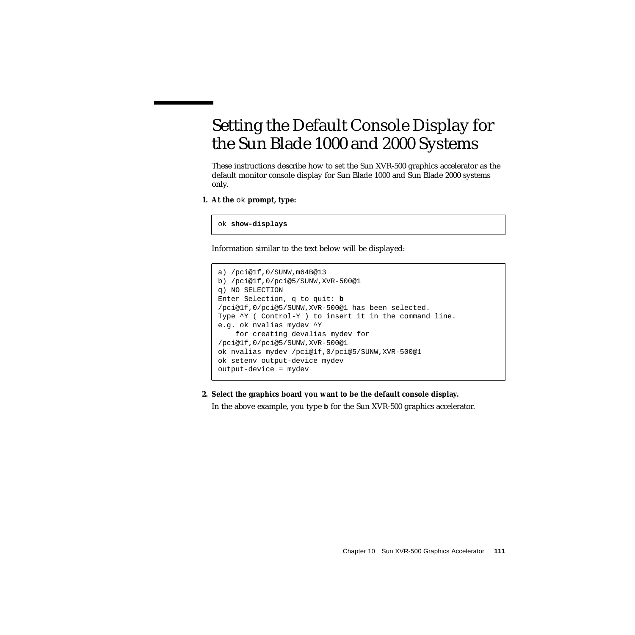# Setting the Default Console Display for the Sun Blade 1000 and 2000 Systems

These instructions describe how to set the Sun XVR-500 graphics accelerator as the default monitor console display for Sun Blade 1000 and Sun Blade 2000 systems only.

**1. At the** ok **prompt, type:**

ok **show-displays**

Information similar to the text below will be displayed:

```
a) /pci@1f,0/SUNW,m64B@13
b) /pci@1f,0/pci@5/SUNW,XVR-500@1
q) NO SELECTION
Enter Selection, q to quit: b
/pci@1f,0/pci@5/SUNW,XVR-500@1 has been selected.
Type ^Y ( Control-Y ) to insert it in the command line.
e.g. ok nvalias mydev ^Y
    for creating devalias mydev for
/pci@1f,0/pci@5/SUNW,XVR-500@1
ok nvalias mydev /pci@1f,0/pci@5/SUNW,XVR-500@1
ok setenv output-device mydev
output-device = mydev
```
**2. Select the graphics board you want to be the default console display.** In the above example, you type **b** for the Sun XVR-500 graphics accelerator.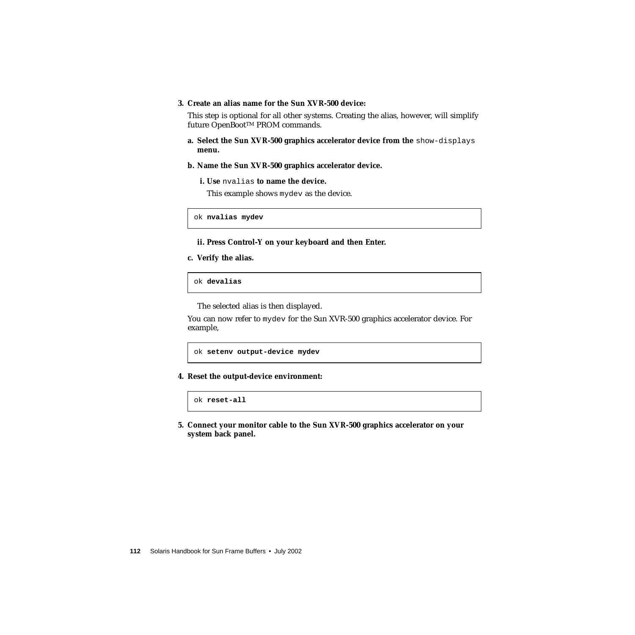#### **3. Create an alias name for the Sun XVR-500 device:**

This step is optional for all other systems. Creating the alias, however, will simplify future OpenBoot™ PROM commands.

**a. Select the Sun XVR-500 graphics accelerator device from the** show-displays **menu.**

#### **b. Name the Sun XVR-500 graphics accelerator device.**

**i. Use** nvalias **to name the device.**

This example shows mydev as the device.

ok **nvalias mydev**

#### **ii. Press Control-Y on your keyboard and then Enter.**

**c. Verify the alias.**

ok **devalias**

The selected alias is then displayed.

You can now refer to mydev for the Sun XVR-500 graphics accelerator device. For example,

```
ok setenv output-device mydev
```
**4. Reset the output-device environment:**

ok **reset-all**

**5. Connect your monitor cable to the Sun XVR-500 graphics accelerator on your system back panel.**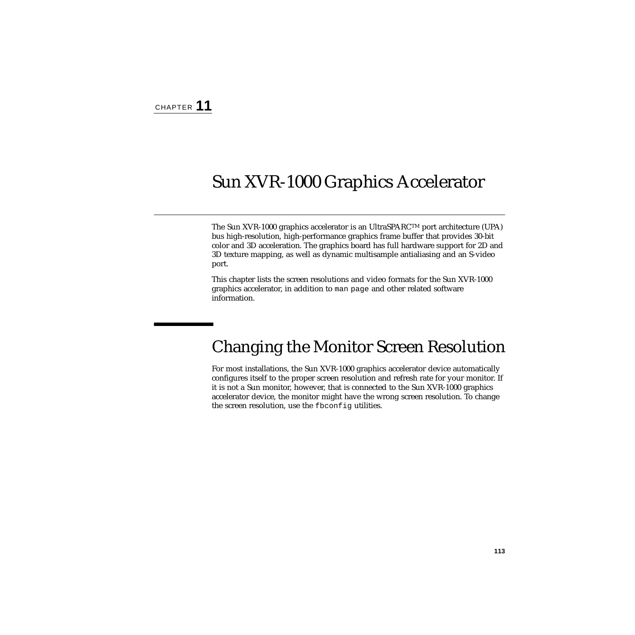## Sun XVR-1000 Graphics Accelerator

The Sun XVR-1000 graphics accelerator is an UltraSPARCTM port architecture (UPA) bus high-resolution, high-performance graphics frame buffer that provides 30-bit color and 3D acceleration. The graphics board has full hardware support for 2D and 3D texture mapping, as well as dynamic multisample antialiasing and an S-video port.

This chapter lists the screen resolutions and video formats for the Sun XVR-1000 graphics accelerator, in addition to man page and other related software information.

### Changing the Monitor Screen Resolution

For most installations, the Sun XVR-1000 graphics accelerator device automatically configures itself to the proper screen resolution and refresh rate for your monitor. If it is not a Sun monitor, however, that is connected to the Sun XVR-1000 graphics accelerator device, the monitor might have the wrong screen resolution. To change the screen resolution, use the fbconfig utilities.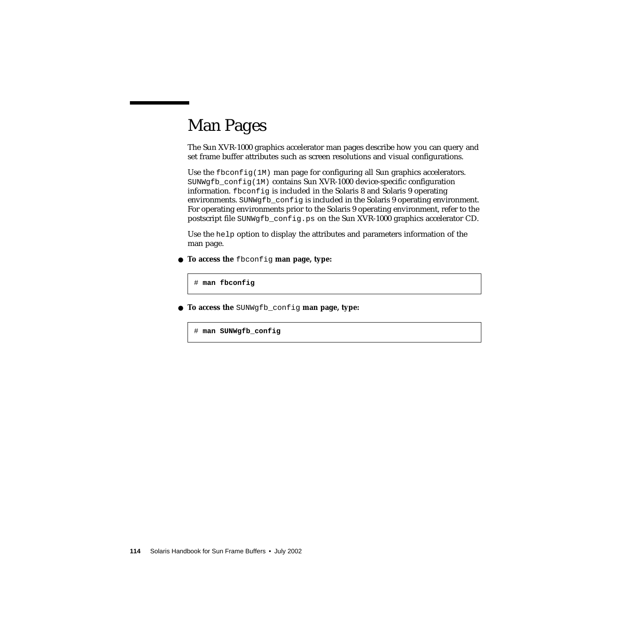# Man Pages

The Sun XVR-1000 graphics accelerator man pages describe how you can query and set frame buffer attributes such as screen resolutions and visual configurations.

Use the fbconfig(1M) man page for configuring all Sun graphics accelerators. SUNWgfb config(1M) contains Sun XVR-1000 device-specific configuration information. fbconfig is included in the Solaris 8 and Solaris 9 operating environments. SUNWgfb\_config is included in the Solaris 9 operating environment. For operating environments prior to the Solaris 9 operating environment, refer to the postscript file SUNWgfb\_config.ps on the Sun XVR-1000 graphics accelerator CD.

Use the help option to display the attributes and parameters information of the man page.

● **To access the** fbconfig **man page, type:**

```
# man fbconfig
```
● **To access the** SUNWgfb\_config **man page, type:**

# **man SUNWgfb\_config**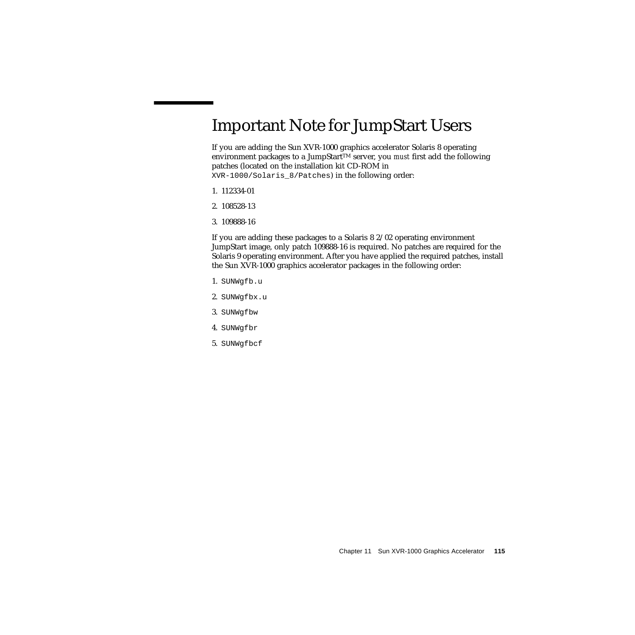## Important Note for JumpStart Users

If you are adding the Sun XVR-1000 graphics accelerator Solaris 8 operating environment packages to a JumpStartTM server, you *must* first add the following patches (located on the installation kit CD-ROM in

XVR-1000/Solaris\_8/Patches) in the following order:

- 1. 112334-01
- 2. 108528-13
- 3. 109888-16

If you are adding these packages to a Solaris 8 2/02 operating environment JumpStart image, only patch 109888-16 is required. No patches are required for the Solaris 9 operating environment. After you have applied the required patches, install the Sun XVR-1000 graphics accelerator packages in the following order:

- 1. SUNWgfb.u
- 2. SUNWgfbx.u
- 3. SUNWgfbw
- 4. SUNWgfbr
- 5. SUNWgfbcf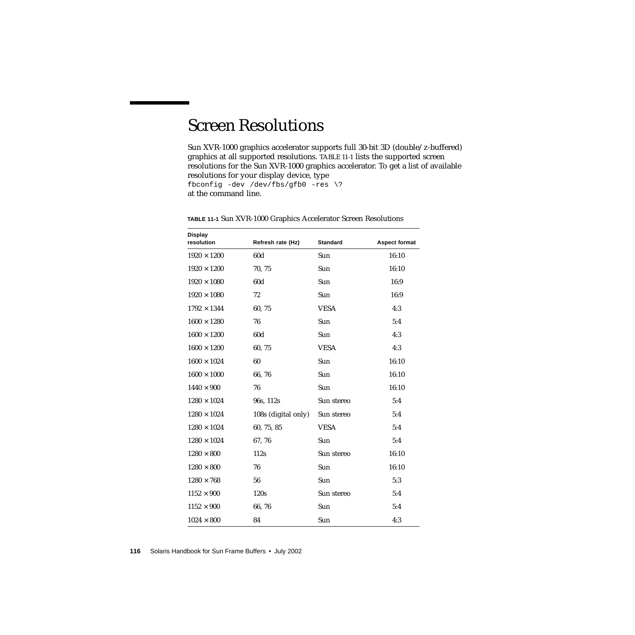## Screen Resolutions

Sun XVR-1000 graphics accelerator supports full 30-bit 3D (double/z-buffered) graphics at all supported resolutions. [TABLE 11-1](#page-131-0) lists the supported screen resolutions for the Sun XVR-1000 graphics accelerator. To get a list of available resolutions for your display device, type

fbconfig -dev /dev/fbs/gfb0 -res \? at the command line.

| Display<br>resolution | Refresh rate (Hz)   | <b>Standard</b> | Aspect format |
|-----------------------|---------------------|-----------------|---------------|
| $1920 \times 1200$    | 60d                 | Sun             | 16:10         |
| $1920 \times 1200$    | 70, 75              | Sun             | 16:10         |
| $1920 \times 1080$    | 60d                 | Sun             | 16:9          |
| $1920 \times 1080$    | 72                  | Sun             | 16:9          |
| $1792 \times 1344$    | 60, 75              | <b>VESA</b>     | 4:3           |
| $1600 \times 1280$    | 76                  | Sun             | 5:4           |
| $1600 \times 1200$    | 60d                 | Sun             | 4:3           |
| $1600 \times 1200$    | 60, 75              | <b>VESA</b>     | 4:3           |
| $1600 \times 1024$    | 60                  | Sun             | 16:10         |
| $1600 \times 1000$    | 66, 76              | Sun             | 16:10         |
| $1440\times900$       | 76                  | Sun             | 16:10         |
| $1280 \times 1024$    | 96s, 112s           | Sun stereo      | 5:4           |
| $1280 \times 1024$    | 108s (digital only) | Sun stereo      | 5:4           |
| $1280 \times 1024$    | 60, 75, 85          | <b>VESA</b>     | 5:4           |
| $1280 \times 1024$    | 67,76               | Sun             | 5:4           |
| $1280\times800$       | 112s                | Sun stereo      | 16:10         |
| $1280\times800$       | 76                  | Sun             | 16:10         |
| $1280 \times 768$     | 56                  | Sun             | 5:3           |
| $1152\times900$       | 120s                | Sun stereo      | 5:4           |
| $1152\times900$       | 66, 76              | Sun             | 5:4           |
| $1024\times800$       | 84                  | Sun             | 4:3           |

#### <span id="page-131-0"></span>**TABLE 11-1** Sun XVR-1000 Graphics Accelerator Screen Resolutions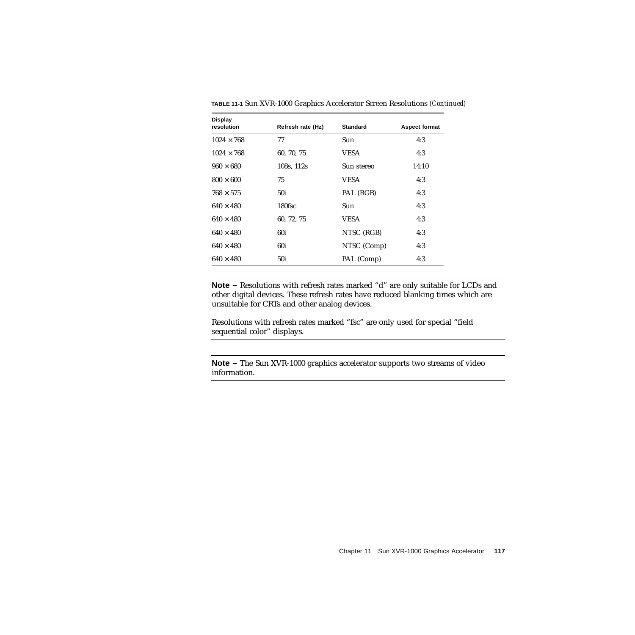| <b>Display</b><br>resolution | Refresh rate (Hz) | <b>Standard</b> | Aspect format |
|------------------------------|-------------------|-----------------|---------------|
| $1024 \times 768$            | 77                | Sun             | 4:3           |
| $1024 \times 768$            | 60, 70, 75        | <b>VESA</b>     | 4:3           |
| $960 \times 680$             | 108s, 112s        | Sun stereo      | 14:10         |
| $800\times600$               | 75                | <b>VESA</b>     | 4:3           |
| $768 \times 575$             | 50i               | PAL (RGB)       | 4:3           |
| $640 \times 480$             | 180fsc            | Sun             | 4:3           |
| $640 \times 480$             | 60, 72, 75        | <b>VESA</b>     | 4:3           |
| $640 \times 480$             | 60i               | NTSC (RGB)      | 4:3           |
| $640 \times 480$             | 60i               | NTSC (Comp)     | 4:3           |
| $640 \times 480$             | 50i               | PAL (Comp)      | 4:3           |

**TABLE 11-1** Sun XVR-1000 Graphics Accelerator Screen Resolutions *(Continued)*

**Note –** Resolutions with refresh rates marked "d" are only suitable for LCDs and other digital devices. These refresh rates have reduced blanking times which are unsuitable for CRTs and other analog devices.

Resolutions with refresh rates marked "fsc" are only used for special "field sequential color" displays.

**Note –** The Sun XVR-1000 graphics accelerator supports two streams of video information.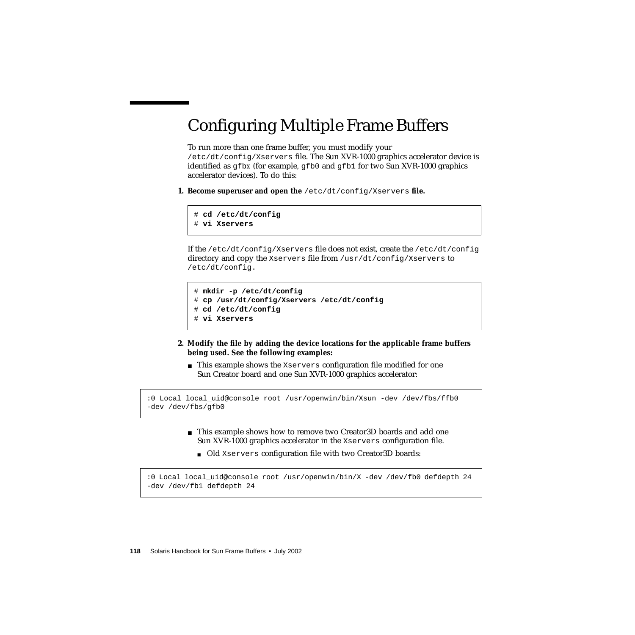# Configuring Multiple Frame Buffers

To run more than one frame buffer, you must modify your /etc/dt/config/Xservers file. The Sun XVR-1000 graphics accelerator device is identified as  $qfbx$  (for example,  $qfba$ ) and  $qfba$  for two Sun XVR-1000 graphics accelerator devices). To do this:

**1. Become superuser and open the** /etc/dt/config/Xservers **file.**

```
# cd /etc/dt/config
# vi Xservers
```
If the /etc/dt/config/Xservers file does not exist, create the /etc/dt/config directory and copy the Xservers file from /usr/dt/config/Xservers to /etc/dt/config.

```
# mkdir -p /etc/dt/config
# cp /usr/dt/config/Xservers /etc/dt/config
# cd /etc/dt/config
# vi Xservers
```
- **2. Modify the file by adding the device locations for the applicable frame buffers being used. See the following examples:**
	- This example shows the Xservers configuration file modified for one Sun Creator board and one Sun XVR-1000 graphics accelerator:

```
:0 Local local_uid@console root /usr/openwin/bin/Xsun -dev /dev/fbs/ffb0
-dev /dev/fbs/gfb0
```
- This example shows how to remove two Creator3D boards and add one Sun XVR-1000 graphics accelerator in the Xservers configuration file.
	- Old Xservers configuration file with two Creator3D boards:

```
:0 Local local_uid@console root /usr/openwin/bin/X -dev /dev/fb0 defdepth 24
-dev /dev/fb1 defdepth 24
```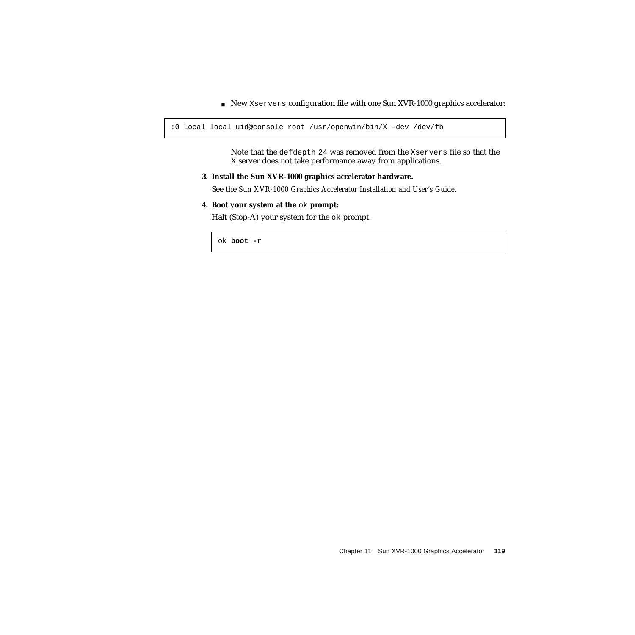■ New Xservers configuration file with one Sun XVR-1000 graphics accelerator:

:0 Local local\_uid@console root /usr/openwin/bin/X -dev /dev/fb

Note that the defdepth 24 was removed from the Xservers file so that the X server does not take performance away from applications.

#### **3. Install the Sun XVR-1000 graphics accelerator hardware.**

See the *Sun XVR-1000 Graphics Accelerator Installation and User's Guide*.

#### **4. Boot your system at the** ok **prompt:**

Halt (Stop-A) your system for the ok prompt.

ok **boot -r**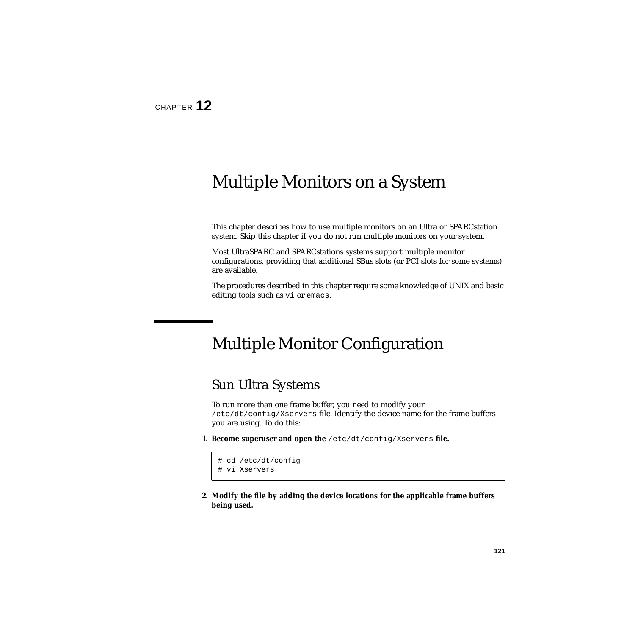## Multiple Monitors on a System

This chapter describes how to use multiple monitors on an Ultra or SPARCstation system. Skip this chapter if you do not run multiple monitors on your system.

Most UltraSPARC and SPARCstations systems support multiple monitor configurations, providing that additional SBus slots (or PCI slots for some systems) are available.

The procedures described in this chapter require some knowledge of UNIX and basic editing tools such as vi or emacs.

## Multiple Monitor Configuration

### Sun Ultra Systems

To run more than one frame buffer, you need to modify your /etc/dt/config/Xservers file. Identify the device name for the frame buffers you are using. To do this:

**1. Become superuser and open the** /etc/dt/config/Xservers **file.**

```
# cd /etc/dt/config
# vi Xservers
```
**2. Modify the file by adding the device locations for the applicable frame buffers being used.**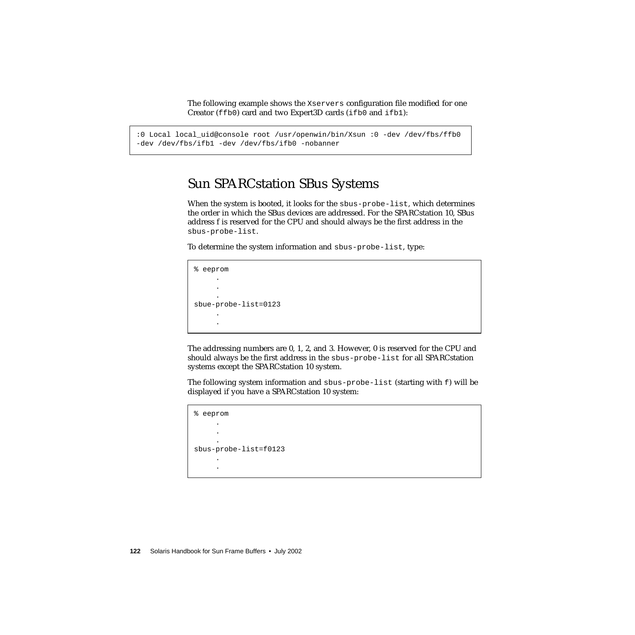The following example shows the Xservers configuration file modified for one Creator (ffb0) card and two Expert3D cards (ifb0 and ifb1):

```
:0 Local local_uid@console root /usr/openwin/bin/Xsun :0 -dev /dev/fbs/ffb0
-dev /dev/fbs/ifb1 -dev /dev/fbs/ifb0 -nobanner
```
### Sun SPARCstation SBus Systems

When the system is booted, it looks for the sbus-probe-list, which determines the order in which the SBus devices are addressed. For the SPARCstation 10, SBus address f is reserved for the CPU and should always be the first address in the sbus-probe-list.

To determine the system information and sbus-probe-list, type:

```
% eeprom
 .
 .
 .
sbue-probe-list=0123
 .
 .
```
The addressing numbers are 0, 1, 2, and 3. However, 0 is reserved for the CPU and should always be the first address in the sbus-probe-list for all SPARCstation systems except the SPARCstation 10 system.

The following system information and  $\frac{1}{2}$  sbus-probe-list (starting with f) will be displayed if you have a SPARCstation 10 system:

```
% eeprom
 .
 .
 .
sbus-probe-list=f0123
 .
 .
```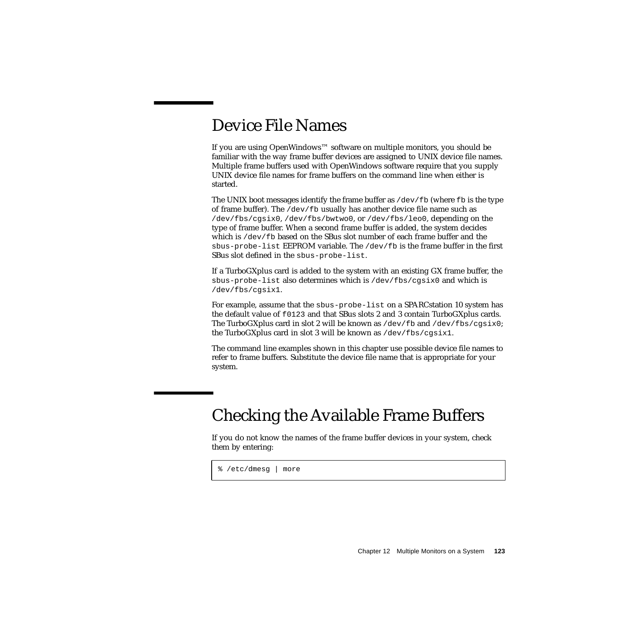## Device File Names

If you are using OpenWindows™ software on multiple monitors, you should be familiar with the way frame buffer devices are assigned to UNIX device file names. Multiple frame buffers used with OpenWindows software require that you supply UNIX device file names for frame buffers on the command line when either is started.

The UNIX boot messages identify the frame buffer as  $/$  dev/fb (where fb is the type of frame buffer). The  $/$ dev $/$ f $\frac{1}{2}$  usually has another device file name such as /dev/fbs/cgsix0, /dev/fbs/bwtwo0, or /dev/fbs/leo0, depending on the type of frame buffer. When a second frame buffer is added, the system decides which is /dev/fb based on the SBus slot number of each frame buffer and the sbus-probe-list EEPROM variable. The /dev/fb is the frame buffer in the first SBus slot defined in the sbus-probe-list.

If a TurboGXplus card is added to the system with an existing GX frame buffer, the sbus-probe-list also determines which is /dev/fbs/cgsix0 and which is /dev/fbs/cgsix1.

For example, assume that the sbus-probe-list on a SPARCstation 10 system has the default value of f0123 and that SBus slots 2 and 3 contain TurboGXplus cards. The TurboGXplus card in slot 2 will be known as  $/$ dev/fb and  $/$ dev/fbs/ $czsize$ ; the TurboGXplus card in slot 3 will be known as /dev/fbs/cgsix1.

The command line examples shown in this chapter use possible device file names to refer to frame buffers. Substitute the device file name that is appropriate for your system.

# Checking the Available Frame Buffers

If you do not know the names of the frame buffer devices in your system, check them by entering:

```
% /etc/dmesg | more
```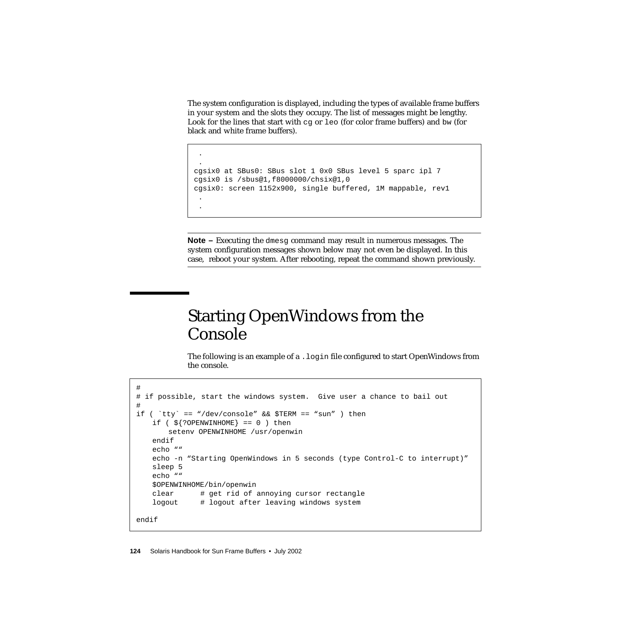The system configuration is displayed, including the types of available frame buffers in your system and the slots they occupy. The list of messages might be lengthy. Look for the lines that start with  $\alpha q$  or leo (for color frame buffers) and bw (for black and white frame buffers).

```
 .
 .
cgsix0 at SBus0: SBus slot 1 0x0 SBus level 5 sparc ipl 7
cgsix0 is /sbus@1,f8000000/chsix@1,0
cgsix0: screen 1152x900, single buffered, 1M mappable, rev1
 .
 .
```
**Note –** Executing the dmesg command may result in numerous messages. The system configuration messages shown below may not even be displayed. In this case, reboot your system. After rebooting, repeat the command shown previously.

## Starting OpenWindows from the Console

The following is an example of a .  $login$  file configured to start OpenWindows from the console.

```
#
# if possible, start the windows system. Give user a chance to bail out
#
if ( `tty` == "/dev/console" && $TERM == "sun" ) then
   if (S{?OPENWINHOME} == 0 ) then
       setenv OPENWINHOME /usr/openwin
   endif
   echo ""
   echo -n "Starting OpenWindows in 5 seconds (type Control-C to interrupt)"
   sleep 5
   echo ""
   $OPENWINHOME/bin/openwin
   clear # get rid of annoying cursor rectangle
   logout # logout after leaving windows system
endif
```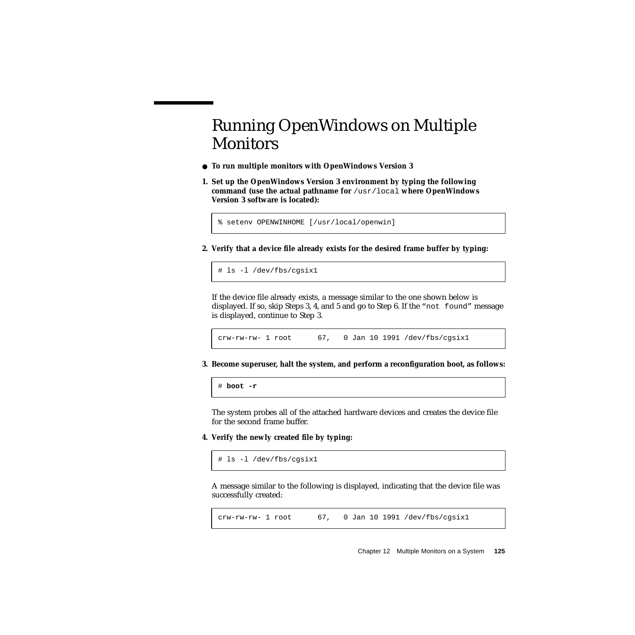### Running OpenWindows on Multiple **Monitors**

- **To run multiple monitors with OpenWindows Version 3**
- **1. Set up the OpenWindows Version 3 environment by typing the following command (use the actual pathname for** /usr/local **where OpenWindows Version 3 software is located):**

% setenv OPENWINHOME [/usr/local/openwin]

**2. Verify that a device file already exists for the desired frame buffer by typing:**

# ls -l /dev/fbs/cgsix1

If the device file already exists, a message similar to the one shown below is displayed. If so, skip Steps 3, 4, and 5 and go to Step 6. If the "not found" message is displayed, continue to Step 3.

 $crw-rw-rw-1$  root 67, 0 Jan 10 1991 /dev/fbs/cqsix1

**3. Become superuser, halt the system, and perform a reconfiguration boot, as follows:**

# **boot -r**

The system probes all of the attached hardware devices and creates the device file for the second frame buffer.

**4. Verify the newly created file by typing:**

# ls -l /dev/fbs/cgsix1

A message similar to the following is displayed, indicating that the device file was successfully created:

crw-rw-rw- 1 root 67, 0 Jan 10 1991 /dev/fbs/cgsix1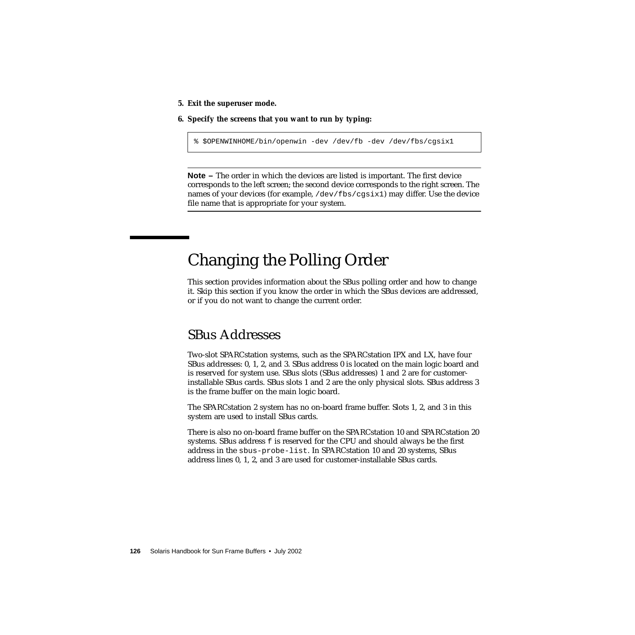- **5. Exit the superuser mode.**
- **6. Specify the screens that you want to run by typing:**

% \$OPENWINHOME/bin/openwin -dev /dev/fb -dev /dev/fbs/cgsix1

**Note –** The order in which the devices are listed is important. The first device corresponds to the left screen; the second device corresponds to the right screen. The names of your devices (for example, /dev/fbs/cqsix1) may differ. Use the device file name that is appropriate for your system.

### Changing the Polling Order

This section provides information about the SBus polling order and how to change it. Skip this section if you know the order in which the SBus devices are addressed, or if you do not want to change the current order.

### SBus Addresses

Two-slot SPARCstation systems, such as the SPARCstation IPX and LX, have four SBus addresses: 0, 1, 2, and 3. SBus address 0 is located on the main logic board and is reserved for system use. SBus slots (SBus addresses) 1 and 2 are for customerinstallable SBus cards. SBus slots 1 and 2 are the only physical slots. SBus address 3 is the frame buffer on the main logic board.

The SPARCstation 2 system has no on-board frame buffer. Slots 1, 2, and 3 in this system are used to install SBus cards.

There is also no on-board frame buffer on the SPARCstation 10 and SPARCstation 20 systems. SBus address f is reserved for the CPU and should always be the first address in the sbus-probe-list. In SPARCstation 10 and 20 systems, SBus address lines 0, 1, 2, and 3 are used for customer-installable SBus cards.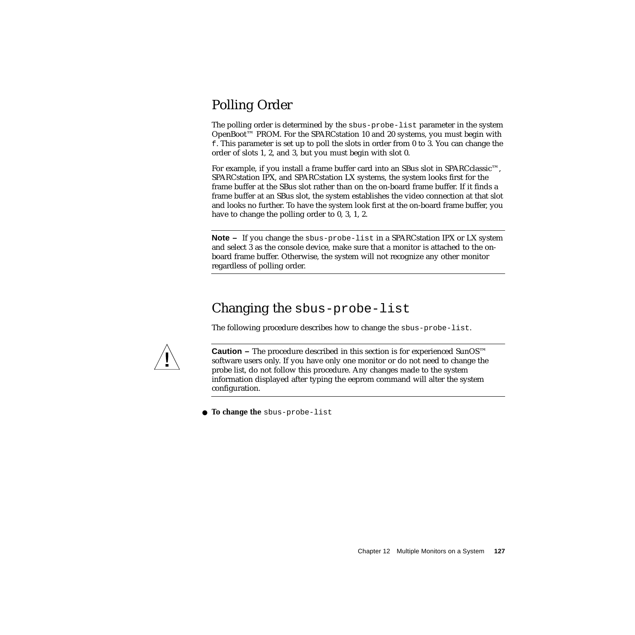### Polling Order

The polling order is determined by the sbus-probe-list parameter in the system OpenBoot™ PROM. For the SPARCstation 10 and 20 systems, you must begin with f. This parameter is set up to poll the slots in order from 0 to 3. You can change the order of slots 1, 2, and 3, but you must begin with slot 0.

For example, if you install a frame buffer card into an SBus slot in SPARCclassic™, SPARCstation IPX, and SPARCstation LX systems, the system looks first for the frame buffer at the SBus slot rather than on the on-board frame buffer. If it finds a frame buffer at an SBus slot, the system establishes the video connection at that slot and looks no further. To have the system look first at the on-board frame buffer, you have to change the polling order to 0, 3, 1, 2.

**Note –** If you change the sbus-probe-list in a SPARCstation IPX or LX system and select 3 as the console device, make sure that a monitor is attached to the onboard frame buffer. Otherwise, the system will not recognize any other monitor regardless of polling order.

### Changing the sbus-probe-list

The following procedure describes how to change the sbus-probe-list.



**Caution –** The procedure described in this section is for experienced SunOS™ software users only. If you have only one monitor or do not need to change the probe list, do not follow this procedure. Any changes made to the system information displayed after typing the eeprom command will alter the system configuration.

● **To change the** sbus-probe-list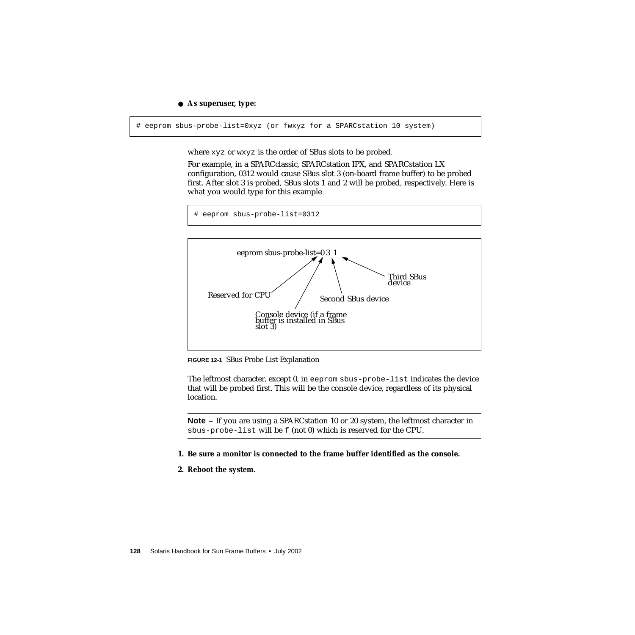# eeprom sbus-probe-list=0xyz (or fwxyz for a SPARCstation 10 system)

where xyz or wxyz is the order of SBus slots to be probed.

For example, in a SPARCclassic, SPARCstation IPX, and SPARCstation LX configuration, 0312 would cause SBus slot 3 (on-board frame buffer) to be probed first. After slot 3 is probed, SBus slots 1 and 2 will be probed, respectively. Here is what you would type for this example





**FIGURE 12-1** SBus Probe List Explanation

The leftmost character, except 0, in eeprom sbus-probe-list indicates the device that will be probed first. This will be the console device, regardless of its physical location.

**Note –** If you are using a SPARCstation 10 or 20 system, the leftmost character in sbus-probe-list will be f (not 0) which is reserved for the CPU.

- **1. Be sure a monitor is connected to the frame buffer identified as the console.**
- **2. Reboot the system.**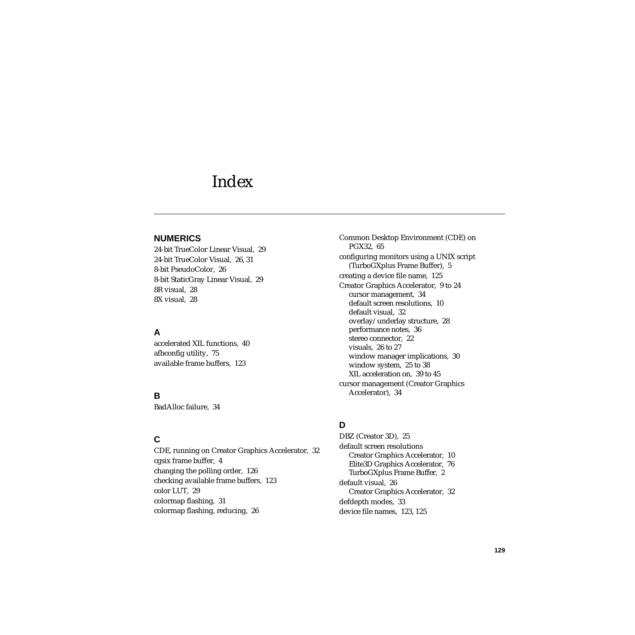# Index

#### **NUMERICS**

[24-bit TrueColor Linear Visual, 29](#page-44-0) [24-bit TrueColor Visual, 26,](#page-41-0) [31](#page-46-0) [8-bit PseudoColor, 26](#page-41-1) [8-bit StaticGray Linear Visual, 29](#page-44-1) [8R visual, 28](#page-43-0) [8X visual, 28](#page-43-1)

# **A**

[accelerated XIL functions, 40](#page-55-0) [afbconfig utility, 75](#page-90-0) [available frame buffers, 123](#page-138-0)

#### **B**

[BadAlloc failure, 34](#page-49-0)

# **C**

[CDE, running on Creator Graphics Accelerator, 32](#page-47-0) [cgsix frame buffer, 4](#page-19-0) [changing the polling order, 126](#page-141-0) [checking available frame buffers, 123](#page-138-1) [color LUT, 29](#page-44-2) [colormap flashing, 31](#page-46-1) [colormap flashing, reducing, 26](#page-41-2)

[Common Desktop Environment \(CDE\) on](#page-80-0) PGX32, 65 [configuring monitors using a UNIX script](#page-20-0) (TurboGXplus Frame Buffer), 5 [creating a device file name, 125](#page-140-0) [Creator Graphics Accelerator, 9 to](#page-24-0) [24](#page-39-0) [cursor management, 34](#page-49-1) [default screen resolutions, 10](#page-25-0) [default visual, 32](#page-47-1) [overlay/underlay structure, 28](#page-43-2) [performance notes, 36](#page-51-0) [stereo connector, 22](#page-37-0) [visuals, 26 to](#page-41-3) [27](#page-42-0) [window manager implications, 30](#page-45-0) [window system, 25 to](#page-40-0) [38](#page-53-0) [XIL acceleration on, 39 to](#page-54-0) [45](#page-60-0) [cursor management \(Creator Graphics](#page-49-2) Accelerator), 34

# **D**

[DBZ \(Creator 3D\), 25](#page-40-1) default screen resolutions [Creator Graphics Accelerator, 10](#page-25-0) [Elite3D Graphics Accelerator, 76](#page-91-0) [TurboGXplus Frame Buffer, 2](#page-17-0) [default visual, 26](#page-41-4) [Creator Graphics Accelerator, 32](#page-47-1) [defdepth modes, 33](#page-48-0) [device file names, 123,](#page-138-2) [125](#page-140-0)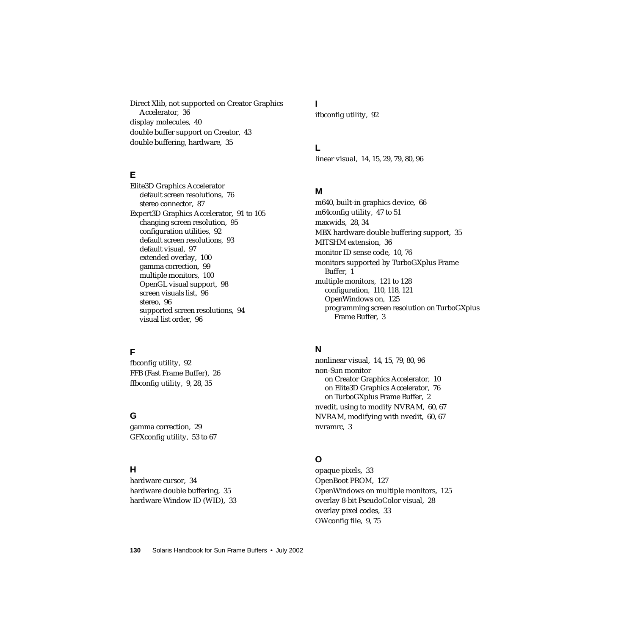[Direct Xlib, not supported on Creator Graphics](#page-51-1) Accelerator, 36 [display molecules, 40](#page-55-1) [double buffer support on Creator, 43](#page-58-0) [double buffering, hardware, 35](#page-50-0)

# **E**

Elite3D Graphics Accelerator [default screen resolutions, 76](#page-91-0) [stereo connector, 87](#page-102-0) [Expert3D Graphics Accelerator, 91 to](#page-106-0) [105](#page-120-0) [changing screen resolution, 95](#page-110-0) [configuration utilities, 92](#page-107-0) [default screen resolutions, 93](#page-108-0) [default visual, 97](#page-112-0) [extended overlay, 100](#page-115-0) [gamma correction, 99](#page-114-0) [multiple monitors, 100](#page-115-1) [OpenGL visual support, 98](#page-113-0) [screen visuals list, 96](#page-111-0) [stereo, 96](#page-111-1) [supported screen resolutions, 94](#page-109-0) [visual list order, 96](#page-111-2)

#### **F**

[fbconfig utility, 92](#page-107-1) [FFB \(Fast Frame Buffer\), 26](#page-41-5) [ffbconfig utility, 9,](#page-24-1) [28,](#page-43-3) [35](#page-50-1)

#### **G**

[gamma correction, 29](#page-44-3) [GFXconfig utility, 53 to](#page-68-0) [67](#page-82-0)

#### **H**

[hardware cursor, 34](#page-49-1) [hardware double buffering, 35](#page-50-0) [hardware Window ID \(WID\), 33](#page-48-1)

# **I**

[ifbconfig utility, 92](#page-107-2)

# **L**

[linear visual, 14,](#page-29-0) [15,](#page-30-0) [29,](#page-44-4) [79,](#page-94-0) [80,](#page-95-0) [96](#page-111-3)

#### **M**

[m640, built-in graphics device, 66](#page-81-0) [m64config utility, 47 to](#page-62-0) [51](#page-66-0) [maxwids, 28,](#page-43-4) [34](#page-49-3) [MBX hardware double buffering support, 35](#page-50-2) [MITSHM extension, 36](#page-51-2) [monitor ID sense code, 10,](#page-25-1) [76](#page-91-1) [monitors supported by TurboGXplus Frame](#page-16-0) Buffer, 1 [multiple monitors, 121 to](#page-136-0) [128](#page-143-0) [configuration, 110,](#page-125-0) [118,](#page-133-0) [121](#page-136-1) [OpenWindows on, 125](#page-140-1) [programming screen resolution on TurboGXplus](#page-18-0) Frame Buffer, 3

# **N**

[nonlinear visual, 14,](#page-29-1) [15,](#page-30-1) [79,](#page-94-1) [80,](#page-95-1) [96](#page-111-4) non-Sun monitor [on Creator Graphics Accelerator, 10](#page-25-2) [on Elite3D Graphics Accelerator, 76](#page-91-2) [on TurboGXplus Frame Buffer, 2](#page-17-1) [nvedit, using to modify NVRAM, 60,](#page-75-0) [67](#page-82-1) [NVRAM, modifying with nvedit, 60,](#page-75-0) [67](#page-82-1) [nvramrc, 3](#page-18-1)

# **O**

[opaque pixels, 33](#page-48-2) [OpenBoot PROM, 127](#page-142-0) [OpenWindows on multiple monitors, 125](#page-140-1) [overlay 8-bit PseudoColor visual, 28](#page-43-5) [overlay pixel codes, 33](#page-48-3) [OWconfig file, 9,](#page-24-2) [75](#page-90-1)